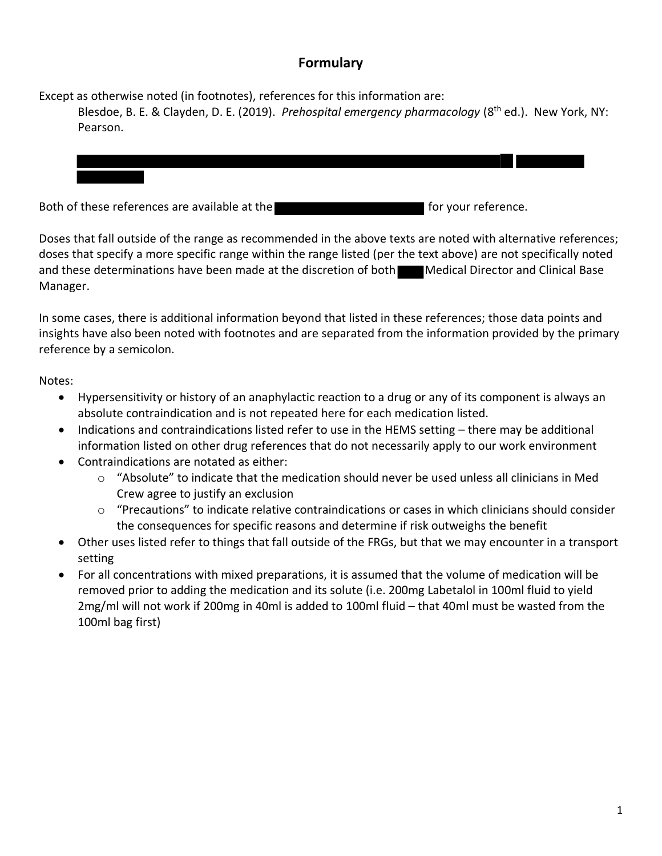## **Formulary**

Except as otherwise noted (in footnotes), references for this information are:

Blesdoe, B. E. & Clayden, D. E. (2019). *Prehospital emergency pharmacology* (8th ed.). New York, NY: Pearson.

Both of these references are available at the formulation of the formulation for your reference.

Doses that fall outside of the range as recommended in the above texts are noted with alternative references; doses that specify a more specific range within the range listed (per the text above) are not specifically noted and these determinations have been made at the discretion of both Medical Director and Clinical Base Manager.

In some cases, there is additional information beyond that listed in these references; those data points and insights have also been noted with footnotes and are separated from the information provided by the primary reference by a semicolon.

Notes:

- Hypersensitivity or history of an anaphylactic reaction to a drug or any of its component is always an absolute contraindication and is not repeated here for each medication listed.
- Indications and contraindications listed refer to use in the HEMS setting there may be additional information listed on other drug references that do not necessarily apply to our work environment
- Contraindications are notated as either:
	- $\circ$  "Absolute" to indicate that the medication should never be used unless all clinicians in Med Crew agree to justify an exclusion
	- $\circ$  "Precautions" to indicate relative contraindications or cases in which clinicians should consider the consequences for specific reasons and determine if risk outweighs the benefit
- Other uses listed refer to things that fall outside of the FRGs, but that we may encounter in a transport setting
- For all concentrations with mixed preparations, it is assumed that the volume of medication will be removed prior to adding the medication and its solute (i.e. 200mg Labetalol in 100ml fluid to yield 2mg/ml will not work if 200mg in 40ml is added to 100ml fluid – that 40ml must be wasted from the 100ml bag first)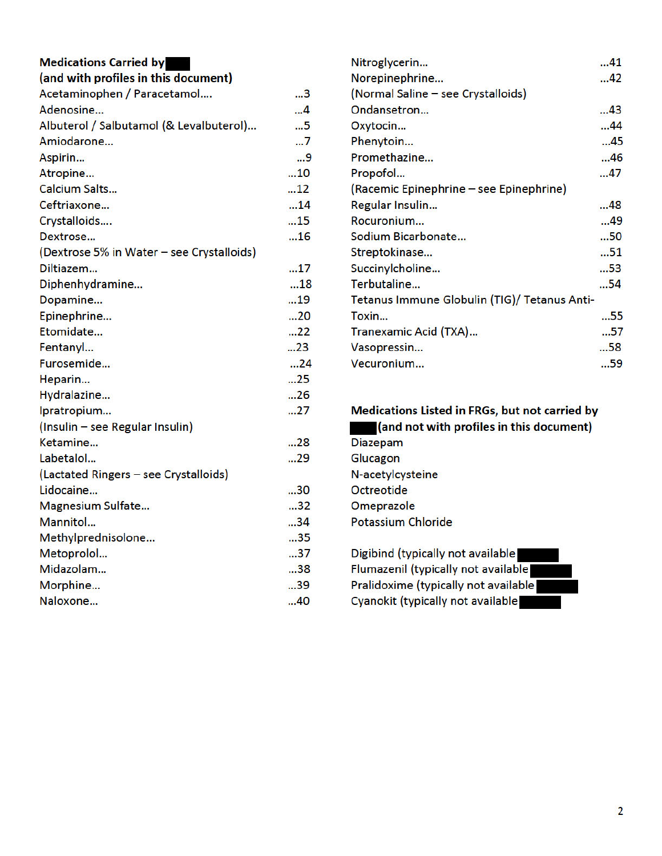| <b>Medications Carried by</b>             |    | Nitroglycerin                                  | 41 |
|-------------------------------------------|----|------------------------------------------------|----|
| (and with profiles in this document)      |    | Norepinephrine                                 | 42 |
| Acetaminophen / Paracetamol               | 3  | (Normal Saline - see Crystalloids)             |    |
| Adenosine                                 | 4  | Ondansetron                                    | 43 |
| Albuterol / Salbutamol (& Levalbuterol)   | 5  | Oxytocin                                       | 44 |
| Amiodarone                                | 7  | Phenytoin                                      | 45 |
| Aspirin                                   | 9  | Promethazine                                   | 46 |
| Atropine                                  | 10 | Propofol                                       | 47 |
| <b>Calcium Salts</b>                      | 12 | (Racemic Epinephrine – see Epinephrine)        |    |
| Ceftriaxone                               | 14 | Regular Insulin                                | 48 |
| Crystalloids                              | 15 | Rocuronium                                     | 49 |
| Dextrose                                  | 16 | Sodium Bicarbonate                             | 50 |
| (Dextrose 5% in Water - see Crystalloids) |    | Streptokinase                                  | 51 |
| Diltiazem                                 | 17 | Succinylcholine                                | 53 |
| Diphenhydramine                           | 18 | Terbutaline                                    | 54 |
| Dopamine                                  | 19 | Tetanus Immune Globulin (TIG)/ Tetanus Anti-   |    |
| Epinephrine                               | 20 | Toxin                                          | 55 |
| Etomidate                                 | 22 | Tranexamic Acid (TXA)                          | 57 |
| Fentanyl                                  | 23 | Vasopressin                                    | 58 |
| Furosemide                                | 24 | Vecuronium                                     | 59 |
| Heparin                                   | 25 |                                                |    |
| Hydralazine                               | 26 |                                                |    |
| Ipratropium                               | 27 | Medications Listed in FRGs, but not carried by |    |
| (Insulin - see Regular Insulin)           |    | (and not with profiles in this document)       |    |
| Ketamine                                  | 28 | <b>Diazepam</b>                                |    |
| Labetalol                                 | 29 | Glucagon                                       |    |
| (Lactated Ringers - see Crystalloids)     |    | N-acetylcysteine                               |    |
| Lidocaine                                 | 30 | Octreotide                                     |    |
| Magnesium Sulfate                         | 32 | Omeprazole                                     |    |
| Mannitol                                  | 34 | <b>Potassium Chloride</b>                      |    |
| Methylprednisolone                        | 35 |                                                |    |
| Metoprolol                                | 37 | Digibind (typically not available)             |    |
| Midazolam                                 | 38 | Flumazenil (typically not available            |    |
| Morphine                                  | 39 | Pralidoxime (typically not available           |    |
| Naloxone                                  | 40 | Cyanokit (typically not available              |    |
|                                           |    |                                                |    |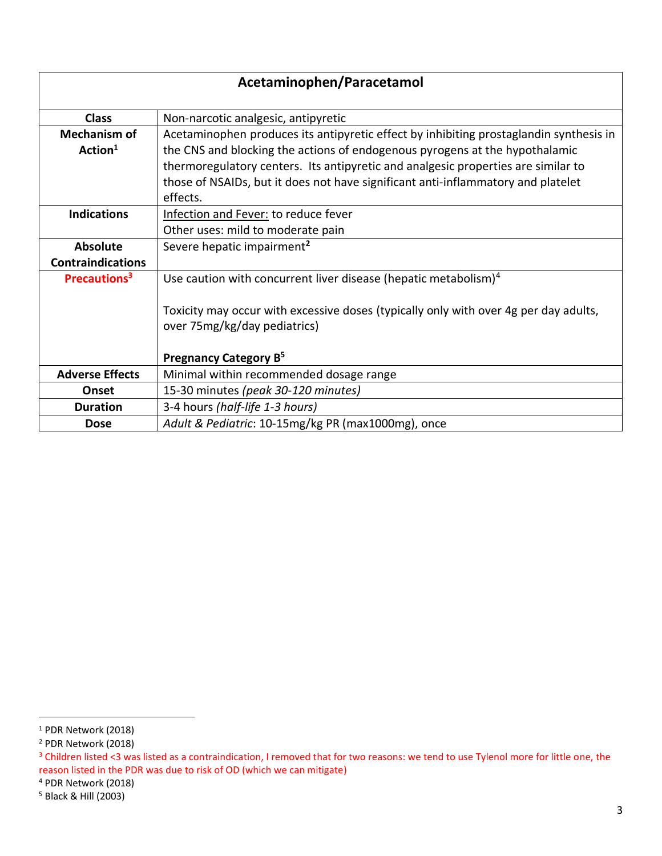| Acetaminophen/Paracetamol |                                                                                        |
|---------------------------|----------------------------------------------------------------------------------------|
| <b>Class</b>              | Non-narcotic analgesic, antipyretic                                                    |
| <b>Mechanism of</b>       | Acetaminophen produces its antipyretic effect by inhibiting prostaglandin synthesis in |
| Action <sup>1</sup>       | the CNS and blocking the actions of endogenous pyrogens at the hypothalamic            |
|                           | thermoregulatory centers. Its antipyretic and analgesic properties are similar to      |
|                           | those of NSAIDs, but it does not have significant anti-inflammatory and platelet       |
|                           | effects.                                                                               |
| <b>Indications</b>        | Infection and Fever: to reduce fever                                                   |
|                           | Other uses: mild to moderate pain                                                      |
| <b>Absolute</b>           | Severe hepatic impairment <sup>2</sup>                                                 |
| <b>Contraindications</b>  |                                                                                        |
| Precautions <sup>3</sup>  | Use caution with concurrent liver disease (hepatic metabolism) $4$                     |
|                           |                                                                                        |
|                           | Toxicity may occur with excessive doses (typically only with over 4g per day adults,   |
|                           | over 75mg/kg/day pediatrics)                                                           |
|                           |                                                                                        |
|                           | Pregnancy Category B <sup>5</sup>                                                      |
| <b>Adverse Effects</b>    | Minimal within recommended dosage range                                                |
| <b>Onset</b>              | 15-30 minutes (peak 30-120 minutes)                                                    |
| <b>Duration</b>           | 3-4 hours (half-life 1-3 hours)                                                        |
| <b>Dose</b>               | Adult & Pediatric: 10-15mg/kg PR (max1000mg), once                                     |

<sup>&</sup>lt;sup>1</sup> PDR Network (2018)

<sup>2</sup> PDR Network (2018)

<sup>&</sup>lt;sup>3</sup> Children listed <3 was listed as a contraindication, I removed that for two reasons: we tend to use Tylenol more for little one, the reason listed in the PDR was due to risk of OD (which we can mitigate)

<sup>4</sup> PDR Network (2018)

<sup>5</sup> Black & Hill (2003)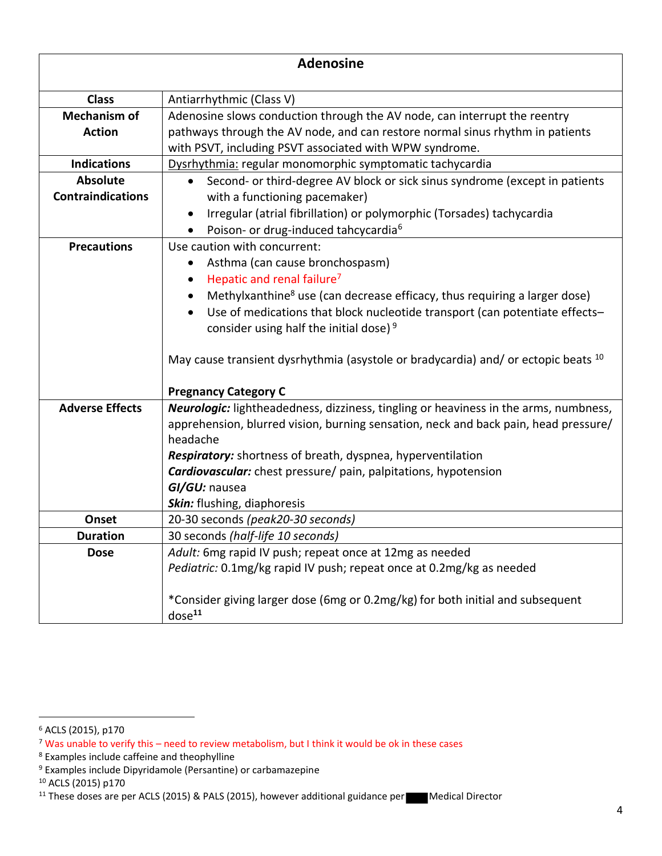| <b>Adenosine</b>                            |                                                                                                                                                                                                                                                                                                                                                                                                                                                                                                                               |
|---------------------------------------------|-------------------------------------------------------------------------------------------------------------------------------------------------------------------------------------------------------------------------------------------------------------------------------------------------------------------------------------------------------------------------------------------------------------------------------------------------------------------------------------------------------------------------------|
| <b>Class</b>                                | Antiarrhythmic (Class V)                                                                                                                                                                                                                                                                                                                                                                                                                                                                                                      |
| <b>Mechanism of</b><br><b>Action</b>        | Adenosine slows conduction through the AV node, can interrupt the reentry<br>pathways through the AV node, and can restore normal sinus rhythm in patients<br>with PSVT, including PSVT associated with WPW syndrome.                                                                                                                                                                                                                                                                                                         |
| <b>Indications</b>                          | Dysrhythmia: regular monomorphic symptomatic tachycardia                                                                                                                                                                                                                                                                                                                                                                                                                                                                      |
| <b>Absolute</b><br><b>Contraindications</b> | Second- or third-degree AV block or sick sinus syndrome (except in patients<br>$\bullet$<br>with a functioning pacemaker)<br>Irregular (atrial fibrillation) or polymorphic (Torsades) tachycardia<br>٠                                                                                                                                                                                                                                                                                                                       |
| <b>Precautions</b>                          | Poison- or drug-induced tahcycardia <sup>6</sup><br>Use caution with concurrent:<br>Asthma (can cause bronchospasm)<br>٠<br>Hepatic and renal failure <sup>7</sup><br>$\bullet$<br>Methylxanthine <sup>8</sup> use (can decrease efficacy, thus requiring a larger dose)<br>$\bullet$<br>Use of medications that block nucleotide transport (can potentiate effects-<br>$\bullet$<br>consider using half the initial dose) <sup>9</sup><br>May cause transient dysrhythmia (asystole or bradycardia) and/ or ectopic beats 10 |
|                                             | <b>Pregnancy Category C</b>                                                                                                                                                                                                                                                                                                                                                                                                                                                                                                   |
| <b>Adverse Effects</b>                      | <b>Neurologic:</b> lightheadedness, dizziness, tingling or heaviness in the arms, numbness,<br>apprehension, blurred vision, burning sensation, neck and back pain, head pressure/<br>headache<br>Respiratory: shortness of breath, dyspnea, hyperventilation<br><b>Cardiovascular:</b> chest pressure/ pain, palpitations, hypotension<br>GI/GU: nausea<br>Skin: flushing, diaphoresis                                                                                                                                       |
| Onset                                       | 20-30 seconds (peak20-30 seconds)                                                                                                                                                                                                                                                                                                                                                                                                                                                                                             |
| <b>Duration</b>                             | 30 seconds (half-life 10 seconds)                                                                                                                                                                                                                                                                                                                                                                                                                                                                                             |
| <b>Dose</b>                                 | Adult: 6mg rapid IV push; repeat once at 12mg as needed<br>Pediatric: 0.1mg/kg rapid IV push; repeat once at 0.2mg/kg as needed<br>*Consider giving larger dose (6mg or 0.2mg/kg) for both initial and subsequent                                                                                                                                                                                                                                                                                                             |
|                                             | dose <sup>11</sup>                                                                                                                                                                                                                                                                                                                                                                                                                                                                                                            |

<sup>6</sup> ACLS (2015), p170

<sup>&</sup>lt;sup>7</sup> Was unable to verify this – need to review metabolism, but I think it would be ok in these cases

<sup>&</sup>lt;sup>8</sup> Examples include caffeine and theophylline

<sup>9</sup> Examples include Dipyridamole (Persantine) or carbamazepine

<sup>10</sup> ACLS (2015) p170

<sup>11</sup> These doses are per ACLS (2015) & PALS (2015), however additional guidance per Medical Director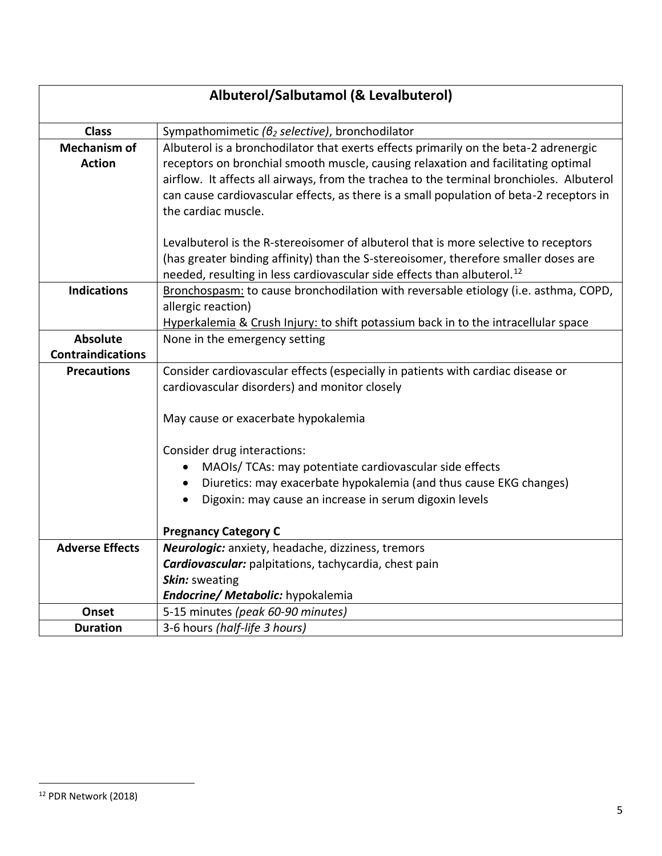| Albuterol/Salbutamol (& Levalbuterol) |                                                                                          |
|---------------------------------------|------------------------------------------------------------------------------------------|
| <b>Class</b>                          | Sympathomimetic ( $\beta_2$ selective), bronchodilator                                   |
| <b>Mechanism of</b>                   | Albuterol is a bronchodilator that exerts effects primarily on the beta-2 adrenergic     |
| <b>Action</b>                         | receptors on bronchial smooth muscle, causing relaxation and facilitating optimal        |
|                                       | airflow. It affects all airways, from the trachea to the terminal bronchioles. Albuterol |
|                                       | can cause cardiovascular effects, as there is a small population of beta-2 receptors in  |
|                                       | the cardiac muscle.                                                                      |
|                                       | Levalbuterol is the R-stereoisomer of albuterol that is more selective to receptors      |
|                                       | (has greater binding affinity) than the S-stereoisomer, therefore smaller doses are      |
|                                       | needed, resulting in less cardiovascular side effects than albuterol. <sup>12</sup>      |
| <b>Indications</b>                    | Bronchospasm: to cause bronchodilation with reversable etiology (i.e. asthma, COPD,      |
|                                       | allergic reaction)                                                                       |
|                                       | Hyperkalemia & Crush Injury: to shift potassium back in to the intracellular space       |
| <b>Absolute</b>                       | None in the emergency setting                                                            |
| <b>Contraindications</b>              |                                                                                          |
| <b>Precautions</b>                    | Consider cardiovascular effects (especially in patients with cardiac disease or          |
|                                       | cardiovascular disorders) and monitor closely                                            |
|                                       | May cause or exacerbate hypokalemia                                                      |
|                                       | Consider drug interactions:                                                              |
|                                       | MAOIs/ TCAs: may potentiate cardiovascular side effects                                  |
|                                       | Diuretics: may exacerbate hypokalemia (and thus cause EKG changes)                       |
|                                       | Digoxin: may cause an increase in serum digoxin levels                                   |
|                                       | <b>Pregnancy Category C</b>                                                              |
| <b>Adverse Effects</b>                | Neurologic: anxiety, headache, dizziness, tremors                                        |
|                                       | Cardiovascular: palpitations, tachycardia, chest pain                                    |
|                                       | Skin: sweating                                                                           |
|                                       | Endocrine/ Metabolic: hypokalemia                                                        |
| Onset                                 | 5-15 minutes (peak 60-90 minutes)                                                        |
| <b>Duration</b>                       | 3-6 hours (half-life 3 hours)                                                            |

<sup>12</sup> PDR Network (2018)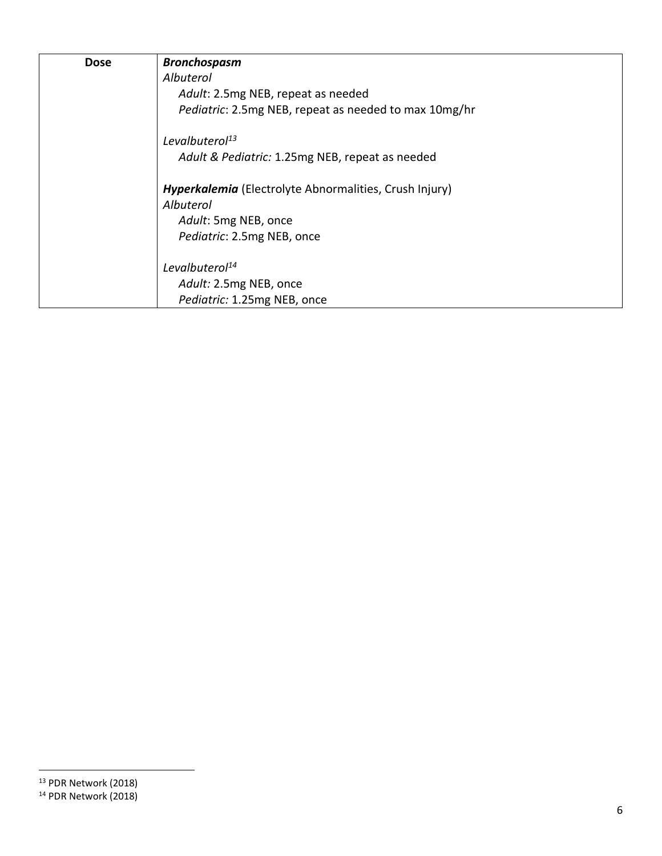| <b>Dose</b> | <b>Bronchospasm</b>                                           |
|-------------|---------------------------------------------------------------|
|             | Albuterol                                                     |
|             | Adult: 2.5mg NEB, repeat as needed                            |
|             | Pediatric: 2.5mg NEB, repeat as needed to max 10mg/hr         |
|             | Levalbuterol <sup>13</sup>                                    |
|             | Adult & Pediatric: 1.25mg NEB, repeat as needed               |
|             | <b>Hyperkalemia</b> (Electrolyte Abnormalities, Crush Injury) |
|             | Albuterol                                                     |
|             | Adult: 5mg NEB, once                                          |
|             | Pediatric: 2.5mg NEB, once                                    |
|             | Levalbuterol <sup>14</sup>                                    |
|             | Adult: 2.5mg NEB, once                                        |
|             | Pediatric: 1.25mg NEB, once                                   |

<sup>13</sup> PDR Network (2018) <sup>14</sup> PDR Network (2018)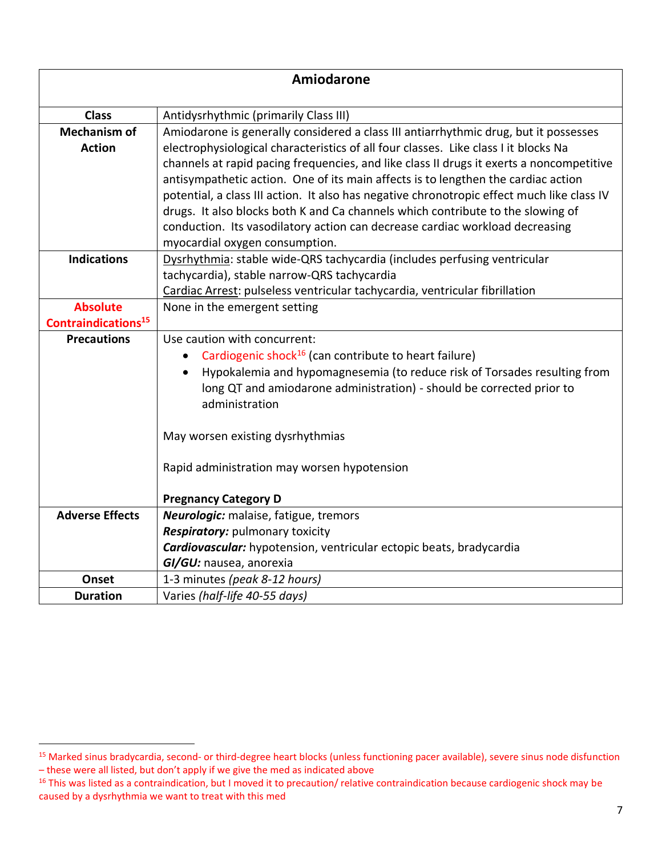|                                 | <b>Amiodarone</b>                                                                                                          |
|---------------------------------|----------------------------------------------------------------------------------------------------------------------------|
| <b>Class</b>                    | Antidysrhythmic (primarily Class III)                                                                                      |
| <b>Mechanism of</b>             | Amiodarone is generally considered a class III antiarrhythmic drug, but it possesses                                       |
| <b>Action</b>                   | electrophysiological characteristics of all four classes. Like class I it blocks Na                                        |
|                                 | channels at rapid pacing frequencies, and like class II drugs it exerts a noncompetitive                                   |
|                                 | antisympathetic action. One of its main affects is to lengthen the cardiac action                                          |
|                                 | potential, a class III action. It also has negative chronotropic effect much like class IV                                 |
|                                 | drugs. It also blocks both K and Ca channels which contribute to the slowing of                                            |
|                                 | conduction. Its vasodilatory action can decrease cardiac workload decreasing                                               |
|                                 | myocardial oxygen consumption.                                                                                             |
| <b>Indications</b>              | Dysrhythmia: stable wide-QRS tachycardia (includes perfusing ventricular                                                   |
|                                 | tachycardia), stable narrow-QRS tachycardia<br>Cardiac Arrest: pulseless ventricular tachycardia, ventricular fibrillation |
| <b>Absolute</b>                 | None in the emergent setting                                                                                               |
| Contraindications <sup>15</sup> |                                                                                                                            |
| <b>Precautions</b>              | Use caution with concurrent:                                                                                               |
|                                 | Cardiogenic shock <sup>16</sup> (can contribute to heart failure)                                                          |
|                                 | Hypokalemia and hypomagnesemia (to reduce risk of Torsades resulting from                                                  |
|                                 | long QT and amiodarone administration) - should be corrected prior to                                                      |
|                                 | administration                                                                                                             |
|                                 |                                                                                                                            |
|                                 | May worsen existing dysrhythmias                                                                                           |
|                                 |                                                                                                                            |
|                                 | Rapid administration may worsen hypotension                                                                                |
|                                 |                                                                                                                            |
|                                 | <b>Pregnancy Category D</b>                                                                                                |
| <b>Adverse Effects</b>          | Neurologic: malaise, fatigue, tremors                                                                                      |
|                                 | Respiratory: pulmonary toxicity                                                                                            |
|                                 | Cardiovascular: hypotension, ventricular ectopic beats, bradycardia                                                        |
| Onset                           | GI/GU: nausea, anorexia                                                                                                    |
| <b>Duration</b>                 | 1-3 minutes (peak 8-12 hours)                                                                                              |
|                                 | Varies (half-life 40-55 days)                                                                                              |

<sup>15</sup> Marked sinus bradycardia, second- or third-degree heart blocks (unless functioning pacer available), severe sinus node disfunction – these were all listed, but don't apply if we give the med as indicated above

<sup>&</sup>lt;sup>16</sup> This was listed as a contraindication, but I moved it to precaution/ relative contraindication because cardiogenic shock may be caused by a dysrhythmia we want to treat with this med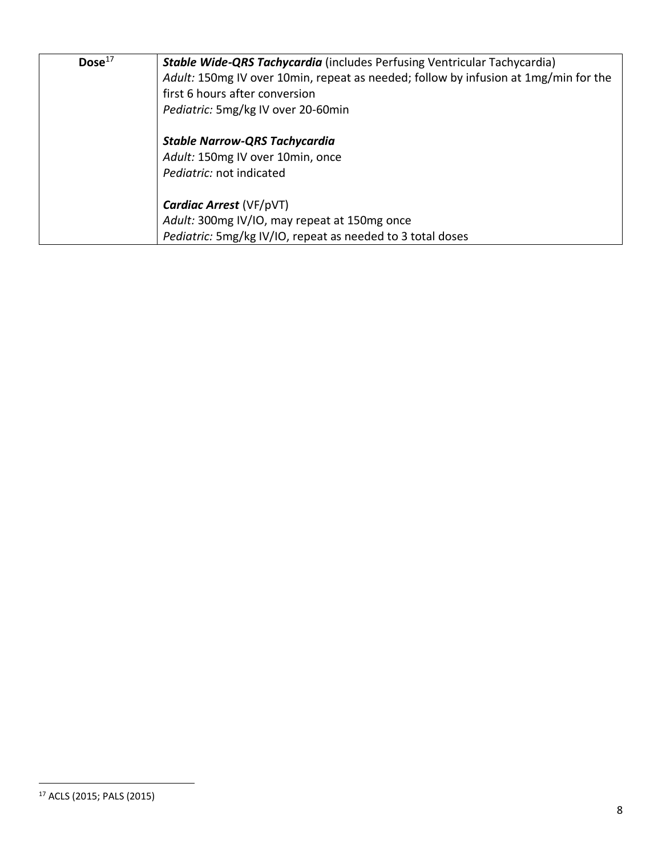| Dose <sup>17</sup> | <b>Stable Wide-QRS Tachycardia</b> (includes Perfusing Ventricular Tachycardia)     |
|--------------------|-------------------------------------------------------------------------------------|
|                    | Adult: 150mg IV over 10min, repeat as needed; follow by infusion at 1mg/min for the |
|                    | first 6 hours after conversion                                                      |
|                    | Pediatric: 5mg/kg IV over 20-60min                                                  |
|                    | <b>Stable Narrow-QRS Tachycardia</b>                                                |
|                    | Adult: 150mg IV over 10min, once                                                    |
|                    | Pediatric: not indicated                                                            |
|                    | <b>Cardiac Arrest (VF/pVT)</b>                                                      |
|                    | Adult: 300mg IV/IO, may repeat at 150mg once                                        |
|                    | Pediatric: 5mg/kg IV/IO, repeat as needed to 3 total doses                          |

<sup>17</sup> ACLS (2015; PALS (2015)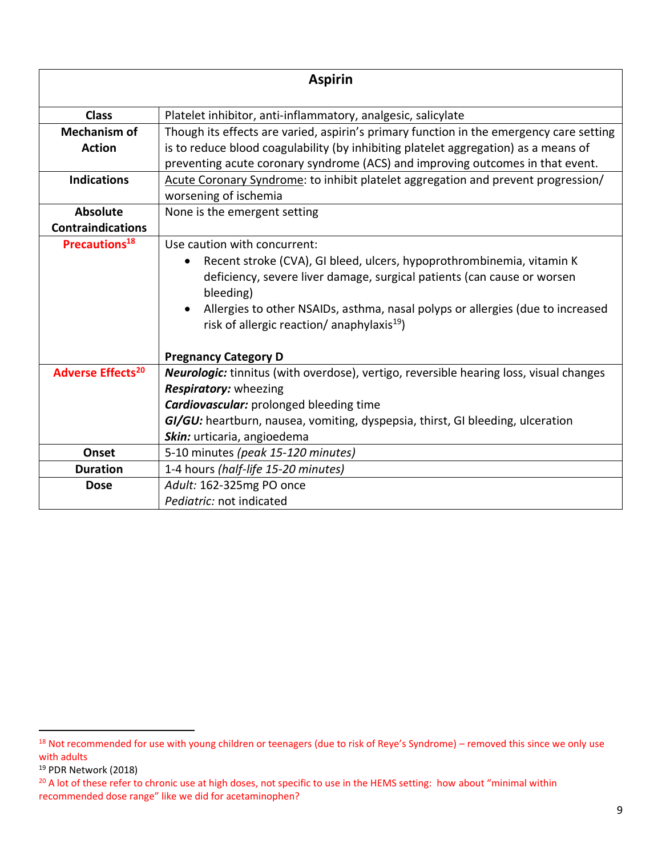|                                     | <b>Aspirin</b>                                                                                                                                                                                                                                                                                      |
|-------------------------------------|-----------------------------------------------------------------------------------------------------------------------------------------------------------------------------------------------------------------------------------------------------------------------------------------------------|
| <b>Class</b>                        | Platelet inhibitor, anti-inflammatory, analgesic, salicylate                                                                                                                                                                                                                                        |
| <b>Mechanism of</b>                 | Though its effects are varied, aspirin's primary function in the emergency care setting                                                                                                                                                                                                             |
| <b>Action</b>                       | is to reduce blood coagulability (by inhibiting platelet aggregation) as a means of                                                                                                                                                                                                                 |
|                                     | preventing acute coronary syndrome (ACS) and improving outcomes in that event.                                                                                                                                                                                                                      |
| <b>Indications</b>                  | Acute Coronary Syndrome: to inhibit platelet aggregation and prevent progression/                                                                                                                                                                                                                   |
|                                     | worsening of ischemia                                                                                                                                                                                                                                                                               |
| <b>Absolute</b>                     | None is the emergent setting                                                                                                                                                                                                                                                                        |
| <b>Contraindications</b>            |                                                                                                                                                                                                                                                                                                     |
| Precautions <sup>18</sup>           | Use caution with concurrent:                                                                                                                                                                                                                                                                        |
|                                     | Recent stroke (CVA), GI bleed, ulcers, hypoprothrombinemia, vitamin K<br>deficiency, severe liver damage, surgical patients (can cause or worsen<br>bleeding)<br>Allergies to other NSAIDs, asthma, nasal polyps or allergies (due to increased<br>risk of allergic reaction/ anaphylaxis $^{19}$ ) |
|                                     | <b>Pregnancy Category D</b>                                                                                                                                                                                                                                                                         |
| <b>Adverse Effects<sup>20</sup></b> | Neurologic: tinnitus (with overdose), vertigo, reversible hearing loss, visual changes                                                                                                                                                                                                              |
|                                     | <b>Respiratory:</b> wheezing                                                                                                                                                                                                                                                                        |
|                                     | <b>Cardiovascular:</b> prolonged bleeding time                                                                                                                                                                                                                                                      |
|                                     | GI/GU: heartburn, nausea, vomiting, dyspepsia, thirst, GI bleeding, ulceration                                                                                                                                                                                                                      |
|                                     | Skin: urticaria, angioedema                                                                                                                                                                                                                                                                         |
| Onset                               | 5-10 minutes (peak 15-120 minutes)                                                                                                                                                                                                                                                                  |
| <b>Duration</b>                     | 1-4 hours (half-life 15-20 minutes)                                                                                                                                                                                                                                                                 |
| <b>Dose</b>                         | Adult: 162-325mg PO once                                                                                                                                                                                                                                                                            |
|                                     | Pediatric: not indicated                                                                                                                                                                                                                                                                            |

<sup>&</sup>lt;sup>18</sup> Not recommended for use with young children or teenagers (due to risk of Reye's Syndrome) – removed this since we only use with adults

<sup>19</sup> PDR Network (2018)

<sup>&</sup>lt;sup>20</sup> A lot of these refer to chronic use at high doses, not specific to use in the HEMS setting: how about "minimal within recommended dose range" like we did for acetaminophen?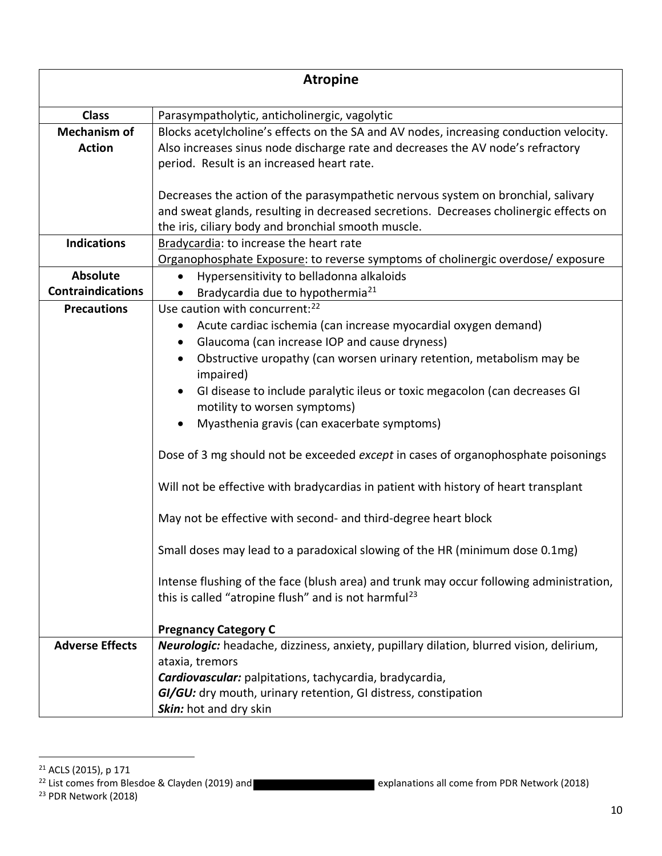| <b>Atropine</b>                             |                                                                                                                                                                                                                                                                                                                                                                                                                                                                                                                                                                                                                                                                                                                                                                                                                                                                                                                                              |
|---------------------------------------------|----------------------------------------------------------------------------------------------------------------------------------------------------------------------------------------------------------------------------------------------------------------------------------------------------------------------------------------------------------------------------------------------------------------------------------------------------------------------------------------------------------------------------------------------------------------------------------------------------------------------------------------------------------------------------------------------------------------------------------------------------------------------------------------------------------------------------------------------------------------------------------------------------------------------------------------------|
| <b>Class</b>                                | Parasympatholytic, anticholinergic, vagolytic                                                                                                                                                                                                                                                                                                                                                                                                                                                                                                                                                                                                                                                                                                                                                                                                                                                                                                |
| <b>Mechanism of</b><br><b>Action</b>        | Blocks acetylcholine's effects on the SA and AV nodes, increasing conduction velocity.<br>Also increases sinus node discharge rate and decreases the AV node's refractory<br>period. Result is an increased heart rate.                                                                                                                                                                                                                                                                                                                                                                                                                                                                                                                                                                                                                                                                                                                      |
|                                             | Decreases the action of the parasympathetic nervous system on bronchial, salivary<br>and sweat glands, resulting in decreased secretions. Decreases cholinergic effects on<br>the iris, ciliary body and bronchial smooth muscle.                                                                                                                                                                                                                                                                                                                                                                                                                                                                                                                                                                                                                                                                                                            |
| <b>Indications</b>                          | Bradycardia: to increase the heart rate<br>Organophosphate Exposure: to reverse symptoms of cholinergic overdose/exposure                                                                                                                                                                                                                                                                                                                                                                                                                                                                                                                                                                                                                                                                                                                                                                                                                    |
| <b>Absolute</b><br><b>Contraindications</b> | Hypersensitivity to belladonna alkaloids<br>Bradycardia due to hypothermia <sup>21</sup>                                                                                                                                                                                                                                                                                                                                                                                                                                                                                                                                                                                                                                                                                                                                                                                                                                                     |
| <b>Precautions</b>                          | Use caution with concurrent: <sup>22</sup><br>Acute cardiac ischemia (can increase myocardial oxygen demand)<br>Glaucoma (can increase IOP and cause dryness)<br>Obstructive uropathy (can worsen urinary retention, metabolism may be<br>impaired)<br>GI disease to include paralytic ileus or toxic megacolon (can decreases GI<br>motility to worsen symptoms)<br>Myasthenia gravis (can exacerbate symptoms)<br>Dose of 3 mg should not be exceeded except in cases of organophosphate poisonings<br>Will not be effective with bradycardias in patient with history of heart transplant<br>May not be effective with second- and third-degree heart block<br>Small doses may lead to a paradoxical slowing of the HR (minimum dose 0.1mg)<br>Intense flushing of the face (blush area) and trunk may occur following administration,<br>this is called "atropine flush" and is not harmful <sup>23</sup><br><b>Pregnancy Category C</b> |
| <b>Adverse Effects</b>                      | Neurologic: headache, dizziness, anxiety, pupillary dilation, blurred vision, delirium,<br>ataxia, tremors<br>Cardiovascular: palpitations, tachycardia, bradycardia,<br>GI/GU: dry mouth, urinary retention, GI distress, constipation<br>Skin: hot and dry skin                                                                                                                                                                                                                                                                                                                                                                                                                                                                                                                                                                                                                                                                            |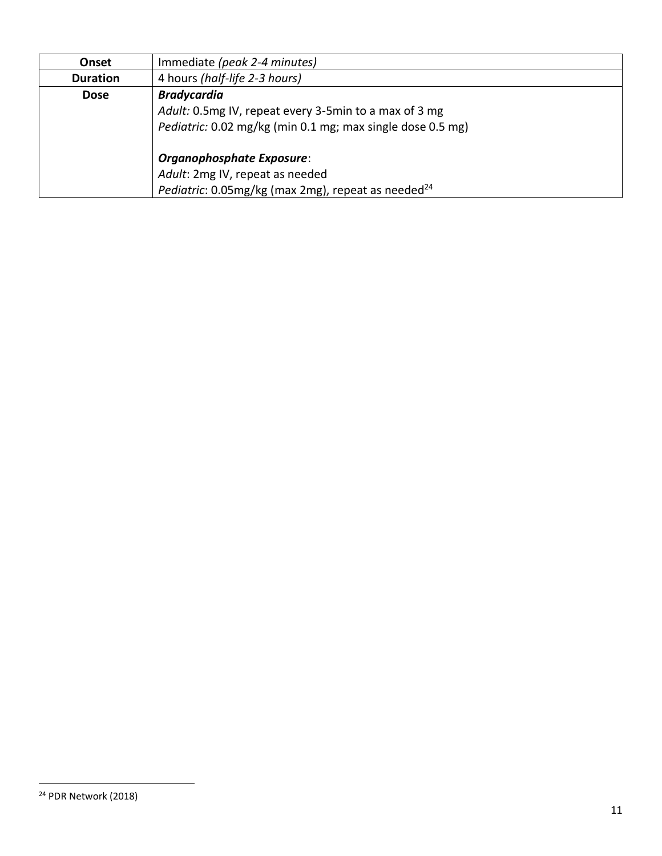| Onset           | Immediate (peak 2-4 minutes)                                   |
|-----------------|----------------------------------------------------------------|
| <b>Duration</b> | 4 hours (half-life 2-3 hours)                                  |
| <b>Dose</b>     | <b>Bradycardia</b>                                             |
|                 | Adult: 0.5mg IV, repeat every 3-5min to a max of 3 mg          |
|                 | Pediatric: 0.02 mg/kg (min 0.1 mg; max single dose 0.5 mg)     |
|                 | Organophosphate Exposure:                                      |
|                 | Adult: 2mg IV, repeat as needed                                |
|                 | Pediatric: 0.05mg/kg (max 2mg), repeat as needed <sup>24</sup> |

<sup>24</sup> PDR Network (2018)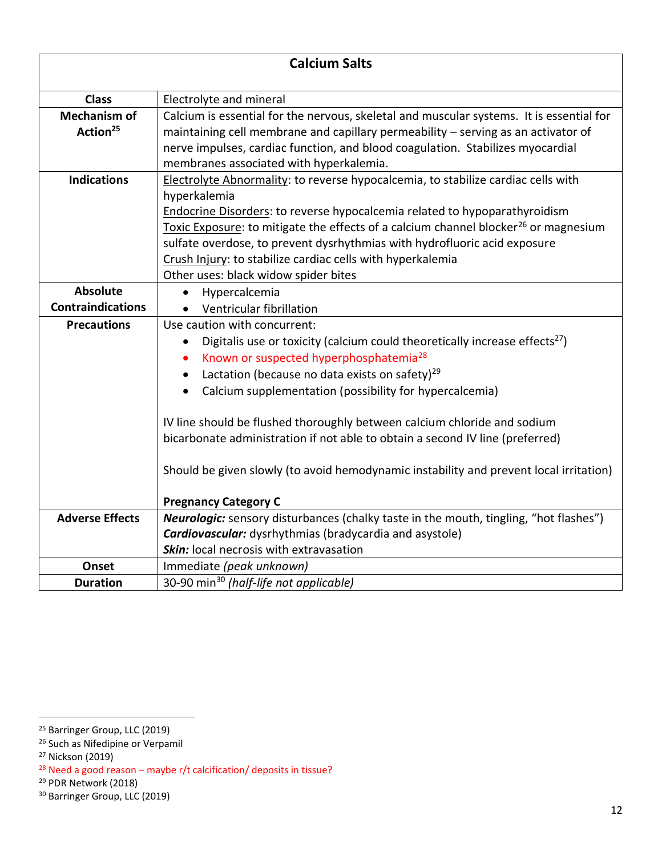| <b>Calcium Salts</b>                        |                                                                                                                                                                                                                                                                                                                                                                                                                                                                                                                                                                                                                        |
|---------------------------------------------|------------------------------------------------------------------------------------------------------------------------------------------------------------------------------------------------------------------------------------------------------------------------------------------------------------------------------------------------------------------------------------------------------------------------------------------------------------------------------------------------------------------------------------------------------------------------------------------------------------------------|
| <b>Class</b>                                | Electrolyte and mineral                                                                                                                                                                                                                                                                                                                                                                                                                                                                                                                                                                                                |
| <b>Mechanism of</b><br>Action <sup>25</sup> | Calcium is essential for the nervous, skeletal and muscular systems. It is essential for<br>maintaining cell membrane and capillary permeability - serving as an activator of<br>nerve impulses, cardiac function, and blood coagulation. Stabilizes myocardial<br>membranes associated with hyperkalemia.                                                                                                                                                                                                                                                                                                             |
| <b>Indications</b>                          | Electrolyte Abnormality: to reverse hypocalcemia, to stabilize cardiac cells with<br>hyperkalemia<br>Endocrine Disorders: to reverse hypocalcemia related to hypoparathyroidism<br>Toxic Exposure: to mitigate the effects of a calcium channel blocker <sup>26</sup> or magnesium<br>sulfate overdose, to prevent dysrhythmias with hydrofluoric acid exposure<br>Crush Injury: to stabilize cardiac cells with hyperkalemia<br>Other uses: black widow spider bites                                                                                                                                                  |
| <b>Absolute</b>                             | Hypercalcemia                                                                                                                                                                                                                                                                                                                                                                                                                                                                                                                                                                                                          |
| <b>Contraindications</b>                    | Ventricular fibrillation                                                                                                                                                                                                                                                                                                                                                                                                                                                                                                                                                                                               |
| <b>Precautions</b>                          | Use caution with concurrent:<br>Digitalis use or toxicity (calcium could theoretically increase effects <sup>27</sup> )<br>Known or suspected hyperphosphatemia <sup>28</sup><br>$\bullet$<br>Lactation (because no data exists on safety) <sup>29</sup><br>Calcium supplementation (possibility for hypercalcemia)<br>$\bullet$<br>IV line should be flushed thoroughly between calcium chloride and sodium<br>bicarbonate administration if not able to obtain a second IV line (preferred)<br>Should be given slowly (to avoid hemodynamic instability and prevent local irritation)<br><b>Pregnancy Category C</b> |
| <b>Adverse Effects</b>                      | Neurologic: sensory disturbances (chalky taste in the mouth, tingling, "hot flashes")                                                                                                                                                                                                                                                                                                                                                                                                                                                                                                                                  |
|                                             | Cardiovascular: dysrhythmias (bradycardia and asystole)<br>Skin: local necrosis with extravasation                                                                                                                                                                                                                                                                                                                                                                                                                                                                                                                     |
| Onset                                       | Immediate (peak unknown)                                                                                                                                                                                                                                                                                                                                                                                                                                                                                                                                                                                               |
| <b>Duration</b>                             | 30-90 min <sup>30</sup> (half-life not applicable)                                                                                                                                                                                                                                                                                                                                                                                                                                                                                                                                                                     |

<sup>&</sup>lt;sup>25</sup> Barringer Group, LLC (2019)

<sup>&</sup>lt;sup>26</sup> Such as Nifedipine or Verpamil

<sup>27</sup> Nickson (2019)

 $28$  Need a good reason – maybe r/t calcification/ deposits in tissue?

<sup>29</sup> PDR Network (2018)

<sup>&</sup>lt;sup>30</sup> Barringer Group, LLC (2019)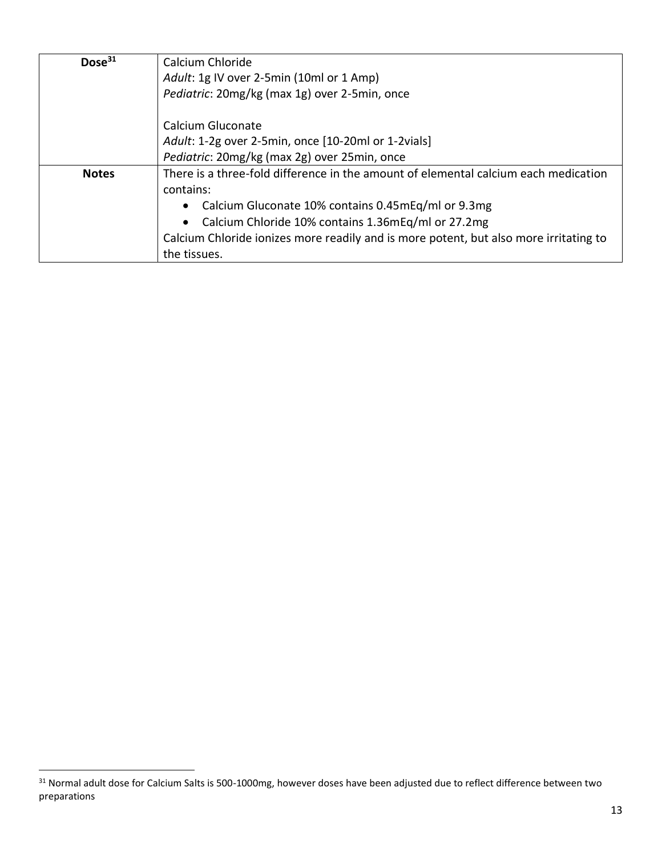| Dose <sup>31</sup> | Calcium Chloride                                                                      |
|--------------------|---------------------------------------------------------------------------------------|
|                    | Adult: 1g IV over 2-5min (10ml or 1 Amp)                                              |
|                    | Pediatric: 20mg/kg (max 1g) over 2-5min, once                                         |
|                    | Calcium Gluconate                                                                     |
|                    | Adult: 1-2g over 2-5min, once [10-20ml or 1-2vials]                                   |
|                    | Pediatric: 20mg/kg (max 2g) over 25min, once                                          |
| <b>Notes</b>       | There is a three-fold difference in the amount of elemental calcium each medication   |
|                    | contains:                                                                             |
|                    | • Calcium Gluconate 10% contains 0.45mEq/ml or 9.3mg                                  |
|                    | • Calcium Chloride 10% contains 1.36mEq/ml or 27.2mg                                  |
|                    | Calcium Chloride ionizes more readily and is more potent, but also more irritating to |
|                    | the tissues.                                                                          |

<sup>31</sup> Normal adult dose for Calcium Salts is 500-1000mg, however doses have been adjusted due to reflect difference between two preparations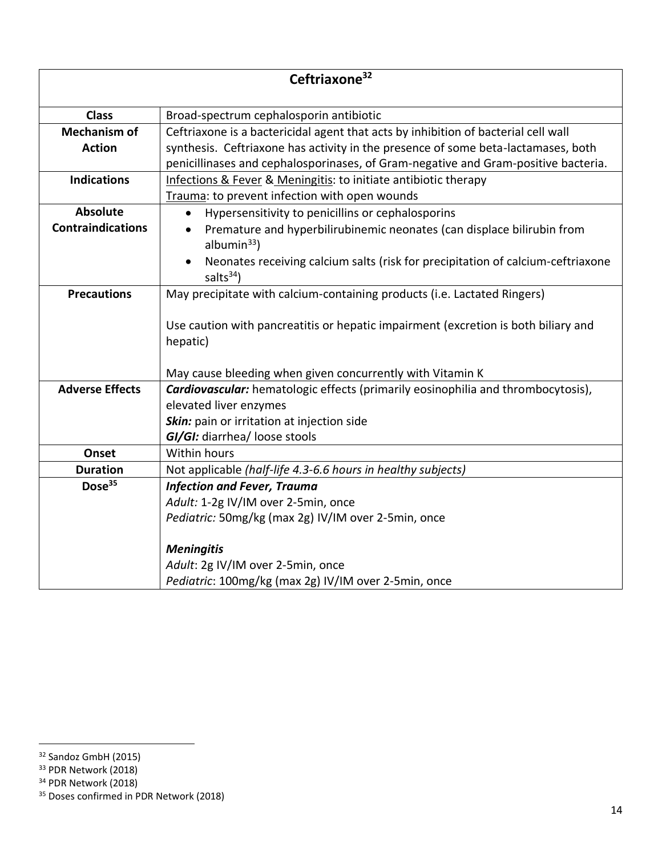| Ceftriaxone <sup>32</sup> |                                                                                                          |
|---------------------------|----------------------------------------------------------------------------------------------------------|
| <b>Class</b>              | Broad-spectrum cephalosporin antibiotic                                                                  |
| <b>Mechanism of</b>       | Ceftriaxone is a bactericidal agent that acts by inhibition of bacterial cell wall                       |
| <b>Action</b>             | synthesis. Ceftriaxone has activity in the presence of some beta-lactamases, both                        |
|                           | penicillinases and cephalosporinases, of Gram-negative and Gram-positive bacteria.                       |
| <b>Indications</b>        | Infections & Fever & Meningitis: to initiate antibiotic therapy                                          |
|                           | Trauma: to prevent infection with open wounds                                                            |
| <b>Absolute</b>           | Hypersensitivity to penicillins or cephalosporins                                                        |
| <b>Contraindications</b>  | Premature and hyperbilirubinemic neonates (can displace bilirubin from<br>albumin $33$ )                 |
|                           | Neonates receiving calcium salts (risk for precipitation of calcium-ceftriaxone<br>salts <sup>34</sup> ) |
| <b>Precautions</b>        | May precipitate with calcium-containing products (i.e. Lactated Ringers)                                 |
|                           |                                                                                                          |
|                           | Use caution with pancreatitis or hepatic impairment (excretion is both biliary and                       |
|                           | hepatic)                                                                                                 |
|                           |                                                                                                          |
|                           | May cause bleeding when given concurrently with Vitamin K                                                |
| <b>Adverse Effects</b>    | <b>Cardiovascular:</b> hematologic effects (primarily eosinophilia and thrombocytosis),                  |
|                           | elevated liver enzymes                                                                                   |
|                           | Skin: pain or irritation at injection side                                                               |
|                           | GI/GI: diarrhea/ loose stools                                                                            |
| Onset                     | <b>Within hours</b>                                                                                      |
| <b>Duration</b>           | Not applicable (half-life 4.3-6.6 hours in healthy subjects)                                             |
| Dose <sup>35</sup>        | <b>Infection and Fever, Trauma</b>                                                                       |
|                           | Adult: 1-2g IV/IM over 2-5min, once                                                                      |
|                           | Pediatric: 50mg/kg (max 2g) IV/IM over 2-5min, once                                                      |
|                           | <b>Meningitis</b>                                                                                        |
|                           | Adult: 2g IV/IM over 2-5min, once                                                                        |
|                           | Pediatric: 100mg/kg (max 2g) IV/IM over 2-5min, once                                                     |

<sup>&</sup>lt;sup>32</sup> Sandoz GmbH (2015)

<sup>&</sup>lt;sup>33</sup> PDR Network (2018)

<sup>34</sup> PDR Network (2018)

<sup>&</sup>lt;sup>35</sup> Doses confirmed in PDR Network (2018)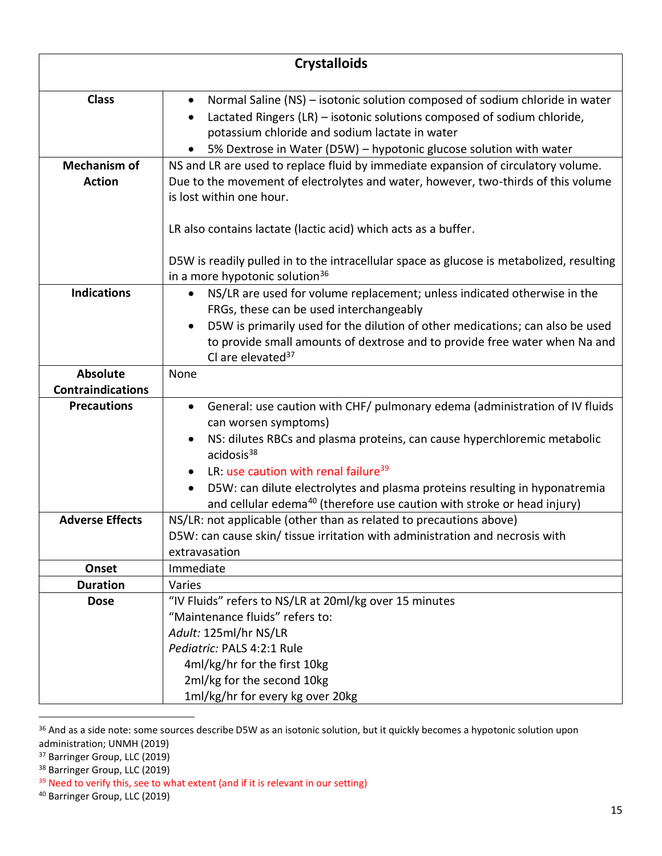|                          | <b>Crystalloids</b>                                                                                              |
|--------------------------|------------------------------------------------------------------------------------------------------------------|
| <b>Class</b>             | Normal Saline (NS) - isotonic solution composed of sodium chloride in water<br>$\bullet$                         |
|                          | Lactated Ringers (LR) - isotonic solutions composed of sodium chloride,<br>$\bullet$                             |
|                          | potassium chloride and sodium lactate in water                                                                   |
|                          | 5% Dextrose in Water (D5W) - hypotonic glucose solution with water                                               |
| <b>Mechanism of</b>      | NS and LR are used to replace fluid by immediate expansion of circulatory volume.                                |
| <b>Action</b>            | Due to the movement of electrolytes and water, however, two-thirds of this volume<br>is lost within one hour.    |
|                          |                                                                                                                  |
|                          | LR also contains lactate (lactic acid) which acts as a buffer.                                                   |
|                          | D5W is readily pulled in to the intracellular space as glucose is metabolized, resulting                         |
|                          | in a more hypotonic solution <sup>36</sup>                                                                       |
| <b>Indications</b>       | NS/LR are used for volume replacement; unless indicated otherwise in the<br>$\bullet$                            |
|                          | FRGs, these can be used interchangeably                                                                          |
|                          | D5W is primarily used for the dilution of other medications; can also be used<br>$\bullet$                       |
|                          | to provide small amounts of dextrose and to provide free water when Na and<br>Cl are elevated <sup>37</sup>      |
| <b>Absolute</b>          | None                                                                                                             |
| <b>Contraindications</b> |                                                                                                                  |
| <b>Precautions</b>       | General: use caution with CHF/ pulmonary edema (administration of IV fluids<br>$\bullet$<br>can worsen symptoms) |
|                          | NS: dilutes RBCs and plasma proteins, can cause hyperchloremic metabolic<br>acidosis <sup>38</sup>               |
|                          | LR: use caution with renal failure <sup>39</sup>                                                                 |
|                          | D5W: can dilute electrolytes and plasma proteins resulting in hyponatremia<br>$\bullet$                          |
|                          | and cellular edema <sup>40</sup> (therefore use caution with stroke or head injury)                              |
| <b>Adverse Effects</b>   | NS/LR: not applicable (other than as related to precautions above)                                               |
|                          | D5W: can cause skin/ tissue irritation with administration and necrosis with                                     |
| Onset                    | extravasation<br>Immediate                                                                                       |
| <b>Duration</b>          | Varies                                                                                                           |
| <b>Dose</b>              | "IV Fluids" refers to NS/LR at 20ml/kg over 15 minutes                                                           |
|                          | "Maintenance fluids" refers to:                                                                                  |
|                          | Adult: 125ml/hr NS/LR                                                                                            |
|                          | Pediatric: PALS 4:2:1 Rule                                                                                       |
|                          | 4ml/kg/hr for the first 10kg                                                                                     |
|                          | 2ml/kg for the second 10kg                                                                                       |
|                          | 1ml/kg/hr for every kg over 20kg                                                                                 |

<sup>&</sup>lt;sup>36</sup> And as a side note: some sources describe D5W as an isotonic solution, but it quickly becomes a hypotonic solution upon administration; UNMH (2019)

<sup>37</sup> Barringer Group, LLC (2019)

<sup>38</sup> Barringer Group, LLC (2019)

<sup>&</sup>lt;sup>39</sup> Need to verify this, see to what extent (and if it is relevant in our setting)

<sup>40</sup> Barringer Group, LLC (2019)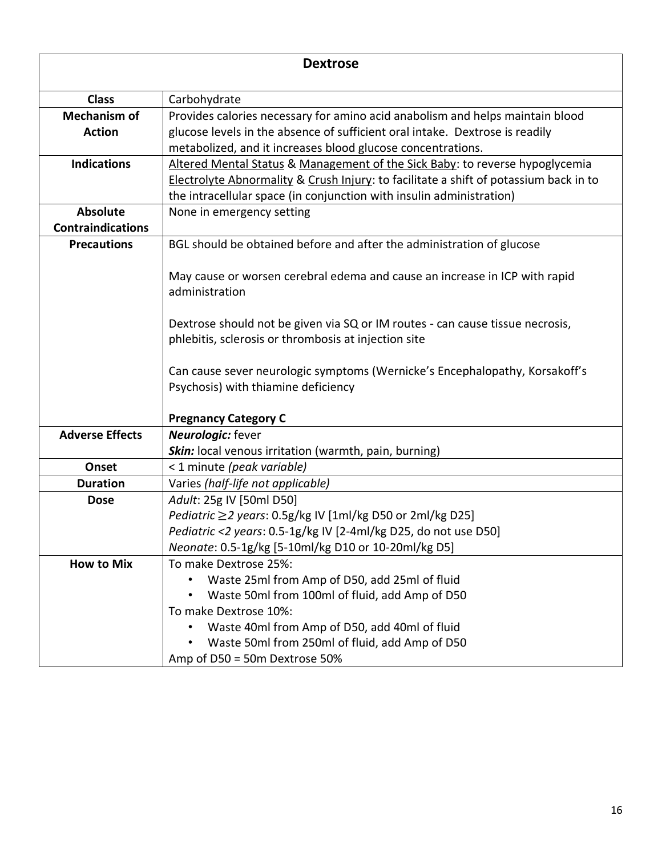| <b>Dextrose</b>          |                                                                                       |
|--------------------------|---------------------------------------------------------------------------------------|
| <b>Class</b>             | Carbohydrate                                                                          |
| <b>Mechanism of</b>      | Provides calories necessary for amino acid anabolism and helps maintain blood         |
| <b>Action</b>            | glucose levels in the absence of sufficient oral intake. Dextrose is readily          |
|                          | metabolized, and it increases blood glucose concentrations.                           |
| <b>Indications</b>       | Altered Mental Status & Management of the Sick Baby: to reverse hypoglycemia          |
|                          | Electrolyte Abnormality & Crush Injury: to facilitate a shift of potassium back in to |
|                          | the intracellular space (in conjunction with insulin administration)                  |
| <b>Absolute</b>          | None in emergency setting                                                             |
| <b>Contraindications</b> |                                                                                       |
| <b>Precautions</b>       | BGL should be obtained before and after the administration of glucose                 |
|                          |                                                                                       |
|                          | May cause or worsen cerebral edema and cause an increase in ICP with rapid            |
|                          | administration                                                                        |
|                          |                                                                                       |
|                          | Dextrose should not be given via SQ or IM routes - can cause tissue necrosis,         |
|                          | phlebitis, sclerosis or thrombosis at injection site                                  |
|                          | Can cause sever neurologic symptoms (Wernicke's Encephalopathy, Korsakoff's           |
|                          | Psychosis) with thiamine deficiency                                                   |
|                          |                                                                                       |
|                          | <b>Pregnancy Category C</b>                                                           |
| <b>Adverse Effects</b>   | <b>Neurologic:</b> fever                                                              |
|                          | Skin: local venous irritation (warmth, pain, burning)                                 |
| Onset                    | < 1 minute (peak variable)                                                            |
| <b>Duration</b>          | Varies (half-life not applicable)                                                     |
| <b>Dose</b>              | Adult: 25g IV [50ml D50]                                                              |
|                          | Pediatric ≥2 years: 0.5g/kg IV [1ml/kg D50 or 2ml/kg D25]                             |
|                          | Pediatric <2 years: 0.5-1g/kg IV [2-4ml/kg D25, do not use D50]                       |
|                          | Neonate: 0.5-1g/kg [5-10ml/kg D10 or 10-20ml/kg D5]                                   |
| <b>How to Mix</b>        | To make Dextrose 25%:                                                                 |
|                          | Waste 25ml from Amp of D50, add 25ml of fluid                                         |
|                          | Waste 50ml from 100ml of fluid, add Amp of D50                                        |
|                          | To make Dextrose 10%:                                                                 |
|                          | Waste 40ml from Amp of D50, add 40ml of fluid                                         |
|                          | Waste 50ml from 250ml of fluid, add Amp of D50                                        |
|                          | Amp of D50 = 50m Dextrose 50%                                                         |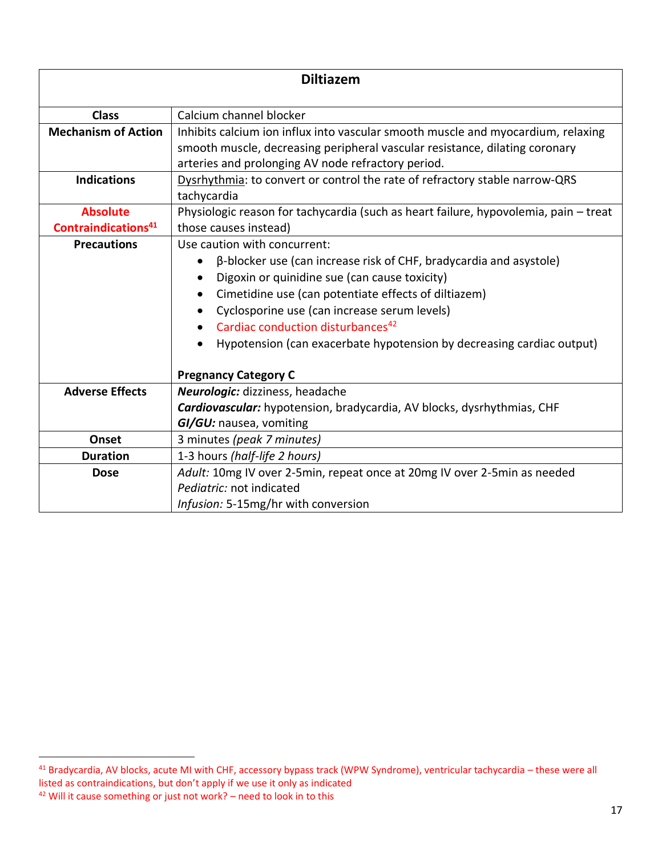| <b>Diltiazem</b>                                   |                                                                                                                                                                                                                                                                                                                                                                                                                      |
|----------------------------------------------------|----------------------------------------------------------------------------------------------------------------------------------------------------------------------------------------------------------------------------------------------------------------------------------------------------------------------------------------------------------------------------------------------------------------------|
| <b>Class</b>                                       | Calcium channel blocker                                                                                                                                                                                                                                                                                                                                                                                              |
| <b>Mechanism of Action</b>                         | Inhibits calcium ion influx into vascular smooth muscle and myocardium, relaxing<br>smooth muscle, decreasing peripheral vascular resistance, dilating coronary<br>arteries and prolonging AV node refractory period.                                                                                                                                                                                                |
| <b>Indications</b>                                 | Dysrhythmia: to convert or control the rate of refractory stable narrow-QRS<br>tachycardia                                                                                                                                                                                                                                                                                                                           |
| <b>Absolute</b><br>Contraindications <sup>41</sup> | Physiologic reason for tachycardia (such as heart failure, hypovolemia, pain - treat<br>those causes instead)                                                                                                                                                                                                                                                                                                        |
| <b>Precautions</b>                                 | Use caution with concurrent:<br>β-blocker use (can increase risk of CHF, bradycardia and asystole)<br>Digoxin or quinidine sue (can cause toxicity)<br>Cimetidine use (can potentiate effects of diltiazem)<br>Cyclosporine use (can increase serum levels)<br>Cardiac conduction disturbances <sup>42</sup><br>Hypotension (can exacerbate hypotension by decreasing cardiac output)<br><b>Pregnancy Category C</b> |
| <b>Adverse Effects</b>                             | Neurologic: dizziness, headache<br>Cardiovascular: hypotension, bradycardia, AV blocks, dysrhythmias, CHF<br>GI/GU: nausea, vomiting                                                                                                                                                                                                                                                                                 |
| Onset                                              | 3 minutes (peak 7 minutes)                                                                                                                                                                                                                                                                                                                                                                                           |
| <b>Duration</b>                                    | 1-3 hours (half-life 2 hours)                                                                                                                                                                                                                                                                                                                                                                                        |
| <b>Dose</b>                                        | Adult: 10mg IV over 2-5min, repeat once at 20mg IV over 2-5min as needed<br>Pediatric: not indicated<br>Infusion: 5-15mg/hr with conversion                                                                                                                                                                                                                                                                          |

<sup>41</sup> Bradycardia, AV blocks, acute MI with CHF, accessory bypass track (WPW Syndrome), ventricular tachycardia – these were all listed as contraindications, but don't apply if we use it only as indicated <sup>42</sup> Will it cause something or just not work? – need to look in to this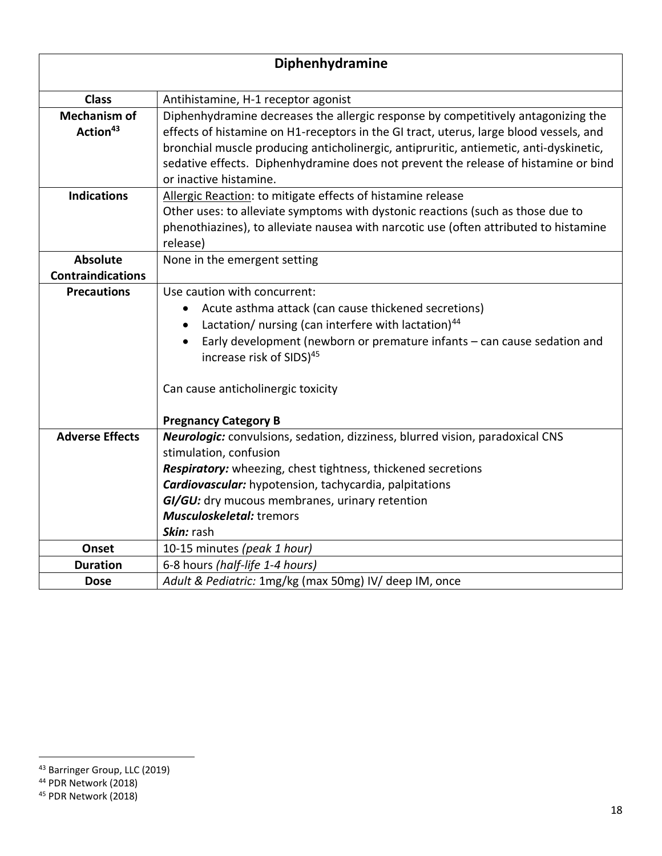| Diphenhydramine                             |                                                                                                                                                                                                                                                                                                                                                                                        |
|---------------------------------------------|----------------------------------------------------------------------------------------------------------------------------------------------------------------------------------------------------------------------------------------------------------------------------------------------------------------------------------------------------------------------------------------|
| <b>Class</b>                                | Antihistamine, H-1 receptor agonist                                                                                                                                                                                                                                                                                                                                                    |
| <b>Mechanism of</b><br>Action <sup>43</sup> | Diphenhydramine decreases the allergic response by competitively antagonizing the<br>effects of histamine on H1-receptors in the GI tract, uterus, large blood vessels, and<br>bronchial muscle producing anticholinergic, antipruritic, antiemetic, anti-dyskinetic,<br>sedative effects. Diphenhydramine does not prevent the release of histamine or bind<br>or inactive histamine. |
| <b>Indications</b>                          | Allergic Reaction: to mitigate effects of histamine release<br>Other uses: to alleviate symptoms with dystonic reactions (such as those due to<br>phenothiazines), to alleviate nausea with narcotic use (often attributed to histamine<br>release)                                                                                                                                    |
| <b>Absolute</b>                             | None in the emergent setting                                                                                                                                                                                                                                                                                                                                                           |
| <b>Contraindications</b>                    |                                                                                                                                                                                                                                                                                                                                                                                        |
| <b>Precautions</b>                          | Use caution with concurrent:<br>Acute asthma attack (can cause thickened secretions)<br>Lactation/ nursing (can interfere with lactation) <sup>44</sup><br>Early development (newborn or premature infants - can cause sedation and<br>increase risk of SIDS) <sup>45</sup><br>Can cause anticholinergic toxicity<br><b>Pregnancy Category B</b>                                       |
| <b>Adverse Effects</b>                      | Neurologic: convulsions, sedation, dizziness, blurred vision, paradoxical CNS<br>stimulation, confusion<br>Respiratory: wheezing, chest tightness, thickened secretions<br>Cardiovascular: hypotension, tachycardia, palpitations<br>GI/GU: dry mucous membranes, urinary retention<br><b>Musculoskeletal:</b> tremors<br>Skin: rash                                                   |
| Onset                                       | 10-15 minutes (peak 1 hour)                                                                                                                                                                                                                                                                                                                                                            |
| <b>Duration</b>                             | 6-8 hours (half-life 1-4 hours)                                                                                                                                                                                                                                                                                                                                                        |
| <b>Dose</b>                                 | Adult & Pediatric: 1mg/kg (max 50mg) IV/ deep IM, once                                                                                                                                                                                                                                                                                                                                 |

<sup>&</sup>lt;sup>43</sup> Barringer Group, LLC (2019)

<sup>44</sup> PDR Network (2018)

<sup>45</sup> PDR Network (2018)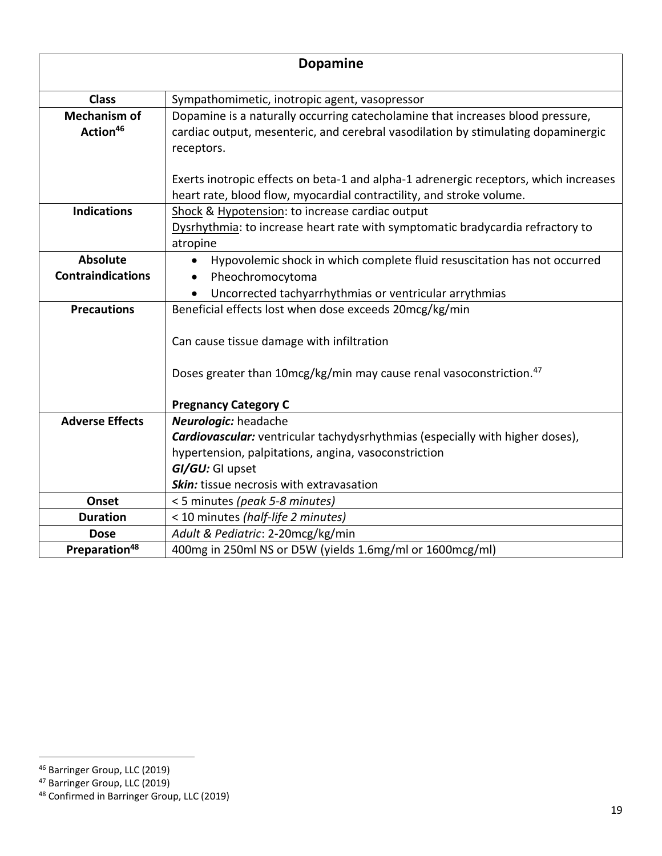| <b>Dopamine</b>                             |                                                                                                                                                                                   |
|---------------------------------------------|-----------------------------------------------------------------------------------------------------------------------------------------------------------------------------------|
| <b>Class</b>                                | Sympathomimetic, inotropic agent, vasopressor                                                                                                                                     |
| <b>Mechanism of</b><br>Action <sup>46</sup> | Dopamine is a naturally occurring catecholamine that increases blood pressure,<br>cardiac output, mesenteric, and cerebral vasodilation by stimulating dopaminergic<br>receptors. |
|                                             | Exerts inotropic effects on beta-1 and alpha-1 adrenergic receptors, which increases<br>heart rate, blood flow, myocardial contractility, and stroke volume.                      |
| <b>Indications</b>                          | Shock & Hypotension: to increase cardiac output<br>Dysrhythmia: to increase heart rate with symptomatic bradycardia refractory to<br>atropine                                     |
| <b>Absolute</b>                             | Hypovolemic shock in which complete fluid resuscitation has not occurred                                                                                                          |
| <b>Contraindications</b>                    | Pheochromocytoma                                                                                                                                                                  |
|                                             | Uncorrected tachyarrhythmias or ventricular arrythmias                                                                                                                            |
| <b>Precautions</b>                          | Beneficial effects lost when dose exceeds 20mcg/kg/min                                                                                                                            |
|                                             | Can cause tissue damage with infiltration                                                                                                                                         |
|                                             | Doses greater than 10mcg/kg/min may cause renal vasoconstriction. <sup>47</sup>                                                                                                   |
|                                             | <b>Pregnancy Category C</b>                                                                                                                                                       |
| <b>Adverse Effects</b>                      | <b>Neurologic:</b> headache                                                                                                                                                       |
|                                             | <b>Cardiovascular:</b> ventricular tachydysrhythmias (especially with higher doses),                                                                                              |
|                                             | hypertension, palpitations, angina, vasoconstriction                                                                                                                              |
|                                             | GI/GU: GI upset                                                                                                                                                                   |
|                                             | <b>Skin:</b> tissue necrosis with extravasation                                                                                                                                   |
| Onset                                       | <5 minutes (peak 5-8 minutes)                                                                                                                                                     |
| <b>Duration</b>                             | < 10 minutes (half-life 2 minutes)                                                                                                                                                |
| <b>Dose</b>                                 | Adult & Pediatric: 2-20mcg/kg/min                                                                                                                                                 |
| Preparation <sup>48</sup>                   | 400mg in 250ml NS or D5W (yields 1.6mg/ml or 1600mcg/ml)                                                                                                                          |

<sup>&</sup>lt;sup>46</sup> Barringer Group, LLC (2019)

<sup>&</sup>lt;sup>47</sup> Barringer Group, LLC (2019)

<sup>48</sup> Confirmed in Barringer Group, LLC (2019)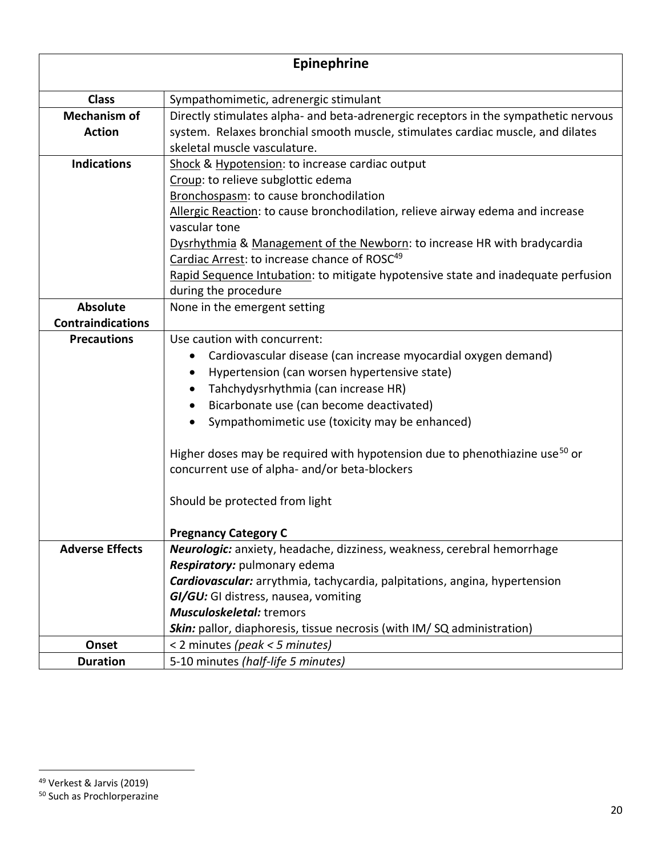| Epinephrine                                    |                                                                                                                                                                                                                                                                                                                                                                                                 |
|------------------------------------------------|-------------------------------------------------------------------------------------------------------------------------------------------------------------------------------------------------------------------------------------------------------------------------------------------------------------------------------------------------------------------------------------------------|
| <b>Class</b>                                   | Sympathomimetic, adrenergic stimulant                                                                                                                                                                                                                                                                                                                                                           |
| <b>Mechanism of</b><br><b>Action</b>           | Directly stimulates alpha- and beta-adrenergic receptors in the sympathetic nervous<br>system. Relaxes bronchial smooth muscle, stimulates cardiac muscle, and dilates                                                                                                                                                                                                                          |
| <b>Indications</b>                             | skeletal muscle vasculature.<br>Shock & Hypotension: to increase cardiac output<br>Croup: to relieve subglottic edema                                                                                                                                                                                                                                                                           |
|                                                | Bronchospasm: to cause bronchodilation<br>Allergic Reaction: to cause bronchodilation, relieve airway edema and increase<br>vascular tone                                                                                                                                                                                                                                                       |
|                                                | Dysrhythmia & Management of the Newborn: to increase HR with bradycardia<br>Cardiac Arrest: to increase chance of ROSC <sup>49</sup>                                                                                                                                                                                                                                                            |
|                                                | Rapid Sequence Intubation: to mitigate hypotensive state and inadequate perfusion<br>during the procedure                                                                                                                                                                                                                                                                                       |
| <b>Absolute</b>                                | None in the emergent setting                                                                                                                                                                                                                                                                                                                                                                    |
| <b>Contraindications</b><br><b>Precautions</b> | Use caution with concurrent:                                                                                                                                                                                                                                                                                                                                                                    |
|                                                | Cardiovascular disease (can increase myocardial oxygen demand)<br>Hypertension (can worsen hypertensive state)<br>Tahchydysrhythmia (can increase HR)<br>Bicarbonate use (can become deactivated)<br>Sympathomimetic use (toxicity may be enhanced)<br>Higher doses may be required with hypotension due to phenothiazine use <sup>50</sup> or<br>concurrent use of alpha- and/or beta-blockers |
|                                                | Should be protected from light                                                                                                                                                                                                                                                                                                                                                                  |
| <b>Adverse Effects</b>                         | <b>Pregnancy Category C</b><br>Neurologic: anxiety, headache, dizziness, weakness, cerebral hemorrhage                                                                                                                                                                                                                                                                                          |
|                                                | Respiratory: pulmonary edema<br>Cardiovascular: arrythmia, tachycardia, palpitations, angina, hypertension<br>GI/GU: GI distress, nausea, vomiting<br>Musculoskeletal: tremors                                                                                                                                                                                                                  |
|                                                | <b>Skin:</b> pallor, diaphoresis, tissue necrosis (with IM/SQ administration)                                                                                                                                                                                                                                                                                                                   |
| Onset                                          | < 2 minutes (peak < 5 minutes)                                                                                                                                                                                                                                                                                                                                                                  |
| <b>Duration</b>                                | 5-10 minutes (half-life 5 minutes)                                                                                                                                                                                                                                                                                                                                                              |

<sup>49</sup> Verkest & Jarvis (2019)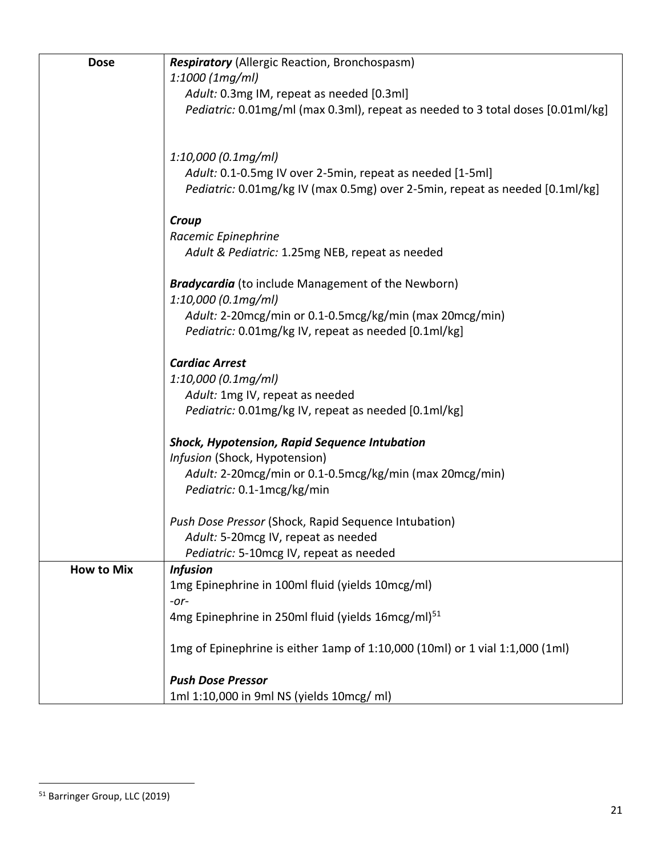| <b>Dose</b>       | <b>Respiratory</b> (Allergic Reaction, Bronchospasm)                            |
|-------------------|---------------------------------------------------------------------------------|
|                   | $1:1000$ (1mg/ml)                                                               |
|                   | Adult: 0.3mg IM, repeat as needed [0.3ml]                                       |
|                   | Pediatric: 0.01mg/ml (max 0.3ml), repeat as needed to 3 total doses [0.01ml/kg] |
|                   |                                                                                 |
|                   | $1:10,000$ (0.1mg/ml)                                                           |
|                   | Adult: 0.1-0.5mg IV over 2-5min, repeat as needed [1-5ml]                       |
|                   | Pediatric: 0.01mg/kg IV (max 0.5mg) over 2-5min, repeat as needed [0.1ml/kg]    |
|                   | Croup                                                                           |
|                   | Racemic Epinephrine                                                             |
|                   | Adult & Pediatric: 1.25mg NEB, repeat as needed                                 |
|                   | <b>Bradycardia</b> (to include Management of the Newborn)                       |
|                   | $1:10,000$ (0.1mg/ml)                                                           |
|                   | Adult: 2-20mcg/min or 0.1-0.5mcg/kg/min (max 20mcg/min)                         |
|                   | Pediatric: 0.01mg/kg IV, repeat as needed [0.1ml/kg]                            |
|                   | <b>Cardiac Arrest</b>                                                           |
|                   | $1:10,000$ (0.1mg/ml)                                                           |
|                   | Adult: 1mg IV, repeat as needed                                                 |
|                   | Pediatric: 0.01mg/kg IV, repeat as needed [0.1ml/kg]                            |
|                   | <b>Shock, Hypotension, Rapid Sequence Intubation</b>                            |
|                   | Infusion (Shock, Hypotension)                                                   |
|                   | Adult: 2-20mcg/min or 0.1-0.5mcg/kg/min (max 20mcg/min)                         |
|                   | Pediatric: 0.1-1mcg/kg/min                                                      |
|                   | Push Dose Pressor (Shock, Rapid Sequence Intubation)                            |
|                   | Adult: 5-20mcg IV, repeat as needed                                             |
|                   | Pediatric: 5-10mcg IV, repeat as needed                                         |
| <b>How to Mix</b> | <b>Infusion</b>                                                                 |
|                   | 1mg Epinephrine in 100ml fluid (yields 10mcg/ml)                                |
|                   | $-0r-$                                                                          |
|                   | 4mg Epinephrine in 250ml fluid (yields 16mcg/ml) <sup>51</sup>                  |
|                   | 1mg of Epinephrine is either 1amp of 1:10,000 (10ml) or 1 vial 1:1,000 (1ml)    |
|                   | <b>Push Dose Pressor</b>                                                        |
|                   | 1ml 1:10,000 in 9ml NS (yields 10mcg/ ml)                                       |

<sup>51</sup> Barringer Group, LLC (2019)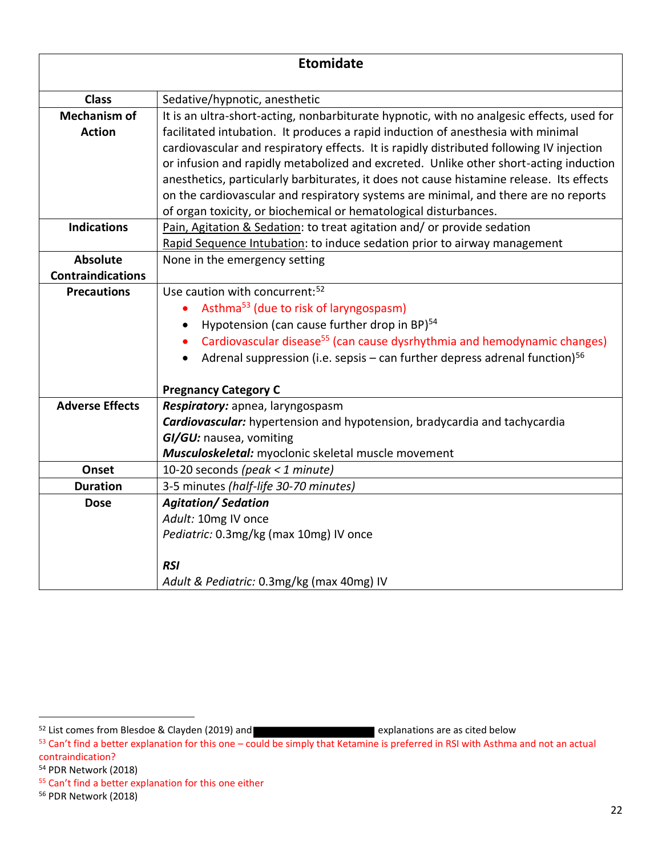| <b>Etomidate</b>         |                                                                                                                                                                                   |
|--------------------------|-----------------------------------------------------------------------------------------------------------------------------------------------------------------------------------|
| <b>Class</b>             | Sedative/hypnotic, anesthetic                                                                                                                                                     |
| <b>Mechanism of</b>      | It is an ultra-short-acting, nonbarbiturate hypnotic, with no analgesic effects, used for                                                                                         |
| <b>Action</b>            | facilitated intubation. It produces a rapid induction of anesthesia with minimal                                                                                                  |
|                          | cardiovascular and respiratory effects. It is rapidly distributed following IV injection                                                                                          |
|                          | or infusion and rapidly metabolized and excreted. Unlike other short-acting induction<br>anesthetics, particularly barbiturates, it does not cause histamine release. Its effects |
|                          | on the cardiovascular and respiratory systems are minimal, and there are no reports                                                                                               |
|                          | of organ toxicity, or biochemical or hematological disturbances.                                                                                                                  |
| <b>Indications</b>       | Pain, Agitation & Sedation: to treat agitation and/ or provide sedation                                                                                                           |
|                          | Rapid Sequence Intubation: to induce sedation prior to airway management                                                                                                          |
| <b>Absolute</b>          | None in the emergency setting                                                                                                                                                     |
| <b>Contraindications</b> |                                                                                                                                                                                   |
| <b>Precautions</b>       | Use caution with concurrent: <sup>52</sup>                                                                                                                                        |
|                          | Asthma <sup>53</sup> (due to risk of laryngospasm)                                                                                                                                |
|                          | Hypotension (can cause further drop in BP) <sup>54</sup>                                                                                                                          |
|                          | Cardiovascular disease <sup>55</sup> (can cause dysrhythmia and hemodynamic changes)                                                                                              |
|                          | Adrenal suppression (i.e. sepsis – can further depress adrenal function) <sup>56</sup>                                                                                            |
|                          | <b>Pregnancy Category C</b>                                                                                                                                                       |
| <b>Adverse Effects</b>   | Respiratory: apnea, laryngospasm                                                                                                                                                  |
|                          | <b>Cardiovascular:</b> hypertension and hypotension, bradycardia and tachycardia                                                                                                  |
|                          | GI/GU: nausea, vomiting                                                                                                                                                           |
|                          | Musculoskeletal: myoclonic skeletal muscle movement                                                                                                                               |
| Onset                    | 10-20 seconds (peak < 1 minute)                                                                                                                                                   |
| <b>Duration</b>          | 3-5 minutes (half-life 30-70 minutes)                                                                                                                                             |
| <b>Dose</b>              | <b>Agitation/Sedation</b>                                                                                                                                                         |
|                          | Adult: 10mg IV once                                                                                                                                                               |
|                          | Pediatric: 0.3mg/kg (max 10mg) IV once                                                                                                                                            |
|                          | <b>RSI</b>                                                                                                                                                                        |
|                          | Adult & Pediatric: 0.3mg/kg (max 40mg) IV                                                                                                                                         |

 $52$  List comes from Blesdoe & Clayden (2019) and **Explanations** are as cited below

<sup>53</sup> Can't find a better explanation for this one – could be simply that Ketamine is preferred in RSI with Asthma and not an actual contraindication?

<sup>54</sup> PDR Network (2018)

<sup>55</sup> Can't find a better explanation for this one either

<sup>56</sup> PDR Network (2018)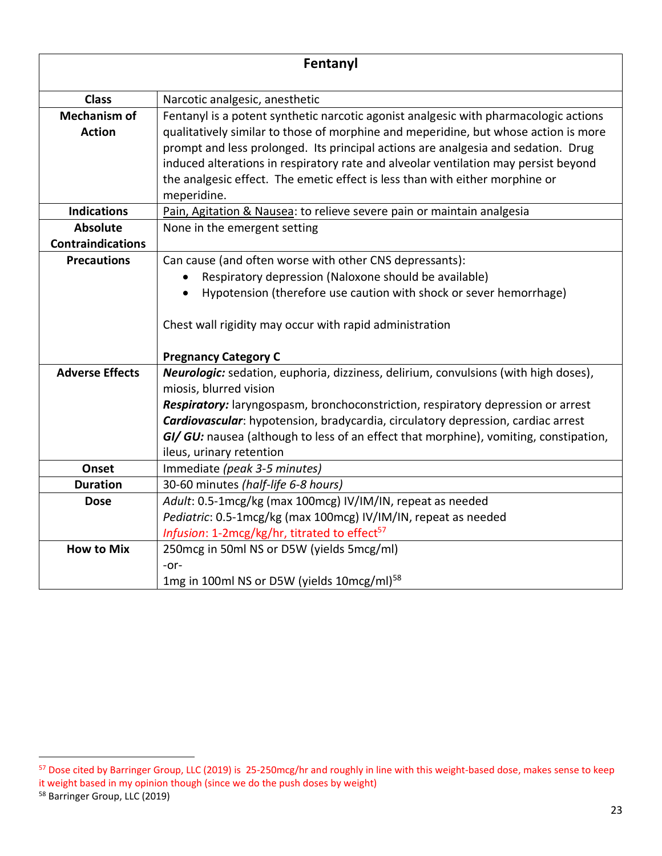| Fentanyl                             |                                                                                                                                                                                                                                                                                                                                                                                                                                                        |
|--------------------------------------|--------------------------------------------------------------------------------------------------------------------------------------------------------------------------------------------------------------------------------------------------------------------------------------------------------------------------------------------------------------------------------------------------------------------------------------------------------|
| <b>Class</b>                         | Narcotic analgesic, anesthetic                                                                                                                                                                                                                                                                                                                                                                                                                         |
| <b>Mechanism of</b><br><b>Action</b> | Fentanyl is a potent synthetic narcotic agonist analgesic with pharmacologic actions<br>qualitatively similar to those of morphine and meperidine, but whose action is more<br>prompt and less prolonged. Its principal actions are analgesia and sedation. Drug<br>induced alterations in respiratory rate and alveolar ventilation may persist beyond<br>the analgesic effect. The emetic effect is less than with either morphine or<br>meperidine. |
| <b>Indications</b>                   | Pain, Agitation & Nausea: to relieve severe pain or maintain analgesia                                                                                                                                                                                                                                                                                                                                                                                 |
| <b>Absolute</b>                      | None in the emergent setting                                                                                                                                                                                                                                                                                                                                                                                                                           |
| <b>Contraindications</b>             |                                                                                                                                                                                                                                                                                                                                                                                                                                                        |
| <b>Precautions</b>                   | Can cause (and often worse with other CNS depressants):                                                                                                                                                                                                                                                                                                                                                                                                |
|                                      | Respiratory depression (Naloxone should be available)                                                                                                                                                                                                                                                                                                                                                                                                  |
|                                      | Hypotension (therefore use caution with shock or sever hemorrhage)                                                                                                                                                                                                                                                                                                                                                                                     |
|                                      | Chest wall rigidity may occur with rapid administration<br><b>Pregnancy Category C</b>                                                                                                                                                                                                                                                                                                                                                                 |
| <b>Adverse Effects</b>               | Neurologic: sedation, euphoria, dizziness, delirium, convulsions (with high doses),                                                                                                                                                                                                                                                                                                                                                                    |
|                                      | miosis, blurred vision                                                                                                                                                                                                                                                                                                                                                                                                                                 |
|                                      | Respiratory: laryngospasm, bronchoconstriction, respiratory depression or arrest                                                                                                                                                                                                                                                                                                                                                                       |
|                                      | Cardiovascular: hypotension, bradycardia, circulatory depression, cardiac arrest                                                                                                                                                                                                                                                                                                                                                                       |
|                                      | GI/ GU: nausea (although to less of an effect that morphine), vomiting, constipation,                                                                                                                                                                                                                                                                                                                                                                  |
|                                      | ileus, urinary retention                                                                                                                                                                                                                                                                                                                                                                                                                               |
| Onset                                | Immediate (peak 3-5 minutes)                                                                                                                                                                                                                                                                                                                                                                                                                           |
| <b>Duration</b>                      | 30-60 minutes (half-life 6-8 hours)                                                                                                                                                                                                                                                                                                                                                                                                                    |
| <b>Dose</b>                          | Adult: 0.5-1mcg/kg (max 100mcg) IV/IM/IN, repeat as needed                                                                                                                                                                                                                                                                                                                                                                                             |
|                                      | Pediatric: 0.5-1mcg/kg (max 100mcg) IV/IM/IN, repeat as needed                                                                                                                                                                                                                                                                                                                                                                                         |
|                                      | Infusion: 1-2mcg/kg/hr, titrated to effect <sup>57</sup>                                                                                                                                                                                                                                                                                                                                                                                               |
| <b>How to Mix</b>                    | 250mcg in 50ml NS or D5W (yields 5mcg/ml)                                                                                                                                                                                                                                                                                                                                                                                                              |
|                                      | $-0r-$                                                                                                                                                                                                                                                                                                                                                                                                                                                 |
|                                      | 1mg in 100ml NS or D5W (yields 10mcg/ml) <sup>58</sup>                                                                                                                                                                                                                                                                                                                                                                                                 |

<sup>&</sup>lt;sup>57</sup> Dose cited by Barringer Group, LLC (2019) is 25-250mcg/hr and roughly in line with this weight-based dose, makes sense to keep it weight based in my opinion though (since we do the push doses by weight)

<sup>58</sup> Barringer Group, LLC (2019)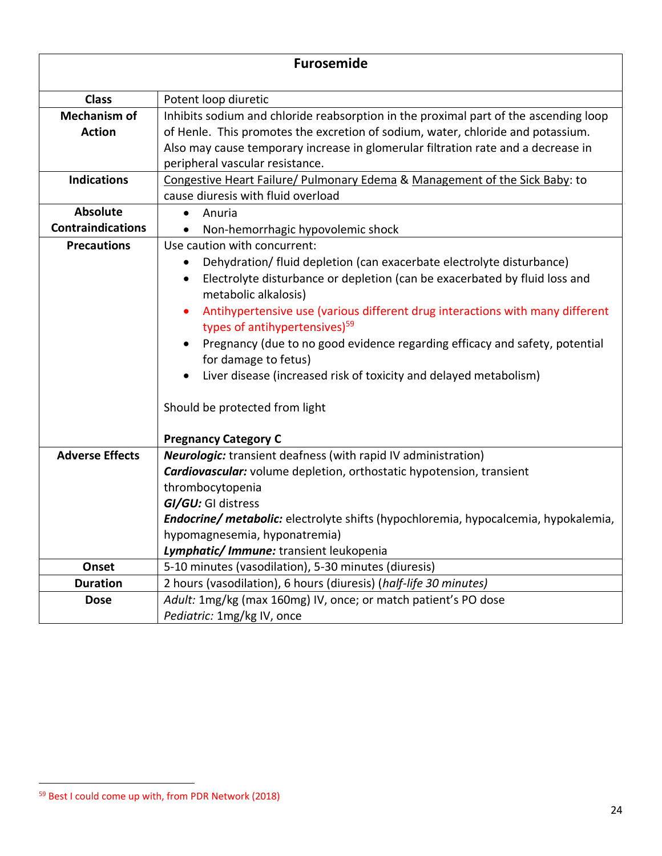| <b>Furosemide</b>        |                                                                                                                      |
|--------------------------|----------------------------------------------------------------------------------------------------------------------|
|                          |                                                                                                                      |
| <b>Class</b>             | Potent loop diuretic                                                                                                 |
| <b>Mechanism of</b>      | Inhibits sodium and chloride reabsorption in the proximal part of the ascending loop                                 |
| <b>Action</b>            | of Henle. This promotes the excretion of sodium, water, chloride and potassium.                                      |
|                          | Also may cause temporary increase in glomerular filtration rate and a decrease in<br>peripheral vascular resistance. |
| <b>Indications</b>       | Congestive Heart Failure/ Pulmonary Edema & Management of the Sick Baby: to                                          |
|                          | cause diuresis with fluid overload                                                                                   |
| <b>Absolute</b>          | Anuria                                                                                                               |
| <b>Contraindications</b> | Non-hemorrhagic hypovolemic shock                                                                                    |
| <b>Precautions</b>       | Use caution with concurrent:                                                                                         |
|                          | Dehydration/ fluid depletion (can exacerbate electrolyte disturbance)                                                |
|                          | Electrolyte disturbance or depletion (can be exacerbated by fluid loss and                                           |
|                          | metabolic alkalosis)                                                                                                 |
|                          | Antihypertensive use (various different drug interactions with many different                                        |
|                          | types of antihypertensives) <sup>59</sup>                                                                            |
|                          | Pregnancy (due to no good evidence regarding efficacy and safety, potential                                          |
|                          | for damage to fetus)                                                                                                 |
|                          | Liver disease (increased risk of toxicity and delayed metabolism)                                                    |
|                          | Should be protected from light                                                                                       |
|                          |                                                                                                                      |
|                          | <b>Pregnancy Category C</b>                                                                                          |
| <b>Adverse Effects</b>   | <b>Neurologic:</b> transient deafness (with rapid IV administration)                                                 |
|                          | <b>Cardiovascular:</b> volume depletion, orthostatic hypotension, transient                                          |
|                          | thrombocytopenia                                                                                                     |
|                          | GI/GU: GI distress                                                                                                   |
|                          | Endocrine/ metabolic: electrolyte shifts (hypochloremia, hypocalcemia, hypokalemia,                                  |
|                          | hypomagnesemia, hyponatremia)                                                                                        |
|                          | Lymphatic/ Immune: transient leukopenia                                                                              |
| Onset                    | 5-10 minutes (vasodilation), 5-30 minutes (diuresis)                                                                 |
| <b>Duration</b>          | 2 hours (vasodilation), 6 hours (diuresis) (half-life 30 minutes)                                                    |
| <b>Dose</b>              | Adult: 1mg/kg (max 160mg) IV, once; or match patient's PO dose                                                       |
|                          | Pediatric: 1mg/kg IV, once                                                                                           |

<sup>59</sup> Best I could come up with, from PDR Network (2018)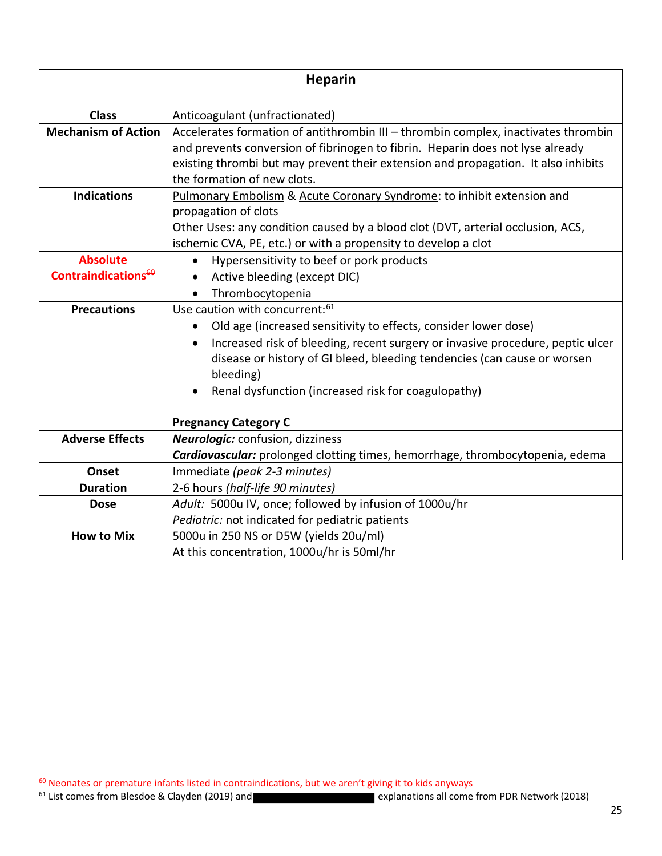| <b>Heparin</b>             |                                                                                                                                                                                                                                                            |
|----------------------------|------------------------------------------------------------------------------------------------------------------------------------------------------------------------------------------------------------------------------------------------------------|
| <b>Class</b>               | Anticoagulant (unfractionated)                                                                                                                                                                                                                             |
| <b>Mechanism of Action</b> | Accelerates formation of antithrombin III - thrombin complex, inactivates thrombin<br>and prevents conversion of fibrinogen to fibrin. Heparin does not lyse already<br>existing thrombi but may prevent their extension and propagation. It also inhibits |
|                            | the formation of new clots.                                                                                                                                                                                                                                |
| <b>Indications</b>         | Pulmonary Embolism & Acute Coronary Syndrome: to inhibit extension and                                                                                                                                                                                     |
|                            | propagation of clots                                                                                                                                                                                                                                       |
|                            | Other Uses: any condition caused by a blood clot (DVT, arterial occlusion, ACS,                                                                                                                                                                            |
|                            | ischemic CVA, PE, etc.) or with a propensity to develop a clot                                                                                                                                                                                             |
| <b>Absolute</b>            | Hypersensitivity to beef or pork products                                                                                                                                                                                                                  |
| Contraindications $60$     | Active bleeding (except DIC)                                                                                                                                                                                                                               |
|                            | Thrombocytopenia                                                                                                                                                                                                                                           |
| <b>Precautions</b>         | Use caution with concurrent: 61                                                                                                                                                                                                                            |
|                            | Old age (increased sensitivity to effects, consider lower dose)                                                                                                                                                                                            |
|                            | Increased risk of bleeding, recent surgery or invasive procedure, peptic ulcer                                                                                                                                                                             |
|                            | disease or history of GI bleed, bleeding tendencies (can cause or worsen                                                                                                                                                                                   |
|                            | bleeding)                                                                                                                                                                                                                                                  |
|                            | Renal dysfunction (increased risk for coagulopathy)                                                                                                                                                                                                        |
|                            |                                                                                                                                                                                                                                                            |
|                            | <b>Pregnancy Category C</b>                                                                                                                                                                                                                                |
| <b>Adverse Effects</b>     | <b>Neurologic:</b> confusion, dizziness                                                                                                                                                                                                                    |
|                            | Cardiovascular: prolonged clotting times, hemorrhage, thrombocytopenia, edema                                                                                                                                                                              |
| Onset                      | Immediate (peak 2-3 minutes)                                                                                                                                                                                                                               |
| <b>Duration</b>            | 2-6 hours (half-life 90 minutes)                                                                                                                                                                                                                           |
| <b>Dose</b>                | Adult: 5000u IV, once; followed by infusion of 1000u/hr                                                                                                                                                                                                    |
|                            | Pediatric: not indicated for pediatric patients                                                                                                                                                                                                            |
| <b>How to Mix</b>          | 5000u in 250 NS or D5W (yields 20u/ml)                                                                                                                                                                                                                     |
|                            | At this concentration, 1000u/hr is 50ml/hr                                                                                                                                                                                                                 |

<sup>&</sup>lt;sup>60</sup> Neonates or premature infants listed in contraindications, but we aren't giving it to kids anyways<br><sup>61</sup> List comes from Blesdoe & Clayden (2019) and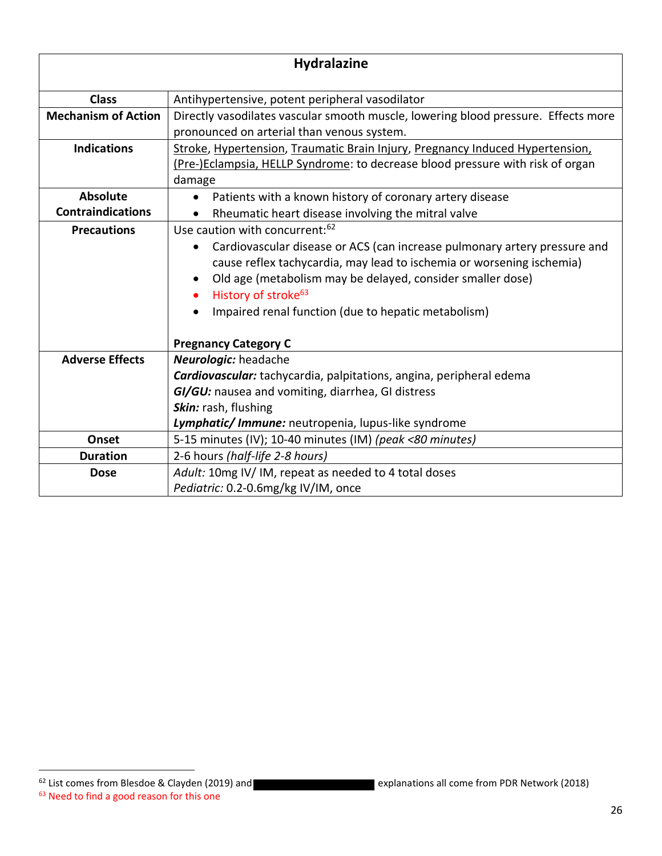| <b>Hydralazine</b>         |                                                                                                                                                                                                                                                                                                                                                                                                      |
|----------------------------|------------------------------------------------------------------------------------------------------------------------------------------------------------------------------------------------------------------------------------------------------------------------------------------------------------------------------------------------------------------------------------------------------|
| <b>Class</b>               | Antihypertensive, potent peripheral vasodilator                                                                                                                                                                                                                                                                                                                                                      |
| <b>Mechanism of Action</b> | Directly vasodilates vascular smooth muscle, lowering blood pressure. Effects more<br>pronounced on arterial than venous system.                                                                                                                                                                                                                                                                     |
| <b>Indications</b>         | Stroke, Hypertension, Traumatic Brain Injury, Pregnancy Induced Hypertension,<br>(Pre-)Eclampsia, HELLP Syndrome: to decrease blood pressure with risk of organ<br>damage                                                                                                                                                                                                                            |
| <b>Absolute</b>            | Patients with a known history of coronary artery disease                                                                                                                                                                                                                                                                                                                                             |
| <b>Contraindications</b>   | Rheumatic heart disease involving the mitral valve<br>$\bullet$                                                                                                                                                                                                                                                                                                                                      |
| <b>Precautions</b>         | Use caution with concurrent: <sup>62</sup><br>Cardiovascular disease or ACS (can increase pulmonary artery pressure and<br>cause reflex tachycardia, may lead to ischemia or worsening ischemia)<br>Old age (metabolism may be delayed, consider smaller dose)<br>History of stroke <sup>63</sup><br>$\bullet$<br>Impaired renal function (due to hepatic metabolism)<br><b>Pregnancy Category C</b> |
| <b>Adverse Effects</b>     | <b>Neurologic:</b> headache<br>Cardiovascular: tachycardia, palpitations, angina, peripheral edema<br>GI/GU: nausea and vomiting, diarrhea, GI distress<br>Skin: rash, flushing<br>Lymphatic/ Immune: neutropenia, lupus-like syndrome                                                                                                                                                               |
| Onset                      | 5-15 minutes (IV); 10-40 minutes (IM) (peak <80 minutes)                                                                                                                                                                                                                                                                                                                                             |
| <b>Duration</b>            | 2-6 hours (half-life 2-8 hours)                                                                                                                                                                                                                                                                                                                                                                      |
| <b>Dose</b>                | Adult: 10mg IV/IM, repeat as needed to 4 total doses<br>Pediatric: 0.2-0.6mg/kg IV/IM, once                                                                                                                                                                                                                                                                                                          |

<sup>63</sup> Need to find a good reason for this one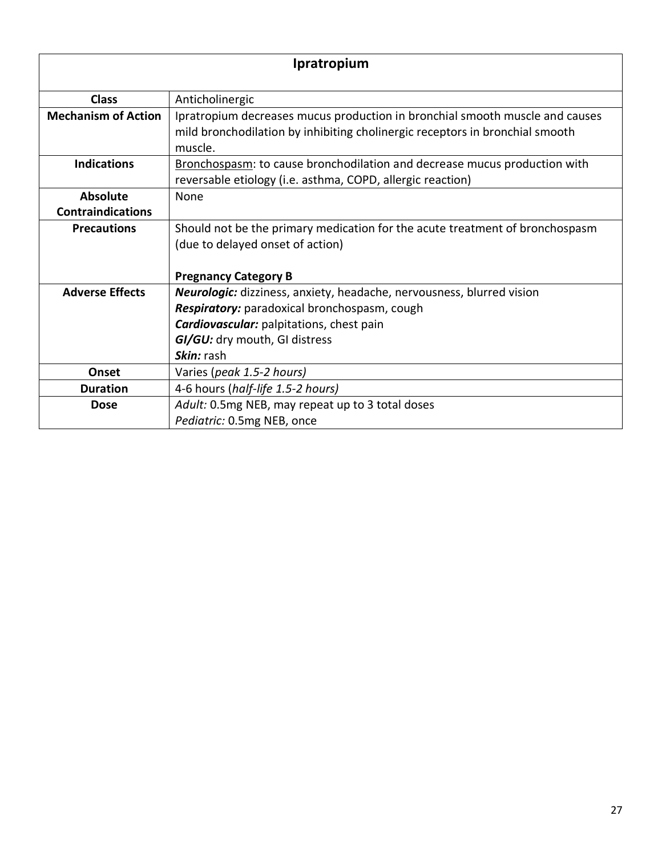| Ipratropium                                 |                                                                                                                                                                                                                         |
|---------------------------------------------|-------------------------------------------------------------------------------------------------------------------------------------------------------------------------------------------------------------------------|
| <b>Class</b>                                | Anticholinergic                                                                                                                                                                                                         |
| <b>Mechanism of Action</b>                  | Ipratropium decreases mucus production in bronchial smooth muscle and causes<br>mild bronchodilation by inhibiting cholinergic receptors in bronchial smooth<br>muscle.                                                 |
| <b>Indications</b>                          | Bronchospasm: to cause bronchodilation and decrease mucus production with<br>reversable etiology (i.e. asthma, COPD, allergic reaction)                                                                                 |
| <b>Absolute</b><br><b>Contraindications</b> | None                                                                                                                                                                                                                    |
| <b>Precautions</b>                          | Should not be the primary medication for the acute treatment of bronchospasm<br>(due to delayed onset of action)<br><b>Pregnancy Category B</b>                                                                         |
| <b>Adverse Effects</b>                      | Neurologic: dizziness, anxiety, headache, nervousness, blurred vision<br>Respiratory: paradoxical bronchospasm, cough<br><b>Cardiovascular:</b> palpitations, chest pain<br>GI/GU: dry mouth, GI distress<br>Skin: rash |
| <b>Onset</b>                                | Varies (peak 1.5-2 hours)                                                                                                                                                                                               |
| <b>Duration</b>                             | 4-6 hours (half-life 1.5-2 hours)                                                                                                                                                                                       |
| <b>Dose</b>                                 | Adult: 0.5mg NEB, may repeat up to 3 total doses<br>Pediatric: 0.5mg NEB, once                                                                                                                                          |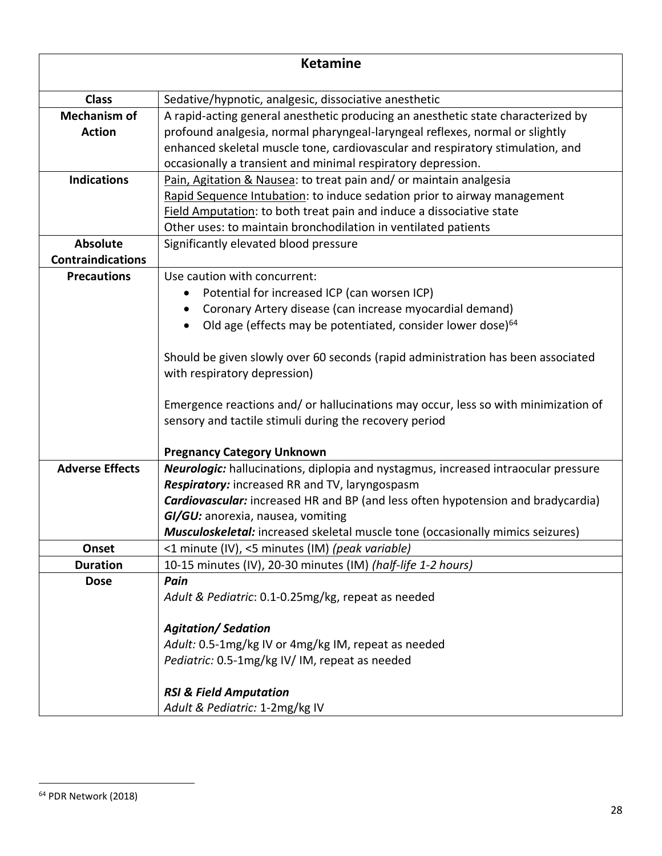| <b>Ketamine</b>          |                                                                                         |
|--------------------------|-----------------------------------------------------------------------------------------|
| <b>Class</b>             | Sedative/hypnotic, analgesic, dissociative anesthetic                                   |
| <b>Mechanism of</b>      | A rapid-acting general anesthetic producing an anesthetic state characterized by        |
| <b>Action</b>            | profound analgesia, normal pharyngeal-laryngeal reflexes, normal or slightly            |
|                          | enhanced skeletal muscle tone, cardiovascular and respiratory stimulation, and          |
|                          | occasionally a transient and minimal respiratory depression.                            |
| <b>Indications</b>       | Pain, Agitation & Nausea: to treat pain and/ or maintain analgesia                      |
|                          | Rapid Sequence Intubation: to induce sedation prior to airway management                |
|                          | Field Amputation: to both treat pain and induce a dissociative state                    |
|                          | Other uses: to maintain bronchodilation in ventilated patients                          |
| <b>Absolute</b>          | Significantly elevated blood pressure                                                   |
| <b>Contraindications</b> |                                                                                         |
| <b>Precautions</b>       | Use caution with concurrent:                                                            |
|                          | Potential for increased ICP (can worsen ICP)                                            |
|                          | Coronary Artery disease (can increase myocardial demand)                                |
|                          | Old age (effects may be potentiated, consider lower dose) <sup>64</sup><br>$\bullet$    |
|                          |                                                                                         |
|                          | Should be given slowly over 60 seconds (rapid administration has been associated        |
|                          | with respiratory depression)                                                            |
|                          | Emergence reactions and/ or hallucinations may occur, less so with minimization of      |
|                          | sensory and tactile stimuli during the recovery period                                  |
|                          |                                                                                         |
|                          | <b>Pregnancy Category Unknown</b>                                                       |
| <b>Adverse Effects</b>   | Neurologic: hallucinations, diplopia and nystagmus, increased intraocular pressure      |
|                          | Respiratory: increased RR and TV, laryngospasm                                          |
|                          | <b>Cardiovascular:</b> increased HR and BP (and less often hypotension and bradycardia) |
|                          | GI/GU: anorexia, nausea, vomiting                                                       |
|                          | Musculoskeletal: increased skeletal muscle tone (occasionally mimics seizures)          |
| Onset                    | <1 minute (IV), <5 minutes (IM) (peak variable)                                         |
| <b>Duration</b>          | 10-15 minutes (IV), 20-30 minutes (IM) (half-life 1-2 hours)                            |
| <b>Dose</b>              | Pain                                                                                    |
|                          | Adult & Pediatric: 0.1-0.25mg/kg, repeat as needed                                      |
|                          | <b>Agitation/Sedation</b>                                                               |
|                          | Adult: 0.5-1mg/kg IV or 4mg/kg IM, repeat as needed                                     |
|                          | Pediatric: 0.5-1mg/kg IV/IM, repeat as needed                                           |
|                          |                                                                                         |
|                          | <b>RSI &amp; Field Amputation</b>                                                       |
|                          | Adult & Pediatric: 1-2mg/kg IV                                                          |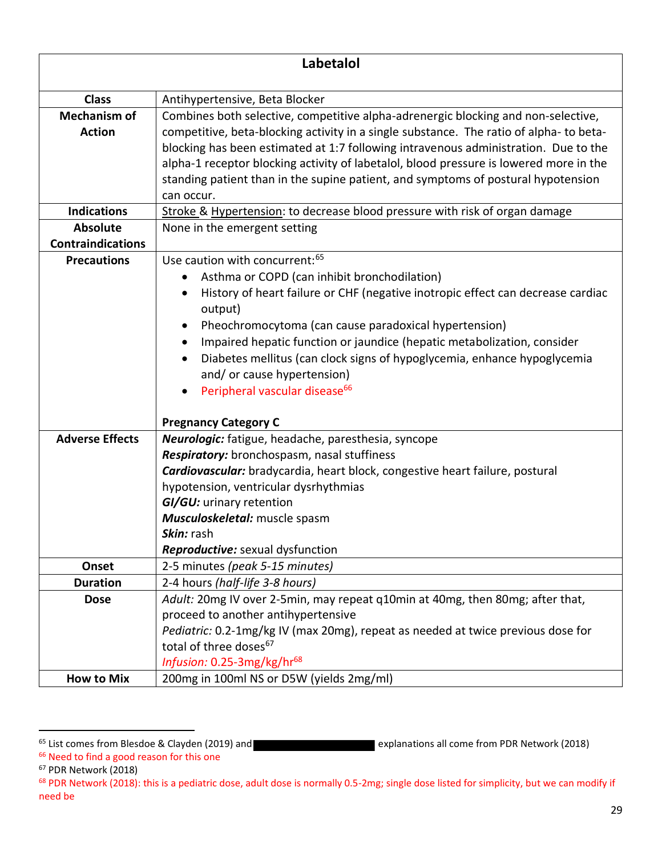| Labetalol                |                                                                                                    |
|--------------------------|----------------------------------------------------------------------------------------------------|
|                          |                                                                                                    |
| <b>Class</b>             | Antihypertensive, Beta Blocker                                                                     |
| <b>Mechanism of</b>      | Combines both selective, competitive alpha-adrenergic blocking and non-selective,                  |
| <b>Action</b>            | competitive, beta-blocking activity in a single substance. The ratio of alpha-to beta-             |
|                          | blocking has been estimated at 1:7 following intravenous administration. Due to the                |
|                          | alpha-1 receptor blocking activity of labetalol, blood pressure is lowered more in the             |
|                          | standing patient than in the supine patient, and symptoms of postural hypotension                  |
|                          | can occur.                                                                                         |
| <b>Indications</b>       | Stroke & Hypertension: to decrease blood pressure with risk of organ damage                        |
| <b>Absolute</b>          | None in the emergent setting                                                                       |
| <b>Contraindications</b> | Use caution with concurrent: 65                                                                    |
| <b>Precautions</b>       |                                                                                                    |
|                          | Asthma or COPD (can inhibit bronchodilation)                                                       |
|                          | History of heart failure or CHF (negative inotropic effect can decrease cardiac<br>output)         |
|                          | Pheochromocytoma (can cause paradoxical hypertension)                                              |
|                          | Impaired hepatic function or jaundice (hepatic metabolization, consider                            |
|                          | Diabetes mellitus (can clock signs of hypoglycemia, enhance hypoglycemia                           |
|                          | and/ or cause hypertension)                                                                        |
|                          | Peripheral vascular disease <sup>66</sup><br>$\bullet$                                             |
|                          |                                                                                                    |
| <b>Adverse Effects</b>   | <b>Pregnancy Category C</b>                                                                        |
|                          | Neurologic: fatigue, headache, paresthesia, syncope<br>Respiratory: bronchospasm, nasal stuffiness |
|                          | Cardiovascular: bradycardia, heart block, congestive heart failure, postural                       |
|                          | hypotension, ventricular dysrhythmias                                                              |
|                          | GI/GU: urinary retention                                                                           |
|                          | Musculoskeletal: muscle spasm                                                                      |
|                          | <i>Skin:</i> rashl                                                                                 |
|                          | Reproductive: sexual dysfunction                                                                   |
| Onset                    | 2-5 minutes (peak 5-15 minutes)                                                                    |
| <b>Duration</b>          | 2-4 hours (half-life 3-8 hours)                                                                    |
| <b>Dose</b>              | Adult: 20mg IV over 2-5min, may repeat q10min at 40mg, then 80mg; after that,                      |
|                          | proceed to another antihypertensive                                                                |
|                          | Pediatric: 0.2-1mg/kg IV (max 20mg), repeat as needed at twice previous dose for                   |
|                          | total of three doses <sup>67</sup>                                                                 |
|                          | Infusion: 0.25-3mg/kg/hr <sup>68</sup>                                                             |
| <b>How to Mix</b>        | 200mg in 100ml NS or D5W (yields 2mg/ml)                                                           |

<sup>&</sup>lt;sup>65</sup> List comes from Blesdoe & Clayden (2019) and **Explanations all come from PDR Network (2018)** 

<sup>66</sup> Need to find a good reason for this one

<sup>67</sup> PDR Network (2018)

<sup>&</sup>lt;sup>68</sup> PDR Network (2018): this is a pediatric dose, adult dose is normally 0.5-2mg; single dose listed for simplicity, but we can modify if need be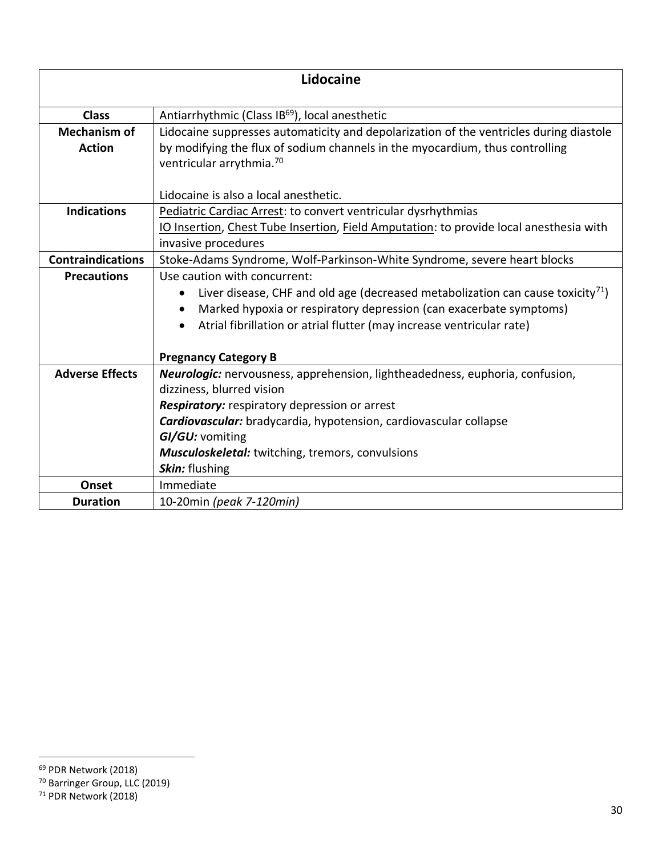| Lidocaine                |                                                                                                          |
|--------------------------|----------------------------------------------------------------------------------------------------------|
|                          |                                                                                                          |
| <b>Class</b>             | Antiarrhythmic (Class IB <sup>69</sup> ), local anesthetic                                               |
| <b>Mechanism of</b>      | Lidocaine suppresses automaticity and depolarization of the ventricles during diastole                   |
| <b>Action</b>            | by modifying the flux of sodium channels in the myocardium, thus controlling                             |
|                          | ventricular arrythmia. <sup>70</sup>                                                                     |
|                          |                                                                                                          |
|                          | Lidocaine is also a local anesthetic.                                                                    |
| <b>Indications</b>       | Pediatric Cardiac Arrest: to convert ventricular dysrhythmias                                            |
|                          | IO Insertion, Chest Tube Insertion, Field Amputation: to provide local anesthesia with                   |
|                          | invasive procedures                                                                                      |
| <b>Contraindications</b> | Stoke-Adams Syndrome, Wolf-Parkinson-White Syndrome, severe heart blocks                                 |
| <b>Precautions</b>       | Use caution with concurrent:                                                                             |
|                          | Liver disease, CHF and old age (decreased metabolization can cause toxicity <sup>71</sup> )<br>$\bullet$ |
|                          | Marked hypoxia or respiratory depression (can exacerbate symptoms)<br>$\bullet$                          |
|                          | Atrial fibrillation or atrial flutter (may increase ventricular rate)                                    |
|                          | <b>Pregnancy Category B</b>                                                                              |
| <b>Adverse Effects</b>   | Neurologic: nervousness, apprehension, lightheadedness, euphoria, confusion,                             |
|                          | dizziness, blurred vision                                                                                |
|                          | Respiratory: respiratory depression or arrest                                                            |
|                          | Cardiovascular: bradycardia, hypotension, cardiovascular collapse                                        |
|                          | GI/GU: vomiting                                                                                          |
|                          | <b>Musculoskeletal:</b> twitching, tremors, convulsions                                                  |
|                          | Skin: flushing                                                                                           |
| Onset                    | Immediate                                                                                                |
| <b>Duration</b>          | 10-20min (peak 7-120min)                                                                                 |

<sup>69</sup> PDR Network (2018)

<sup>70</sup> Barringer Group, LLC (2019)

 $71$  PDR Network (2018)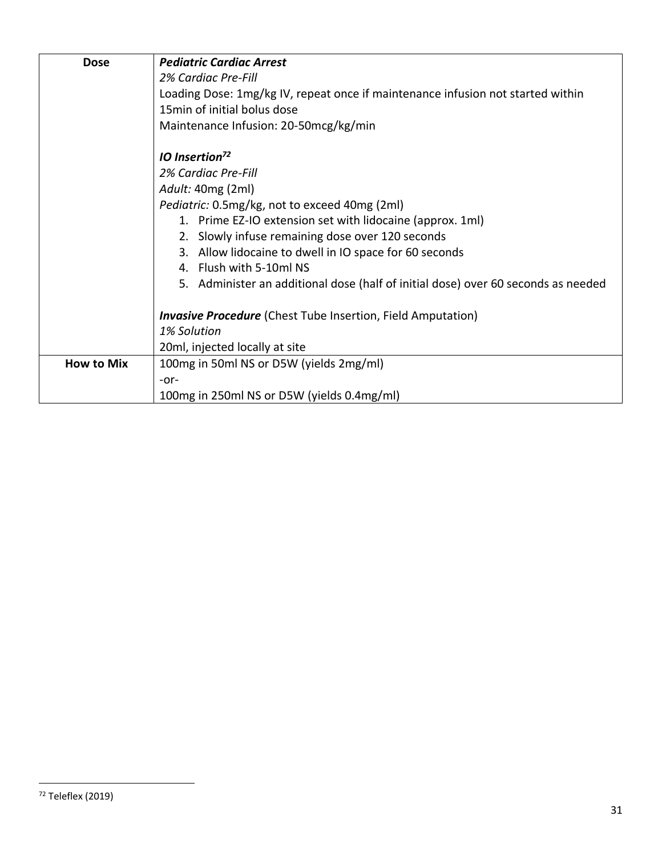| <b>Dose</b>       | <b>Pediatric Cardiac Arrest</b>                                                   |
|-------------------|-----------------------------------------------------------------------------------|
|                   | 2% Cardiac Pre-Fill                                                               |
|                   | Loading Dose: 1mg/kg IV, repeat once if maintenance infusion not started within   |
|                   | 15min of initial bolus dose                                                       |
|                   | Maintenance Infusion: 20-50mcg/kg/min                                             |
|                   | <b>IO</b> Insertion <sup>72</sup>                                                 |
|                   | 2% Cardiac Pre-Fill                                                               |
|                   | Adult: 40mg (2ml)                                                                 |
|                   | Pediatric: 0.5mg/kg, not to exceed 40mg (2ml)                                     |
|                   | 1. Prime EZ-IO extension set with lidocaine (approx. 1ml)                         |
|                   | 2. Slowly infuse remaining dose over 120 seconds                                  |
|                   | 3. Allow lidocaine to dwell in IO space for 60 seconds                            |
|                   | 4. Flush with 5-10ml NS                                                           |
|                   | 5. Administer an additional dose (half of initial dose) over 60 seconds as needed |
|                   | <b>Invasive Procedure</b> (Chest Tube Insertion, Field Amputation)                |
|                   | 1% Solution                                                                       |
|                   | 20ml, injected locally at site                                                    |
| <b>How to Mix</b> | 100mg in 50ml NS or D5W (yields 2mg/ml)                                           |
|                   | $-0r-$                                                                            |
|                   | 100mg in 250ml NS or D5W (yields 0.4mg/ml)                                        |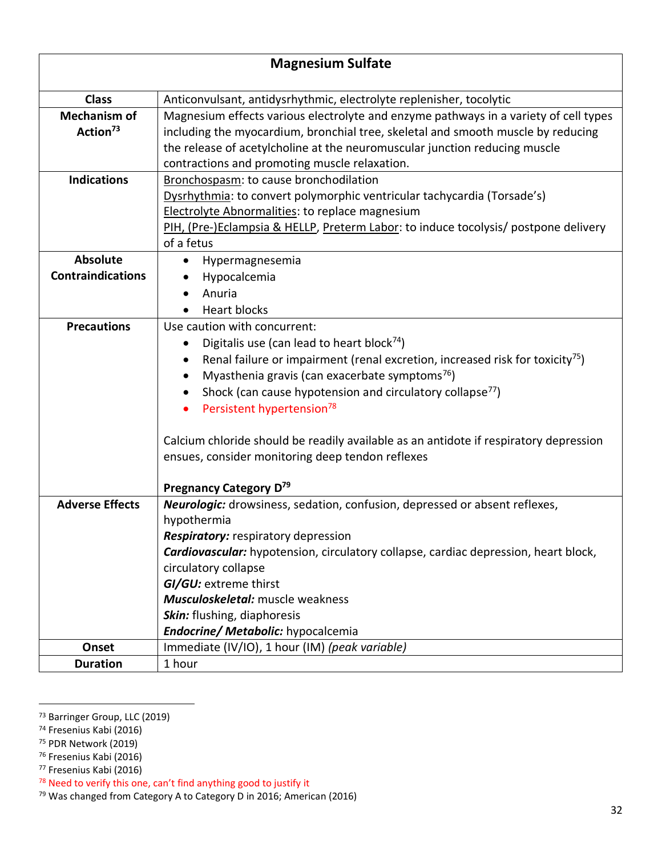| <b>Magnesium Sulfate</b>                    |                                                                                                                                                                                                                                                                                                                                                                                                                                                                                                         |
|---------------------------------------------|---------------------------------------------------------------------------------------------------------------------------------------------------------------------------------------------------------------------------------------------------------------------------------------------------------------------------------------------------------------------------------------------------------------------------------------------------------------------------------------------------------|
| <b>Class</b>                                | Anticonvulsant, antidysrhythmic, electrolyte replenisher, tocolytic                                                                                                                                                                                                                                                                                                                                                                                                                                     |
| <b>Mechanism of</b><br>Action <sup>73</sup> | Magnesium effects various electrolyte and enzyme pathways in a variety of cell types<br>including the myocardium, bronchial tree, skeletal and smooth muscle by reducing<br>the release of acetylcholine at the neuromuscular junction reducing muscle<br>contractions and promoting muscle relaxation.                                                                                                                                                                                                 |
| <b>Indications</b>                          | Bronchospasm: to cause bronchodilation<br>Dysrhythmia: to convert polymorphic ventricular tachycardia (Torsade's)<br>Electrolyte Abnormalities: to replace magnesium<br>PIH, (Pre-)Eclampsia & HELLP, Preterm Labor: to induce tocolysis/ postpone delivery<br>of a fetus                                                                                                                                                                                                                               |
| <b>Absolute</b><br><b>Contraindications</b> | Hypermagnesemia<br>Hypocalcemia<br>Anuria<br><b>Heart blocks</b>                                                                                                                                                                                                                                                                                                                                                                                                                                        |
| <b>Precautions</b>                          | Use caution with concurrent:<br>Digitalis use (can lead to heart block $74$ )<br>Renal failure or impairment (renal excretion, increased risk for toxicity <sup>75</sup> )<br>Myasthenia gravis (can exacerbate symptoms <sup>76</sup> )<br>Shock (can cause hypotension and circulatory collapse <sup>77</sup> )<br>Persistent hypertension <sup>78</sup><br>Calcium chloride should be readily available as an antidote if respiratory depression<br>ensues, consider monitoring deep tendon reflexes |
| <b>Adverse Effects</b>                      | Pregnancy Category D <sup>79</sup><br>Neurologic: drowsiness, sedation, confusion, depressed or absent reflexes,<br>hypothermia<br><b>Respiratory:</b> respiratory depression<br>Cardiovascular: hypotension, circulatory collapse, cardiac depression, heart block,<br>circulatory collapse<br>GI/GU: extreme thirst<br>Musculoskeletal: muscle weakness<br>Skin: flushing, diaphoresis<br>Endocrine/ Metabolic: hypocalcemia                                                                          |
| Onset                                       | Immediate (IV/IO), 1 hour (IM) (peak variable)                                                                                                                                                                                                                                                                                                                                                                                                                                                          |
| <b>Duration</b>                             | 1 hour                                                                                                                                                                                                                                                                                                                                                                                                                                                                                                  |

<sup>73</sup> Barringer Group, LLC (2019)

<sup>&</sup>lt;sup>74</sup> Fresenius Kabi (2016)

<sup>75</sup> PDR Network (2019)

<sup>76</sup> Fresenius Kabi (2016)

<sup>77</sup> Fresenius Kabi (2016)

<sup>78</sup> Need to verify this one, can't find anything good to justify it

<sup>79</sup> Was changed from Category A to Category D in 2016; American (2016)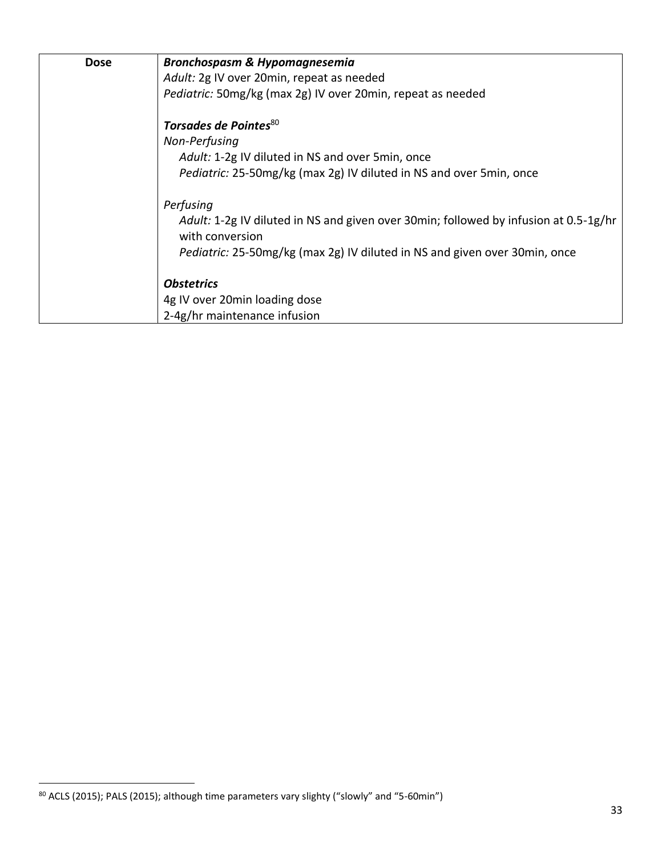| <b>Dose</b> | <b>Bronchospasm &amp; Hypomagnesemia</b>                                                                |
|-------------|---------------------------------------------------------------------------------------------------------|
|             | Adult: 2g IV over 20min, repeat as needed                                                               |
|             | Pediatric: 50mg/kg (max 2g) IV over 20min, repeat as needed                                             |
|             | Torsades de Pointes <sup>80</sup>                                                                       |
|             | Non-Perfusing                                                                                           |
|             | Adult: 1-2g IV diluted in NS and over 5min, once                                                        |
|             | Pediatric: 25-50mg/kg (max 2g) IV diluted in NS and over 5min, once                                     |
|             | Perfusing                                                                                               |
|             | Adult: 1-2g IV diluted in NS and given over 30min; followed by infusion at 0.5-1g/hr<br>with conversion |
|             | Pediatric: 25-50mg/kg (max 2g) IV diluted in NS and given over 30min, once                              |
|             | <b>Obstetrics</b>                                                                                       |
|             | 4g IV over 20min loading dose                                                                           |
|             | 2-4g/hr maintenance infusion                                                                            |

<sup>80</sup> ACLS (2015); PALS (2015); although time parameters vary slighty ("slowly" and "5-60min")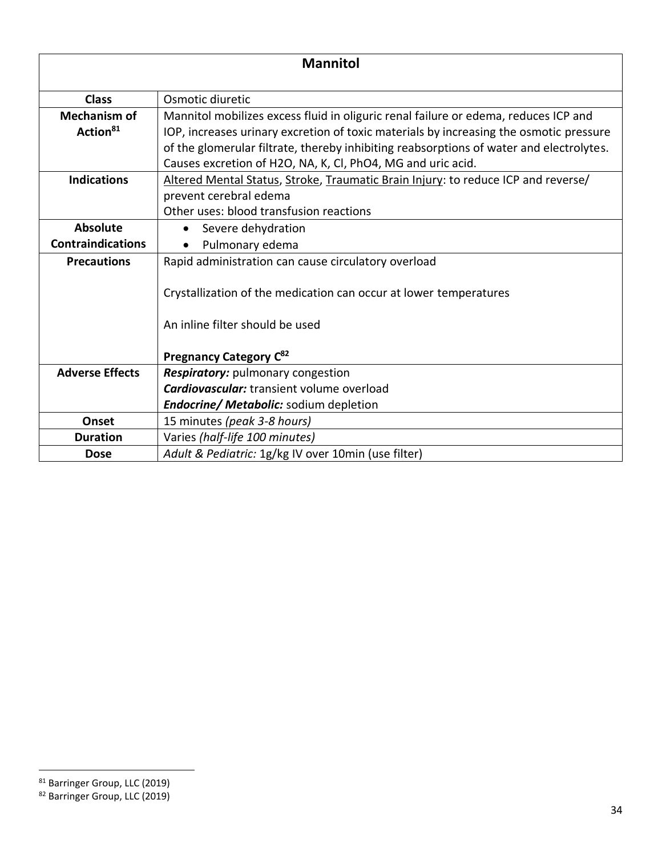| <b>Mannitol</b>          |                                                                                         |
|--------------------------|-----------------------------------------------------------------------------------------|
| <b>Class</b>             | Osmotic diuretic                                                                        |
| <b>Mechanism of</b>      | Mannitol mobilizes excess fluid in oliguric renal failure or edema, reduces ICP and     |
| Action <sup>81</sup>     | IOP, increases urinary excretion of toxic materials by increasing the osmotic pressure  |
|                          | of the glomerular filtrate, thereby inhibiting reabsorptions of water and electrolytes. |
|                          | Causes excretion of H2O, NA, K, Cl, PhO4, MG and uric acid.                             |
| <b>Indications</b>       | Altered Mental Status, Stroke, Traumatic Brain Injury: to reduce ICP and reverse/       |
|                          | prevent cerebral edema                                                                  |
|                          | Other uses: blood transfusion reactions                                                 |
| <b>Absolute</b>          | Severe dehydration                                                                      |
| <b>Contraindications</b> | Pulmonary edema                                                                         |
| <b>Precautions</b>       | Rapid administration can cause circulatory overload                                     |
|                          | Crystallization of the medication can occur at lower temperatures                       |
|                          | An inline filter should be used                                                         |
|                          | Pregnancy Category C <sup>82</sup>                                                      |
| <b>Adverse Effects</b>   | Respiratory: pulmonary congestion                                                       |
|                          | <b>Cardiovascular:</b> transient volume overload                                        |
|                          | <b>Endocrine/ Metabolic:</b> sodium depletion                                           |
| Onset                    | 15 minutes (peak 3-8 hours)                                                             |
| <b>Duration</b>          | Varies (half-life 100 minutes)                                                          |
| <b>Dose</b>              | Adult & Pediatric: 1g/kg IV over 10min (use filter)                                     |

<sup>81</sup> Barringer Group, LLC (2019)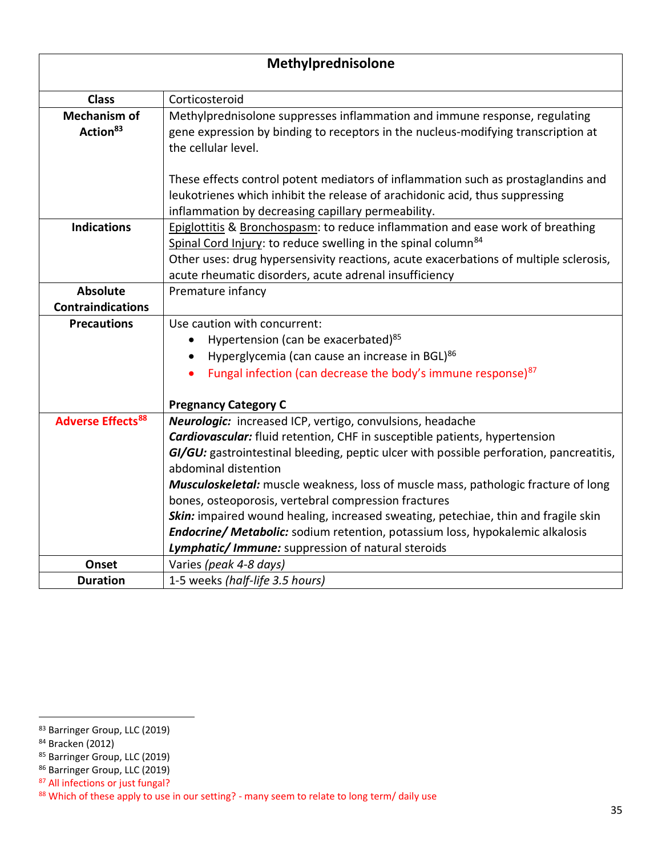| Methylprednisolone                          |                                                                                                                                                                                                                                                                                                                                                                                                                                                                                                                                                                                                                                              |
|---------------------------------------------|----------------------------------------------------------------------------------------------------------------------------------------------------------------------------------------------------------------------------------------------------------------------------------------------------------------------------------------------------------------------------------------------------------------------------------------------------------------------------------------------------------------------------------------------------------------------------------------------------------------------------------------------|
| <b>Class</b>                                | Corticosteroid                                                                                                                                                                                                                                                                                                                                                                                                                                                                                                                                                                                                                               |
| <b>Mechanism of</b><br>Action <sup>83</sup> | Methylprednisolone suppresses inflammation and immune response, regulating<br>gene expression by binding to receptors in the nucleus-modifying transcription at<br>the cellular level.                                                                                                                                                                                                                                                                                                                                                                                                                                                       |
|                                             | These effects control potent mediators of inflammation such as prostaglandins and<br>leukotrienes which inhibit the release of arachidonic acid, thus suppressing<br>inflammation by decreasing capillary permeability.                                                                                                                                                                                                                                                                                                                                                                                                                      |
| <b>Indications</b>                          | Epiglottitis & Bronchospasm: to reduce inflammation and ease work of breathing<br>Spinal Cord Injury: to reduce swelling in the spinal column <sup>84</sup><br>Other uses: drug hypersensivity reactions, acute exacerbations of multiple sclerosis,<br>acute rheumatic disorders, acute adrenal insufficiency                                                                                                                                                                                                                                                                                                                               |
| <b>Absolute</b>                             | Premature infancy                                                                                                                                                                                                                                                                                                                                                                                                                                                                                                                                                                                                                            |
| <b>Contraindications</b>                    |                                                                                                                                                                                                                                                                                                                                                                                                                                                                                                                                                                                                                                              |
| <b>Precautions</b>                          | Use caution with concurrent:<br>Hypertension (can be exacerbated) <sup>85</sup><br>Hyperglycemia (can cause an increase in BGL) <sup>86</sup><br>$\bullet$<br>Fungal infection (can decrease the body's immune response) <sup>87</sup><br>$\bullet$<br><b>Pregnancy Category C</b>                                                                                                                                                                                                                                                                                                                                                           |
| <b>Adverse Effects<sup>88</sup></b>         | Neurologic: increased ICP, vertigo, convulsions, headache<br><b>Cardiovascular:</b> fluid retention, CHF in susceptible patients, hypertension<br>GI/GU: gastrointestinal bleeding, peptic ulcer with possible perforation, pancreatitis,<br>abdominal distention<br>Musculoskeletal: muscle weakness, loss of muscle mass, pathologic fracture of long<br>bones, osteoporosis, vertebral compression fractures<br>Skin: impaired wound healing, increased sweating, petechiae, thin and fragile skin<br>Endocrine/ Metabolic: sodium retention, potassium loss, hypokalemic alkalosis<br>Lymphatic/ Immune: suppression of natural steroids |
| Onset                                       | Varies (peak 4-8 days)                                                                                                                                                                                                                                                                                                                                                                                                                                                                                                                                                                                                                       |
| <b>Duration</b>                             | 1-5 weeks (half-life 3.5 hours)                                                                                                                                                                                                                                                                                                                                                                                                                                                                                                                                                                                                              |

<sup>83</sup> Barringer Group, LLC (2019)

<sup>84</sup> Bracken (2012)

<sup>85</sup> Barringer Group, LLC (2019)

<sup>86</sup> Barringer Group, LLC (2019)

<sup>87</sup> All infections or just fungal?

<sup>88</sup> Which of these apply to use in our setting? - many seem to relate to long term/ daily use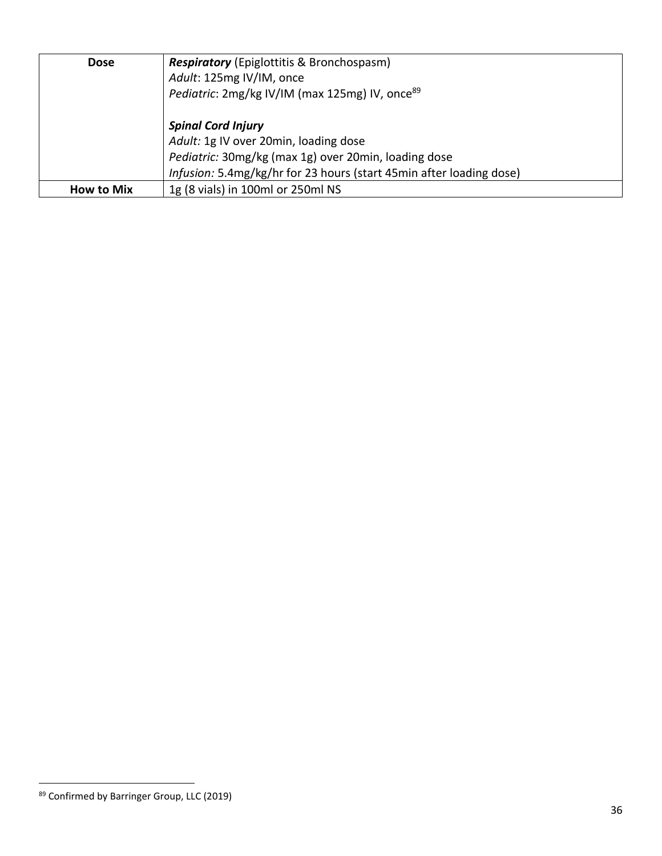| <b>Dose</b>       | <b>Respiratory</b> (Epiglottitis & Bronchospasm)<br>Adult: 125mg IV/IM, once<br>Pediatric: 2mg/kg IV/IM (max 125mg) IV, once <sup>89</sup>                                                        |
|-------------------|---------------------------------------------------------------------------------------------------------------------------------------------------------------------------------------------------|
|                   | <b>Spinal Cord Injury</b><br>Adult: 1g IV over 20min, loading dose<br>Pediatric: 30mg/kg (max 1g) over 20min, loading dose<br>Infusion: 5.4mg/kg/hr for 23 hours (start 45min after loading dose) |
| <b>How to Mix</b> | 1g (8 vials) in 100ml or 250ml NS                                                                                                                                                                 |

<sup>89</sup> Confirmed by Barringer Group, LLC (2019)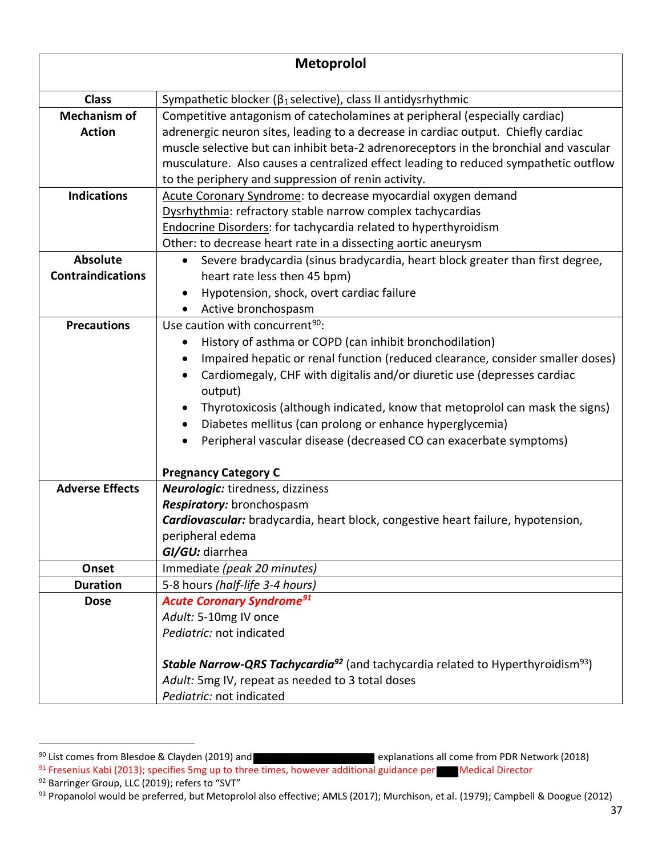|                          | <b>Metoprolol</b>                                                                                             |
|--------------------------|---------------------------------------------------------------------------------------------------------------|
|                          |                                                                                                               |
| <b>Class</b>             | Sympathetic blocker ( $\beta_1$ selective), class II antidysrhythmic                                          |
| <b>Mechanism of</b>      | Competitive antagonism of catecholamines at peripheral (especially cardiac)                                   |
| <b>Action</b>            | adrenergic neuron sites, leading to a decrease in cardiac output. Chiefly cardiac                             |
|                          | muscle selective but can inhibit beta-2 adrenoreceptors in the bronchial and vascular                         |
|                          | musculature. Also causes a centralized effect leading to reduced sympathetic outflow                          |
|                          | to the periphery and suppression of renin activity.                                                           |
| <b>Indications</b>       | Acute Coronary Syndrome: to decrease myocardial oxygen demand                                                 |
|                          | Dysrhythmia: refractory stable narrow complex tachycardias                                                    |
|                          | <b>Endocrine Disorders:</b> for tachycardia related to hyperthyroidism                                        |
|                          | Other: to decrease heart rate in a dissecting aortic aneurysm                                                 |
| <b>Absolute</b>          | Severe bradycardia (sinus bradycardia, heart block greater than first degree,<br>$\bullet$                    |
| <b>Contraindications</b> | heart rate less then 45 bpm)                                                                                  |
|                          | Hypotension, shock, overt cardiac failure                                                                     |
|                          | Active bronchospasm                                                                                           |
| <b>Precautions</b>       | Use caution with concurrent <sup>90</sup> :                                                                   |
|                          | History of asthma or COPD (can inhibit bronchodilation)                                                       |
|                          | Impaired hepatic or renal function (reduced clearance, consider smaller doses)                                |
|                          | Cardiomegaly, CHF with digitalis and/or diuretic use (depresses cardiac                                       |
|                          | output)                                                                                                       |
|                          | Thyrotoxicosis (although indicated, know that metoprolol can mask the signs)                                  |
|                          | Diabetes mellitus (can prolong or enhance hyperglycemia)                                                      |
|                          | Peripheral vascular disease (decreased CO can exacerbate symptoms)                                            |
|                          | <b>Pregnancy Category C</b>                                                                                   |
| <b>Adverse Effects</b>   | Neurologic: tiredness, dizziness                                                                              |
|                          | Respiratory: bronchospasm                                                                                     |
|                          | <b>Cardiovascular:</b> bradycardia, heart block, congestive heart failure, hypotension,                       |
|                          | peripheral edema                                                                                              |
|                          | GI/GU: diarrhea                                                                                               |
| Onset                    | Immediate (peak 20 minutes)                                                                                   |
| <b>Duration</b>          | 5-8 hours (half-life 3-4 hours)                                                                               |
| <b>Dose</b>              | <b>Acute Coronary Syndrome<sup>91</sup></b>                                                                   |
|                          | Adult: 5-10mg IV once                                                                                         |
|                          | Pediatric: not indicated                                                                                      |
|                          | <b>Stable Narrow-QRS Tachycardia<sup>92</sup></b> (and tachycardia related to Hyperthyroidism <sup>93</sup> ) |
|                          | Adult: 5mg IV, repeat as needed to 3 total doses                                                              |
|                          | Pediatric: not indicated                                                                                      |

<sup>&</sup>lt;sup>90</sup> List comes from Blesdoe & Clayden (2019) and **Explanations all come from PDR Network (2018)** 

<sup>91</sup> Fresenius Kabi (2013); specifies 5mg up to three times, however additional guidance per Medical Director <sup>92</sup> Barringer Group, LLC (2019); refers to "SVT"

<sup>93</sup> Propanolol would be preferred, but Metoprolol also effective; AMLS (2017); Murchison, et al. (1979); Campbell & Doogue (2012)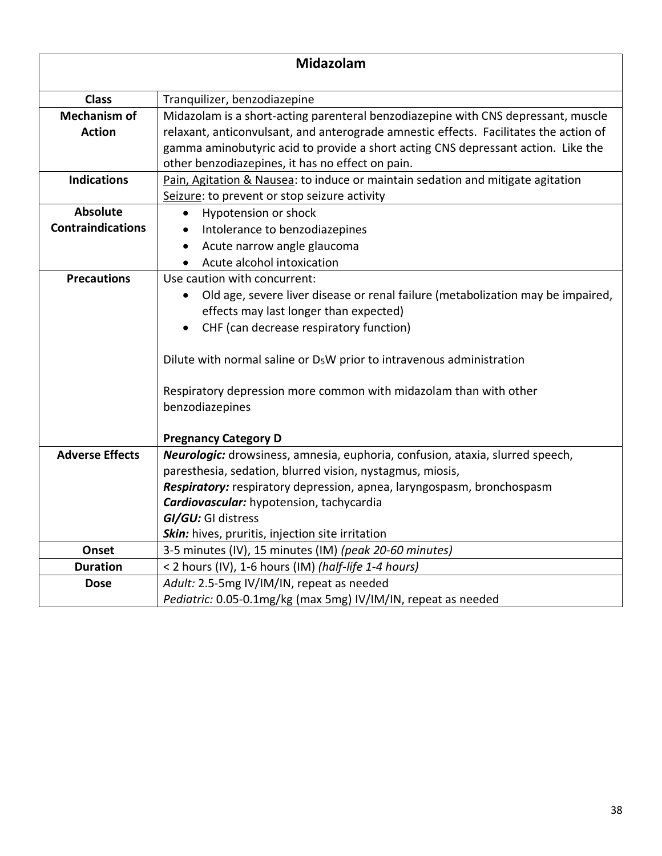| Midazolam                                   |                                                                                                                                                                                                                                                                                                                                                                                                        |
|---------------------------------------------|--------------------------------------------------------------------------------------------------------------------------------------------------------------------------------------------------------------------------------------------------------------------------------------------------------------------------------------------------------------------------------------------------------|
| <b>Class</b>                                | Tranquilizer, benzodiazepine                                                                                                                                                                                                                                                                                                                                                                           |
| <b>Mechanism of</b><br><b>Action</b>        | Midazolam is a short-acting parenteral benzodiazepine with CNS depressant, muscle<br>relaxant, anticonvulsant, and anterograde amnestic effects. Facilitates the action of<br>gamma aminobutyric acid to provide a short acting CNS depressant action. Like the<br>other benzodiazepines, it has no effect on pain.                                                                                    |
| <b>Indications</b>                          | Pain, Agitation & Nausea: to induce or maintain sedation and mitigate agitation<br>Seizure: to prevent or stop seizure activity                                                                                                                                                                                                                                                                        |
| <b>Absolute</b><br><b>Contraindications</b> | Hypotension or shock<br>Intolerance to benzodiazepines<br>Acute narrow angle glaucoma<br>$\bullet$<br>Acute alcohol intoxication                                                                                                                                                                                                                                                                       |
| <b>Precautions</b>                          | Use caution with concurrent:<br>Old age, severe liver disease or renal failure (metabolization may be impaired,<br>effects may last longer than expected)<br>CHF (can decrease respiratory function)<br>Dilute with normal saline or $D_5W$ prior to intravenous administration<br>Respiratory depression more common with midazolam than with other<br>benzodiazepines<br><b>Pregnancy Category D</b> |
| <b>Adverse Effects</b>                      | Neurologic: drowsiness, amnesia, euphoria, confusion, ataxia, slurred speech,<br>paresthesia, sedation, blurred vision, nystagmus, miosis,<br>Respiratory: respiratory depression, apnea, laryngospasm, bronchospasm<br>Cardiovascular: hypotension, tachycardia<br>GI/GU: GI distress<br>Skin: hives, pruritis, injection site irritation                                                             |
| Onset                                       | 3-5 minutes (IV), 15 minutes (IM) (peak 20-60 minutes)                                                                                                                                                                                                                                                                                                                                                 |
| <b>Duration</b>                             | < 2 hours (IV), 1-6 hours (IM) (half-life 1-4 hours)                                                                                                                                                                                                                                                                                                                                                   |
| <b>Dose</b>                                 | Adult: 2.5-5mg IV/IM/IN, repeat as needed<br>Pediatric: 0.05-0.1mg/kg (max 5mg) IV/IM/IN, repeat as needed                                                                                                                                                                                                                                                                                             |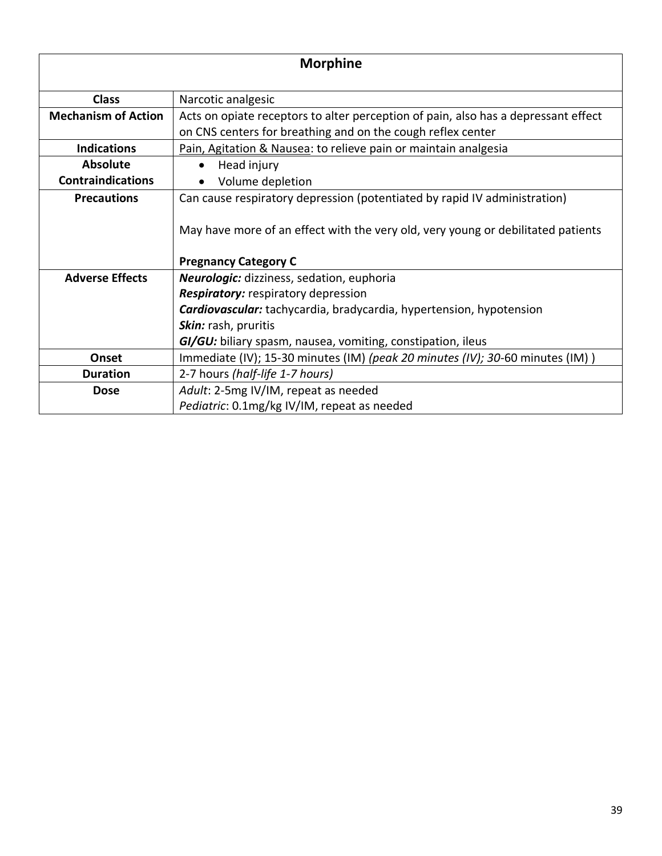| <b>Morphine</b>            |                                                                                                                                                   |
|----------------------------|---------------------------------------------------------------------------------------------------------------------------------------------------|
| <b>Class</b>               | Narcotic analgesic                                                                                                                                |
| <b>Mechanism of Action</b> | Acts on opiate receptors to alter perception of pain, also has a depressant effect<br>on CNS centers for breathing and on the cough reflex center |
| <b>Indications</b>         | Pain, Agitation & Nausea: to relieve pain or maintain analgesia                                                                                   |
| <b>Absolute</b>            | Head injury                                                                                                                                       |
| <b>Contraindications</b>   | Volume depletion                                                                                                                                  |
| <b>Precautions</b>         | Can cause respiratory depression (potentiated by rapid IV administration)                                                                         |
|                            | May have more of an effect with the very old, very young or debilitated patients<br><b>Pregnancy Category C</b>                                   |
| <b>Adverse Effects</b>     | Neurologic: dizziness, sedation, euphoria                                                                                                         |
|                            | Respiratory: respiratory depression                                                                                                               |
|                            | <b>Cardiovascular:</b> tachycardia, bradycardia, hypertension, hypotension                                                                        |
|                            | Skin: rash, pruritis                                                                                                                              |
|                            | GI/GU: biliary spasm, nausea, vomiting, constipation, ileus                                                                                       |
| Onset                      | Immediate (IV); 15-30 minutes (IM) (peak 20 minutes (IV); 30-60 minutes (IM))                                                                     |
| <b>Duration</b>            | 2-7 hours (half-life 1-7 hours)                                                                                                                   |
| <b>Dose</b>                | Adult: 2-5mg IV/IM, repeat as needed                                                                                                              |
|                            | Pediatric: 0.1mg/kg IV/IM, repeat as needed                                                                                                       |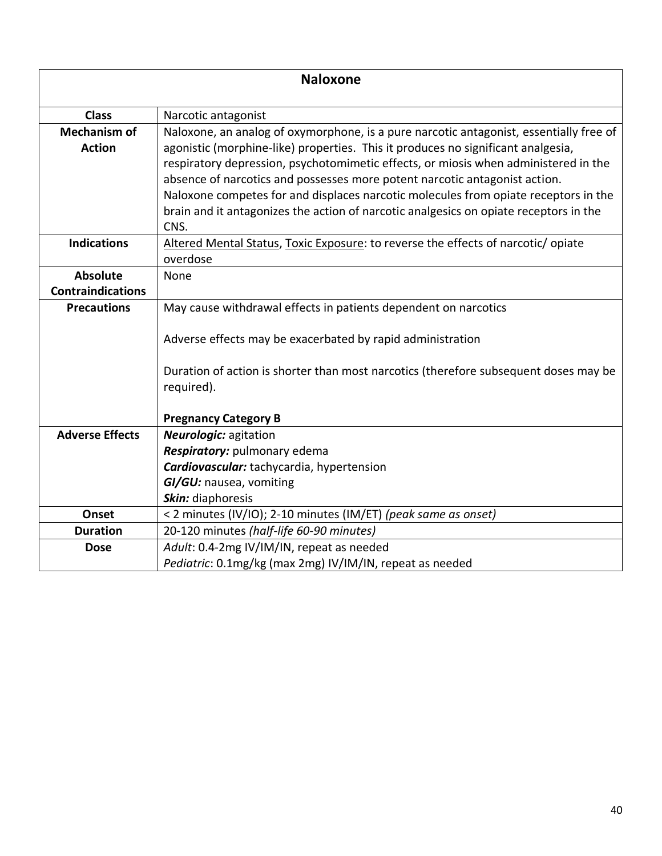| <b>Naloxone</b>                      |                                                                                                                                                                                                                                                                                                                                                                                                                                                                                                                                         |
|--------------------------------------|-----------------------------------------------------------------------------------------------------------------------------------------------------------------------------------------------------------------------------------------------------------------------------------------------------------------------------------------------------------------------------------------------------------------------------------------------------------------------------------------------------------------------------------------|
| <b>Class</b>                         | Narcotic antagonist                                                                                                                                                                                                                                                                                                                                                                                                                                                                                                                     |
| <b>Mechanism of</b><br><b>Action</b> | Naloxone, an analog of oxymorphone, is a pure narcotic antagonist, essentially free of<br>agonistic (morphine-like) properties. This it produces no significant analgesia,<br>respiratory depression, psychotomimetic effects, or miosis when administered in the<br>absence of narcotics and possesses more potent narcotic antagonist action.<br>Naloxone competes for and displaces narcotic molecules from opiate receptors in the<br>brain and it antagonizes the action of narcotic analgesics on opiate receptors in the<br>CNS. |
| <b>Indications</b>                   | Altered Mental Status, Toxic Exposure: to reverse the effects of narcotic/opiate<br>overdose                                                                                                                                                                                                                                                                                                                                                                                                                                            |
| <b>Absolute</b>                      | None                                                                                                                                                                                                                                                                                                                                                                                                                                                                                                                                    |
| <b>Contraindications</b>             |                                                                                                                                                                                                                                                                                                                                                                                                                                                                                                                                         |
| <b>Precautions</b>                   | May cause withdrawal effects in patients dependent on narcotics                                                                                                                                                                                                                                                                                                                                                                                                                                                                         |
|                                      | Adverse effects may be exacerbated by rapid administration<br>Duration of action is shorter than most narcotics (therefore subsequent doses may be<br>required).                                                                                                                                                                                                                                                                                                                                                                        |
|                                      |                                                                                                                                                                                                                                                                                                                                                                                                                                                                                                                                         |
|                                      | <b>Pregnancy Category B</b>                                                                                                                                                                                                                                                                                                                                                                                                                                                                                                             |
| <b>Adverse Effects</b>               | <b>Neurologic: agitation</b>                                                                                                                                                                                                                                                                                                                                                                                                                                                                                                            |
|                                      | Respiratory: pulmonary edema                                                                                                                                                                                                                                                                                                                                                                                                                                                                                                            |
|                                      | Cardiovascular: tachycardia, hypertension                                                                                                                                                                                                                                                                                                                                                                                                                                                                                               |
|                                      | GI/GU: nausea, vomiting                                                                                                                                                                                                                                                                                                                                                                                                                                                                                                                 |
|                                      | Skin: diaphoresis                                                                                                                                                                                                                                                                                                                                                                                                                                                                                                                       |
| Onset                                | < 2 minutes (IV/IO); 2-10 minutes (IM/ET) (peak same as onset)                                                                                                                                                                                                                                                                                                                                                                                                                                                                          |
| <b>Duration</b>                      | 20-120 minutes (half-life 60-90 minutes)                                                                                                                                                                                                                                                                                                                                                                                                                                                                                                |
| <b>Dose</b>                          | Adult: 0.4-2mg IV/IM/IN, repeat as needed                                                                                                                                                                                                                                                                                                                                                                                                                                                                                               |
|                                      | Pediatric: 0.1mg/kg (max 2mg) IV/IM/IN, repeat as needed                                                                                                                                                                                                                                                                                                                                                                                                                                                                                |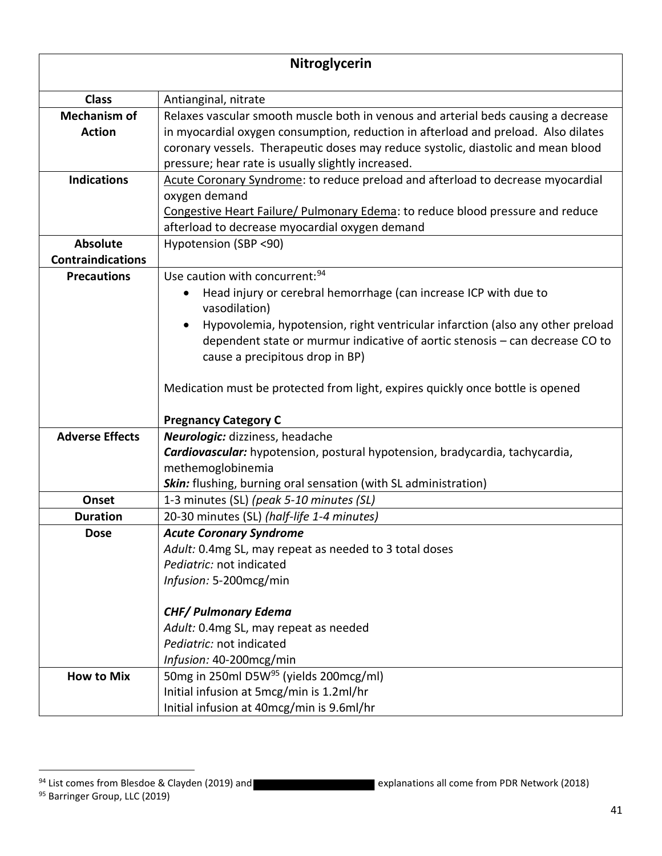| Nitroglycerin            |                                                                                    |
|--------------------------|------------------------------------------------------------------------------------|
|                          |                                                                                    |
| <b>Class</b>             | Antianginal, nitrate                                                               |
| <b>Mechanism of</b>      | Relaxes vascular smooth muscle both in venous and arterial beds causing a decrease |
| <b>Action</b>            | in myocardial oxygen consumption, reduction in afterload and preload. Also dilates |
|                          | coronary vessels. Therapeutic doses may reduce systolic, diastolic and mean blood  |
|                          | pressure; hear rate is usually slightly increased.                                 |
| <b>Indications</b>       | Acute Coronary Syndrome: to reduce preload and afterload to decrease myocardial    |
|                          | oxygen demand                                                                      |
|                          | Congestive Heart Failure/ Pulmonary Edema: to reduce blood pressure and reduce     |
|                          | afterload to decrease myocardial oxygen demand                                     |
| <b>Absolute</b>          | Hypotension (SBP <90)                                                              |
| <b>Contraindications</b> |                                                                                    |
| <b>Precautions</b>       | Use caution with concurrent: 94                                                    |
|                          | Head injury or cerebral hemorrhage (can increase ICP with due to<br>vasodilation)  |
|                          | Hypovolemia, hypotension, right ventricular infarction (also any other preload     |
|                          | dependent state or murmur indicative of aortic stenosis - can decrease CO to       |
|                          | cause a precipitous drop in BP)                                                    |
|                          |                                                                                    |
|                          | Medication must be protected from light, expires quickly once bottle is opened     |
|                          | <b>Pregnancy Category C</b>                                                        |
| <b>Adverse Effects</b>   | Neurologic: dizziness, headache                                                    |
|                          | Cardiovascular: hypotension, postural hypotension, bradycardia, tachycardia,       |
|                          | methemoglobinemia                                                                  |
|                          | Skin: flushing, burning oral sensation (with SL administration)                    |
| Onset                    | 1-3 minutes (SL) (peak 5-10 minutes (SL)                                           |
| <b>Duration</b>          | 20-30 minutes (SL) (half-life 1-4 minutes)                                         |
| <b>Dose</b>              | <b>Acute Coronary Syndrome</b>                                                     |
|                          | Adult: 0.4mg SL, may repeat as needed to 3 total doses                             |
|                          | Pediatric: not indicated                                                           |
|                          | Infusion: 5-200mcg/min                                                             |
|                          | <b>CHF/ Pulmonary Edema</b>                                                        |
|                          | Adult: 0.4mg SL, may repeat as needed                                              |
|                          | Pediatric: not indicated                                                           |
|                          | Infusion: 40-200mcg/min                                                            |
| <b>How to Mix</b>        | 50mg in 250ml D5W <sup>95</sup> (yields 200mcg/ml)                                 |
|                          | Initial infusion at 5mcg/min is 1.2ml/hr                                           |
|                          | Initial infusion at 40mcg/min is 9.6ml/hr                                          |

 $94$  List comes from Blesdoe & Clayden (2019) and explanations all come from PDR Network (2018) 95 Barringer Group, LLC (2019)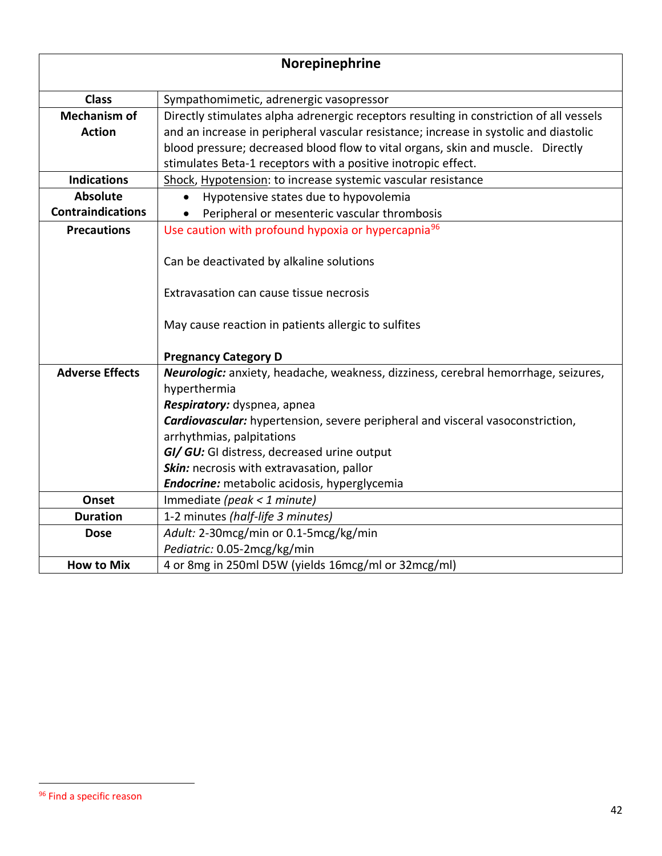| Norepinephrine                       |                                                                                                                                                                                                                                                                     |
|--------------------------------------|---------------------------------------------------------------------------------------------------------------------------------------------------------------------------------------------------------------------------------------------------------------------|
| <b>Class</b>                         | Sympathomimetic, adrenergic vasopressor                                                                                                                                                                                                                             |
| <b>Mechanism of</b><br><b>Action</b> | Directly stimulates alpha adrenergic receptors resulting in constriction of all vessels<br>and an increase in peripheral vascular resistance; increase in systolic and diastolic<br>blood pressure; decreased blood flow to vital organs, skin and muscle. Directly |
|                                      | stimulates Beta-1 receptors with a positive inotropic effect.                                                                                                                                                                                                       |
| <b>Indications</b>                   | Shock, Hypotension: to increase systemic vascular resistance                                                                                                                                                                                                        |
| Absolute                             | Hypotensive states due to hypovolemia                                                                                                                                                                                                                               |
| <b>Contraindications</b>             | Peripheral or mesenteric vascular thrombosis                                                                                                                                                                                                                        |
| <b>Precautions</b>                   | Use caution with profound hypoxia or hypercapnia <sup>96</sup>                                                                                                                                                                                                      |
|                                      | Can be deactivated by alkaline solutions                                                                                                                                                                                                                            |
|                                      | Extravasation can cause tissue necrosis                                                                                                                                                                                                                             |
|                                      | May cause reaction in patients allergic to sulfites                                                                                                                                                                                                                 |
|                                      | <b>Pregnancy Category D</b>                                                                                                                                                                                                                                         |
| <b>Adverse Effects</b>               | Neurologic: anxiety, headache, weakness, dizziness, cerebral hemorrhage, seizures,                                                                                                                                                                                  |
|                                      | hyperthermia                                                                                                                                                                                                                                                        |
|                                      | Respiratory: dyspnea, apnea                                                                                                                                                                                                                                         |
|                                      | <b>Cardiovascular:</b> hypertension, severe peripheral and visceral vasoconstriction,                                                                                                                                                                               |
|                                      | arrhythmias, palpitations                                                                                                                                                                                                                                           |
|                                      | GI/ GU: GI distress, decreased urine output                                                                                                                                                                                                                         |
|                                      | Skin: necrosis with extravasation, pallor                                                                                                                                                                                                                           |
|                                      | Endocrine: metabolic acidosis, hyperglycemia                                                                                                                                                                                                                        |
| Onset                                | Immediate (peak < 1 minute)                                                                                                                                                                                                                                         |
| <b>Duration</b>                      | 1-2 minutes (half-life 3 minutes)                                                                                                                                                                                                                                   |
| <b>Dose</b>                          | Adult: 2-30mcg/min or 0.1-5mcg/kg/min                                                                                                                                                                                                                               |
|                                      | Pediatric: 0.05-2mcg/kg/min                                                                                                                                                                                                                                         |
| <b>How to Mix</b>                    | 4 or 8mg in 250ml D5W (yields 16mcg/ml or 32mcg/ml)                                                                                                                                                                                                                 |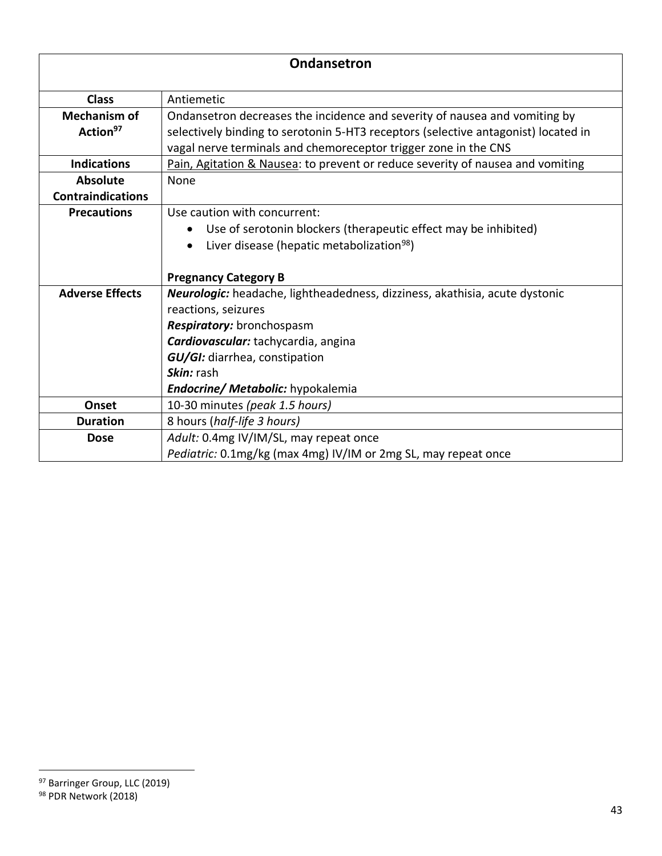| <b>Ondansetron</b>                          |                                                                                                                                                                                                                                     |
|---------------------------------------------|-------------------------------------------------------------------------------------------------------------------------------------------------------------------------------------------------------------------------------------|
| <b>Class</b>                                | Antiemetic                                                                                                                                                                                                                          |
| <b>Mechanism of</b><br>Action <sup>97</sup> | Ondansetron decreases the incidence and severity of nausea and vomiting by<br>selectively binding to serotonin 5-HT3 receptors (selective antagonist) located in<br>vagal nerve terminals and chemoreceptor trigger zone in the CNS |
| <b>Indications</b>                          | Pain, Agitation & Nausea: to prevent or reduce severity of nausea and vomiting                                                                                                                                                      |
| <b>Absolute</b>                             | None                                                                                                                                                                                                                                |
| <b>Contraindications</b>                    |                                                                                                                                                                                                                                     |
| <b>Precautions</b>                          | Use caution with concurrent:                                                                                                                                                                                                        |
|                                             | Use of serotonin blockers (therapeutic effect may be inhibited)<br>$\bullet$                                                                                                                                                        |
|                                             | Liver disease (hepatic metabolization <sup>98</sup> )<br>$\bullet$                                                                                                                                                                  |
|                                             |                                                                                                                                                                                                                                     |
|                                             | <b>Pregnancy Category B</b>                                                                                                                                                                                                         |
| <b>Adverse Effects</b>                      | Neurologic: headache, lightheadedness, dizziness, akathisia, acute dystonic                                                                                                                                                         |
|                                             | reactions, seizures                                                                                                                                                                                                                 |
|                                             | Respiratory: bronchospasm                                                                                                                                                                                                           |
|                                             | Cardiovascular: tachycardia, angina                                                                                                                                                                                                 |
|                                             | GU/GI: diarrhea, constipation                                                                                                                                                                                                       |
|                                             | Skin: rash                                                                                                                                                                                                                          |
|                                             | Endocrine/ Metabolic: hypokalemia                                                                                                                                                                                                   |
| Onset                                       | 10-30 minutes (peak 1.5 hours)                                                                                                                                                                                                      |
| <b>Duration</b>                             | 8 hours (half-life 3 hours)                                                                                                                                                                                                         |
| <b>Dose</b>                                 | Adult: 0.4mg IV/IM/SL, may repeat once                                                                                                                                                                                              |
|                                             | Pediatric: 0.1mg/kg (max 4mg) IV/IM or 2mg SL, may repeat once                                                                                                                                                                      |

<sup>97</sup> Barringer Group, LLC (2019)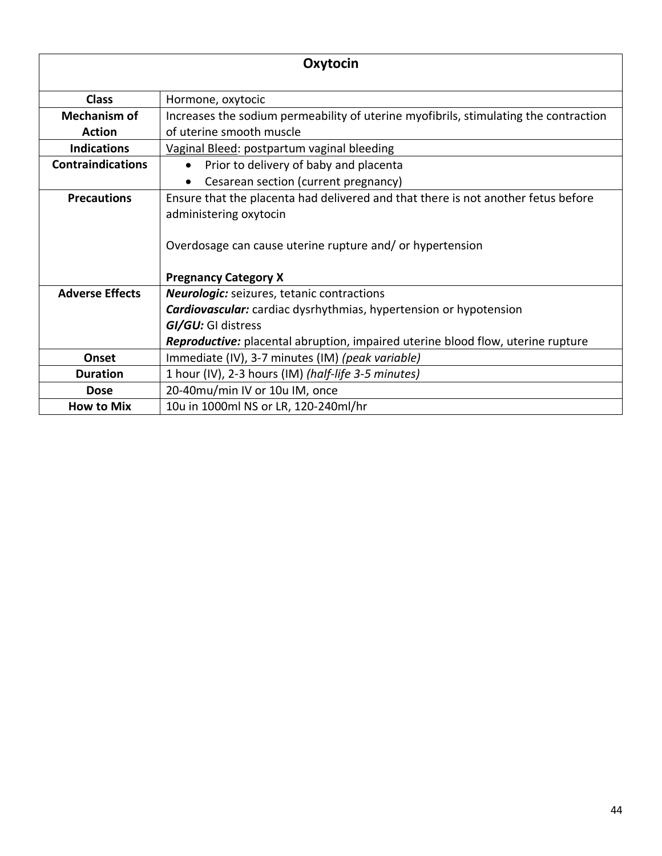| Oxytocin                 |                                                                                          |
|--------------------------|------------------------------------------------------------------------------------------|
| <b>Class</b>             | Hormone, oxytocic                                                                        |
| <b>Mechanism of</b>      | Increases the sodium permeability of uterine myofibrils, stimulating the contraction     |
| <b>Action</b>            | of uterine smooth muscle                                                                 |
| <b>Indications</b>       | Vaginal Bleed: postpartum vaginal bleeding                                               |
| <b>Contraindications</b> | Prior to delivery of baby and placenta                                                   |
|                          | Cesarean section (current pregnancy)                                                     |
| <b>Precautions</b>       | Ensure that the placenta had delivered and that there is not another fetus before        |
|                          | administering oxytocin                                                                   |
|                          | Overdosage can cause uterine rupture and/ or hypertension<br><b>Pregnancy Category X</b> |
| <b>Adverse Effects</b>   | <b>Neurologic:</b> seizures, tetanic contractions                                        |
|                          | <b>Cardiovascular:</b> cardiac dysrhythmias, hypertension or hypotension                 |
|                          | GI/GU: GI distress                                                                       |
|                          | <b>Reproductive:</b> placental abruption, impaired uterine blood flow, uterine rupture   |
| Onset                    | Immediate (IV), 3-7 minutes (IM) (peak variable)                                         |
| <b>Duration</b>          | 1 hour (IV), 2-3 hours (IM) (half-life 3-5 minutes)                                      |
| <b>Dose</b>              | 20-40mu/min IV or 10u IM, once                                                           |
| <b>How to Mix</b>        | 10u in 1000ml NS or LR, 120-240ml/hr                                                     |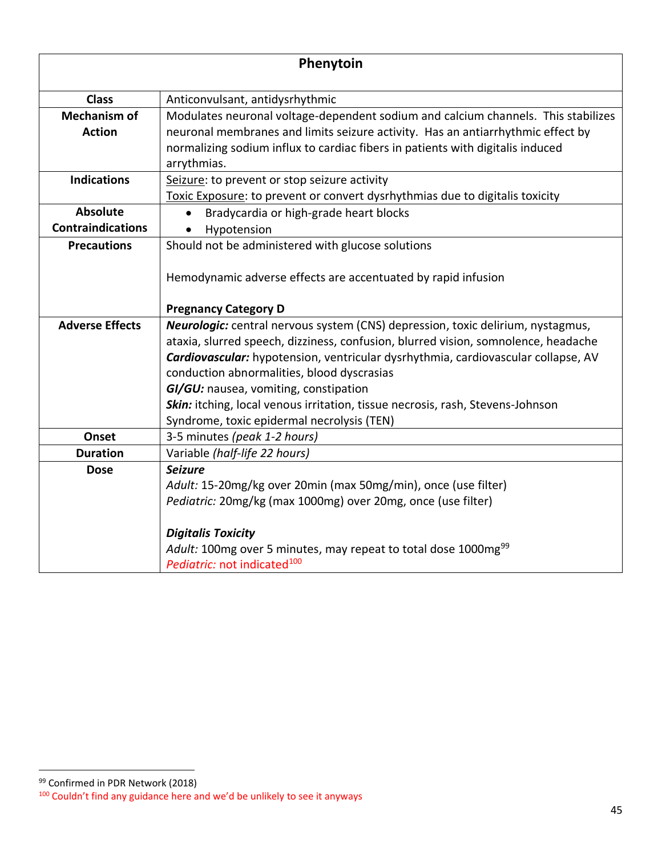| Phenytoin                            |                                                                                                                                                                                                                                                                       |
|--------------------------------------|-----------------------------------------------------------------------------------------------------------------------------------------------------------------------------------------------------------------------------------------------------------------------|
| <b>Class</b>                         | Anticonvulsant, antidysrhythmic                                                                                                                                                                                                                                       |
| <b>Mechanism of</b><br><b>Action</b> | Modulates neuronal voltage-dependent sodium and calcium channels. This stabilizes<br>neuronal membranes and limits seizure activity. Has an antiarrhythmic effect by<br>normalizing sodium influx to cardiac fibers in patients with digitalis induced<br>arrythmias. |
| <b>Indications</b>                   | Seizure: to prevent or stop seizure activity                                                                                                                                                                                                                          |
|                                      | Toxic Exposure: to prevent or convert dysrhythmias due to digitalis toxicity                                                                                                                                                                                          |
| <b>Absolute</b>                      | Bradycardia or high-grade heart blocks                                                                                                                                                                                                                                |
| <b>Contraindications</b>             | Hypotension<br>$\bullet$                                                                                                                                                                                                                                              |
| <b>Precautions</b>                   | Should not be administered with glucose solutions                                                                                                                                                                                                                     |
|                                      | Hemodynamic adverse effects are accentuated by rapid infusion                                                                                                                                                                                                         |
|                                      | <b>Pregnancy Category D</b>                                                                                                                                                                                                                                           |
| <b>Adverse Effects</b>               | Neurologic: central nervous system (CNS) depression, toxic delirium, nystagmus,<br>ataxia, slurred speech, dizziness, confusion, blurred vision, somnolence, headache                                                                                                 |
|                                      | Cardiovascular: hypotension, ventricular dysrhythmia, cardiovascular collapse, AV<br>conduction abnormalities, blood dyscrasias                                                                                                                                       |
|                                      | GI/GU: nausea, vomiting, constipation                                                                                                                                                                                                                                 |
|                                      | Skin: itching, local venous irritation, tissue necrosis, rash, Stevens-Johnson                                                                                                                                                                                        |
|                                      | Syndrome, toxic epidermal necrolysis (TEN)                                                                                                                                                                                                                            |
| Onset                                | 3-5 minutes (peak 1-2 hours)                                                                                                                                                                                                                                          |
| <b>Duration</b>                      | Variable (half-life 22 hours)                                                                                                                                                                                                                                         |
| <b>Dose</b>                          | <b>Seizure</b>                                                                                                                                                                                                                                                        |
|                                      | Adult: 15-20mg/kg over 20min (max 50mg/min), once (use filter)                                                                                                                                                                                                        |
|                                      | Pediatric: 20mg/kg (max 1000mg) over 20mg, once (use filter)                                                                                                                                                                                                          |
|                                      | <b>Digitalis Toxicity</b>                                                                                                                                                                                                                                             |
|                                      | Adult: 100mg over 5 minutes, may repeat to total dose 1000mg <sup>99</sup>                                                                                                                                                                                            |
|                                      | Pediatric: not indicated <sup>100</sup>                                                                                                                                                                                                                               |

<sup>99</sup> Confirmed in PDR Network (2018) <sup>100</sup> Couldn't find any guidance here and we'd be unlikely to see it anyways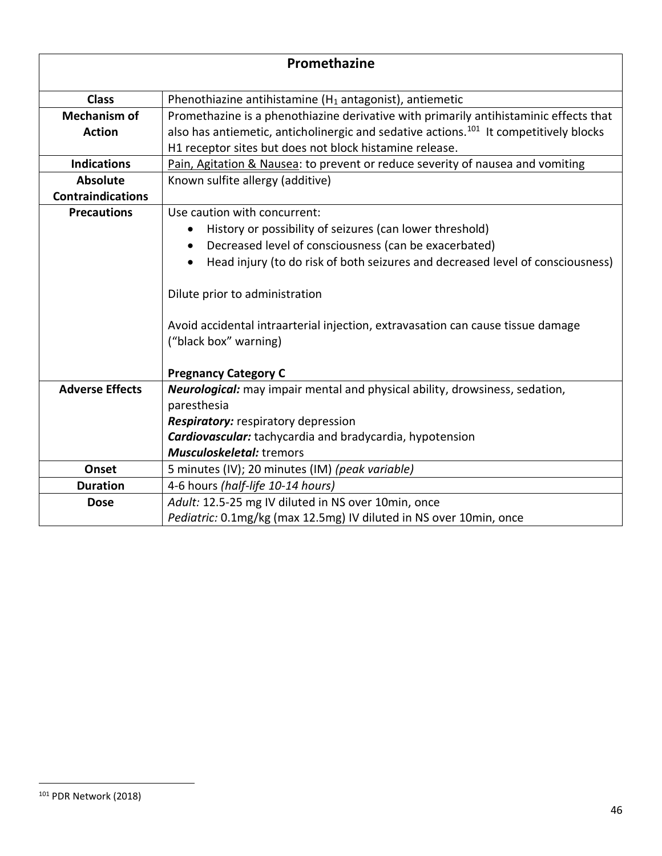| Promethazine             |                                                                                                          |
|--------------------------|----------------------------------------------------------------------------------------------------------|
| <b>Class</b>             | Phenothiazine antihistamine ( $H_1$ antagonist), antiemetic                                              |
| <b>Mechanism of</b>      | Promethazine is a phenothiazine derivative with primarily antihistaminic effects that                    |
| <b>Action</b>            | also has antiemetic, anticholinergic and sedative actions. <sup>101</sup> It competitively blocks        |
|                          | H1 receptor sites but does not block histamine release.                                                  |
| <b>Indications</b>       | Pain, Agitation & Nausea: to prevent or reduce severity of nausea and vomiting                           |
| <b>Absolute</b>          | Known sulfite allergy (additive)                                                                         |
| <b>Contraindications</b> |                                                                                                          |
| <b>Precautions</b>       | Use caution with concurrent:                                                                             |
|                          | History or possibility of seizures (can lower threshold)                                                 |
|                          | Decreased level of consciousness (can be exacerbated)<br>$\bullet$                                       |
|                          | Head injury (to do risk of both seizures and decreased level of consciousness)<br>$\bullet$              |
|                          | Dilute prior to administration                                                                           |
|                          | Avoid accidental intraarterial injection, extravasation can cause tissue damage<br>("black box" warning) |
|                          | <b>Pregnancy Category C</b>                                                                              |
| <b>Adverse Effects</b>   | Neurological: may impair mental and physical ability, drowsiness, sedation,                              |
|                          | paresthesia                                                                                              |
|                          | <b>Respiratory:</b> respiratory depression                                                               |
|                          | <b>Cardiovascular:</b> tachycardia and bradycardia, hypotension                                          |
|                          | <b>Musculoskeletal:</b> tremors                                                                          |
| Onset                    | 5 minutes (IV); 20 minutes (IM) (peak variable)                                                          |
| <b>Duration</b>          | 4-6 hours (half-life 10-14 hours)                                                                        |
| <b>Dose</b>              | Adult: 12.5-25 mg IV diluted in NS over 10min, once                                                      |
|                          | Pediatric: 0.1mg/kg (max 12.5mg) IV diluted in NS over 10min, once                                       |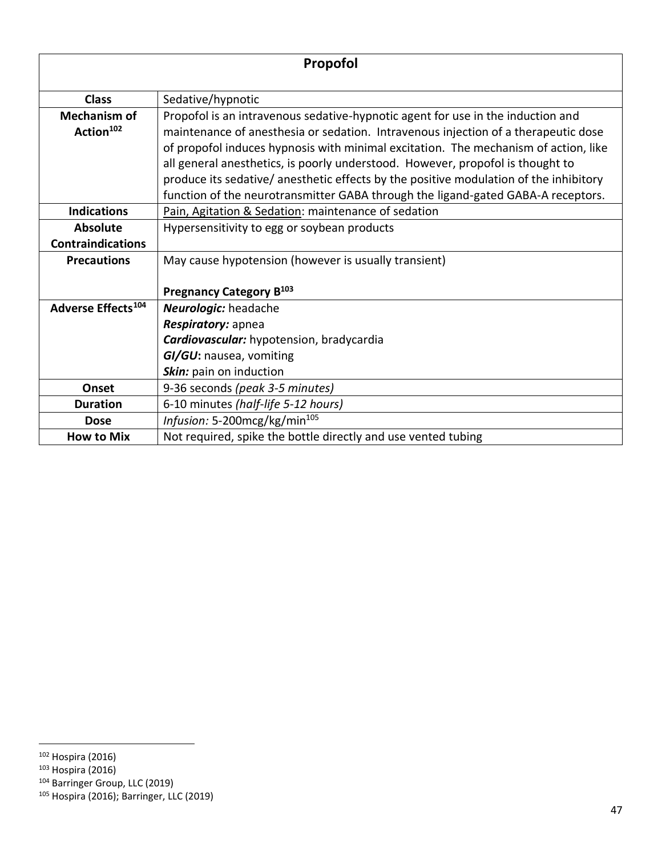| Propofol                                     |                                                                                                                                                                                                                                                                                                                                                                                                                                                                                                                            |
|----------------------------------------------|----------------------------------------------------------------------------------------------------------------------------------------------------------------------------------------------------------------------------------------------------------------------------------------------------------------------------------------------------------------------------------------------------------------------------------------------------------------------------------------------------------------------------|
| <b>Class</b>                                 | Sedative/hypnotic                                                                                                                                                                                                                                                                                                                                                                                                                                                                                                          |
| <b>Mechanism of</b><br>Action <sup>102</sup> | Propofol is an intravenous sedative-hypnotic agent for use in the induction and<br>maintenance of anesthesia or sedation. Intravenous injection of a therapeutic dose<br>of propofol induces hypnosis with minimal excitation. The mechanism of action, like<br>all general anesthetics, is poorly understood. However, propofol is thought to<br>produce its sedative/anesthetic effects by the positive modulation of the inhibitory<br>function of the neurotransmitter GABA through the ligand-gated GABA-A receptors. |
| <b>Indications</b>                           | Pain, Agitation & Sedation: maintenance of sedation                                                                                                                                                                                                                                                                                                                                                                                                                                                                        |
| <b>Absolute</b>                              | Hypersensitivity to egg or soybean products                                                                                                                                                                                                                                                                                                                                                                                                                                                                                |
| <b>Contraindications</b>                     |                                                                                                                                                                                                                                                                                                                                                                                                                                                                                                                            |
| <b>Precautions</b>                           | May cause hypotension (however is usually transient)                                                                                                                                                                                                                                                                                                                                                                                                                                                                       |
|                                              | Pregnancy Category B103                                                                                                                                                                                                                                                                                                                                                                                                                                                                                                    |
| Adverse Effects <sup>104</sup>               | Neurologic: headache                                                                                                                                                                                                                                                                                                                                                                                                                                                                                                       |
|                                              | Respiratory: apnea                                                                                                                                                                                                                                                                                                                                                                                                                                                                                                         |
|                                              | <b>Cardiovascular:</b> hypotension, bradycardia                                                                                                                                                                                                                                                                                                                                                                                                                                                                            |
|                                              | GI/GU: nausea, vomiting                                                                                                                                                                                                                                                                                                                                                                                                                                                                                                    |
|                                              | Skin: pain on induction                                                                                                                                                                                                                                                                                                                                                                                                                                                                                                    |
| Onset                                        | 9-36 seconds (peak 3-5 minutes)                                                                                                                                                                                                                                                                                                                                                                                                                                                                                            |
| <b>Duration</b>                              | 6-10 minutes (half-life 5-12 hours)                                                                                                                                                                                                                                                                                                                                                                                                                                                                                        |
| <b>Dose</b>                                  | Infusion: 5-200mcg/kg/min <sup>105</sup>                                                                                                                                                                                                                                                                                                                                                                                                                                                                                   |
| <b>How to Mix</b>                            | Not required, spike the bottle directly and use vented tubing                                                                                                                                                                                                                                                                                                                                                                                                                                                              |

- <sup>103</sup> Hospira (2016)
- 104 Barringer Group, LLC (2019)

<sup>102</sup> Hospira (2016)

<sup>105</sup> Hospira (2016); Barringer, LLC (2019)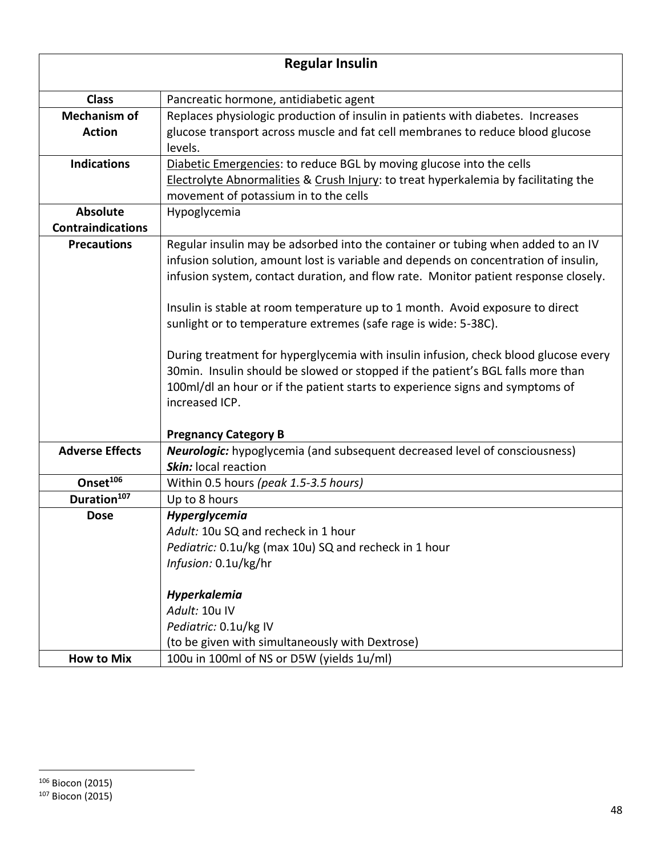| <b>Regular Insulin</b>                      |                                                                                                                                                                                                                                                                                                                                                                                                                                                                                                                                                                                                                                                                                                                                |
|---------------------------------------------|--------------------------------------------------------------------------------------------------------------------------------------------------------------------------------------------------------------------------------------------------------------------------------------------------------------------------------------------------------------------------------------------------------------------------------------------------------------------------------------------------------------------------------------------------------------------------------------------------------------------------------------------------------------------------------------------------------------------------------|
| <b>Class</b>                                | Pancreatic hormone, antidiabetic agent                                                                                                                                                                                                                                                                                                                                                                                                                                                                                                                                                                                                                                                                                         |
| <b>Mechanism of</b>                         | Replaces physiologic production of insulin in patients with diabetes. Increases                                                                                                                                                                                                                                                                                                                                                                                                                                                                                                                                                                                                                                                |
| <b>Action</b>                               | glucose transport across muscle and fat cell membranes to reduce blood glucose<br>levels.                                                                                                                                                                                                                                                                                                                                                                                                                                                                                                                                                                                                                                      |
| <b>Indications</b>                          | Diabetic Emergencies: to reduce BGL by moving glucose into the cells<br>Electrolyte Abnormalities & Crush Injury: to treat hyperkalemia by facilitating the<br>movement of potassium in to the cells                                                                                                                                                                                                                                                                                                                                                                                                                                                                                                                           |
| <b>Absolute</b><br><b>Contraindications</b> | Hypoglycemia                                                                                                                                                                                                                                                                                                                                                                                                                                                                                                                                                                                                                                                                                                                   |
| <b>Precautions</b>                          | Regular insulin may be adsorbed into the container or tubing when added to an IV<br>infusion solution, amount lost is variable and depends on concentration of insulin,<br>infusion system, contact duration, and flow rate. Monitor patient response closely.<br>Insulin is stable at room temperature up to 1 month. Avoid exposure to direct<br>sunlight or to temperature extremes (safe rage is wide: 5-38C).<br>During treatment for hyperglycemia with insulin infusion, check blood glucose every<br>30min. Insulin should be slowed or stopped if the patient's BGL falls more than<br>100ml/dl an hour or if the patient starts to experience signs and symptoms of<br>increased ICP.<br><b>Pregnancy Category B</b> |
| <b>Adverse Effects</b>                      | <b>Neurologic:</b> hypoglycemia (and subsequent decreased level of consciousness)<br>Skin: local reaction                                                                                                                                                                                                                                                                                                                                                                                                                                                                                                                                                                                                                      |
| Onset <sup>106</sup>                        | Within 0.5 hours (peak 1.5-3.5 hours)                                                                                                                                                                                                                                                                                                                                                                                                                                                                                                                                                                                                                                                                                          |
| Duration <sup>107</sup>                     | Up to 8 hours                                                                                                                                                                                                                                                                                                                                                                                                                                                                                                                                                                                                                                                                                                                  |
| <b>Dose</b>                                 | Hyperglycemia<br>Adult: 10u SQ and recheck in 1 hour<br>Pediatric: 0.1u/kg (max 10u) SQ and recheck in 1 hour<br>Infusion: 0.1u/kg/hr<br>Hyperkalemia                                                                                                                                                                                                                                                                                                                                                                                                                                                                                                                                                                          |
|                                             | Adult: 10u IV                                                                                                                                                                                                                                                                                                                                                                                                                                                                                                                                                                                                                                                                                                                  |
|                                             | Pediatric: 0.1u/kg IV                                                                                                                                                                                                                                                                                                                                                                                                                                                                                                                                                                                                                                                                                                          |
|                                             | (to be given with simultaneously with Dextrose)                                                                                                                                                                                                                                                                                                                                                                                                                                                                                                                                                                                                                                                                                |
| <b>How to Mix</b>                           | 100u in 100ml of NS or D5W (yields 1u/ml)                                                                                                                                                                                                                                                                                                                                                                                                                                                                                                                                                                                                                                                                                      |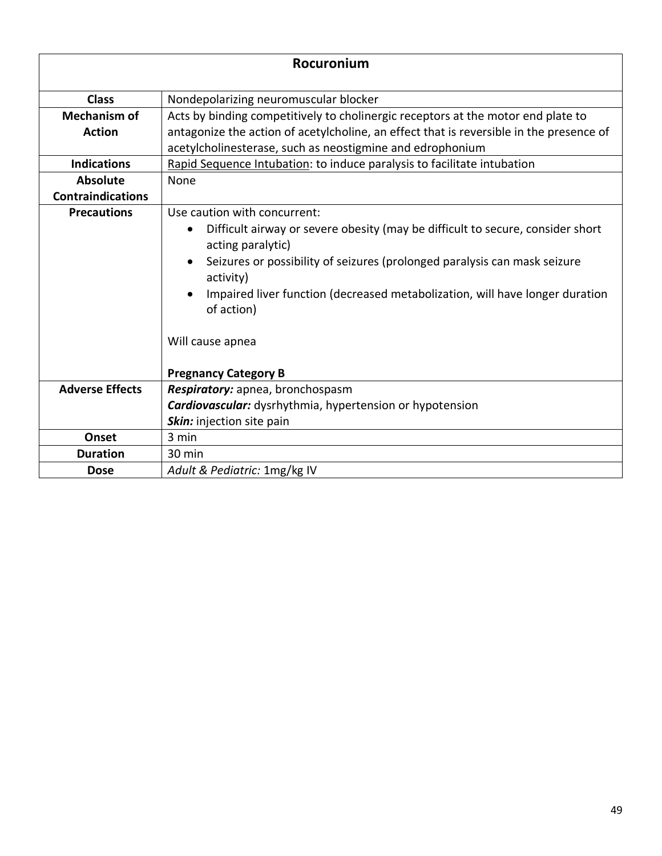| Rocuronium               |                                                                                                                                                                                                                                                                                                                                           |
|--------------------------|-------------------------------------------------------------------------------------------------------------------------------------------------------------------------------------------------------------------------------------------------------------------------------------------------------------------------------------------|
| <b>Class</b>             | Nondepolarizing neuromuscular blocker                                                                                                                                                                                                                                                                                                     |
| <b>Mechanism of</b>      | Acts by binding competitively to cholinergic receptors at the motor end plate to                                                                                                                                                                                                                                                          |
| <b>Action</b>            | antagonize the action of acetylcholine, an effect that is reversible in the presence of                                                                                                                                                                                                                                                   |
|                          | acetylcholinesterase, such as neostigmine and edrophonium                                                                                                                                                                                                                                                                                 |
| <b>Indications</b>       | Rapid Sequence Intubation: to induce paralysis to facilitate intubation                                                                                                                                                                                                                                                                   |
| <b>Absolute</b>          | None                                                                                                                                                                                                                                                                                                                                      |
| <b>Contraindications</b> |                                                                                                                                                                                                                                                                                                                                           |
| <b>Precautions</b>       | Use caution with concurrent:                                                                                                                                                                                                                                                                                                              |
|                          | Difficult airway or severe obesity (may be difficult to secure, consider short<br>$\bullet$<br>acting paralytic)<br>Seizures or possibility of seizures (prolonged paralysis can mask seizure<br>$\bullet$<br>activity)<br>Impaired liver function (decreased metabolization, will have longer duration<br>of action)<br>Will cause apnea |
|                          | <b>Pregnancy Category B</b>                                                                                                                                                                                                                                                                                                               |
| <b>Adverse Effects</b>   | Respiratory: apnea, bronchospasm                                                                                                                                                                                                                                                                                                          |
|                          | <b>Cardiovascular:</b> dysrhythmia, hypertension or hypotension                                                                                                                                                                                                                                                                           |
|                          | Skin: injection site pain                                                                                                                                                                                                                                                                                                                 |
| Onset                    | 3 min                                                                                                                                                                                                                                                                                                                                     |
| <b>Duration</b>          | 30 min                                                                                                                                                                                                                                                                                                                                    |
| <b>Dose</b>              | Adult & Pediatric: 1mg/kg IV                                                                                                                                                                                                                                                                                                              |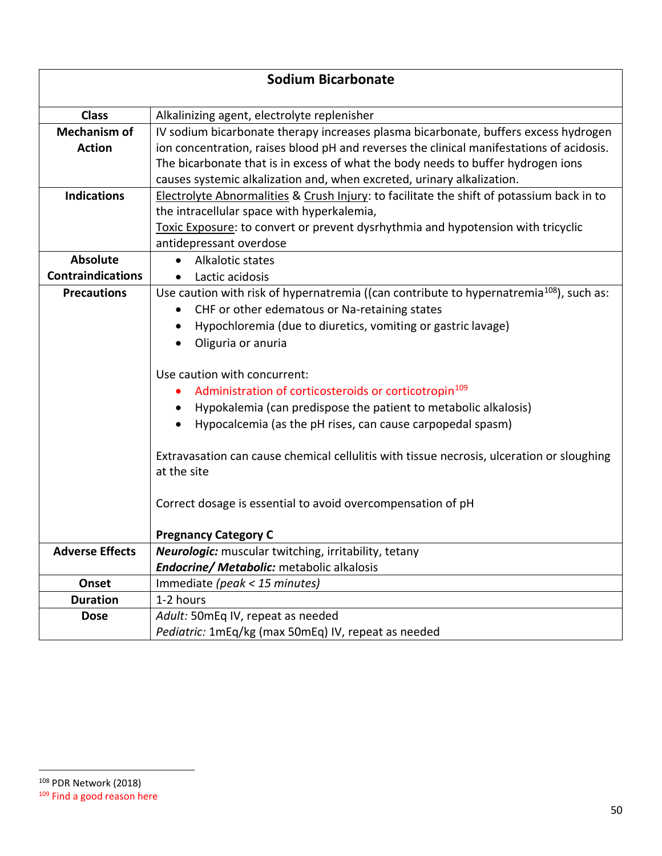| <b>Sodium Bicarbonate</b> |                                                                                                          |  |
|---------------------------|----------------------------------------------------------------------------------------------------------|--|
| <b>Class</b>              | Alkalinizing agent, electrolyte replenisher                                                              |  |
| <b>Mechanism of</b>       | IV sodium bicarbonate therapy increases plasma bicarbonate, buffers excess hydrogen                      |  |
| <b>Action</b>             | ion concentration, raises blood pH and reverses the clinical manifestations of acidosis.                 |  |
|                           | The bicarbonate that is in excess of what the body needs to buffer hydrogen ions                         |  |
|                           | causes systemic alkalization and, when excreted, urinary alkalization.                                   |  |
| <b>Indications</b>        | Electrolyte Abnormalities & Crush Injury: to facilitate the shift of potassium back in to                |  |
|                           | the intracellular space with hyperkalemia,                                                               |  |
|                           | Toxic Exposure: to convert or prevent dysrhythmia and hypotension with tricyclic                         |  |
|                           | antidepressant overdose                                                                                  |  |
| <b>Absolute</b>           | Alkalotic states                                                                                         |  |
| <b>Contraindications</b>  | Lactic acidosis<br>$\bullet$                                                                             |  |
| <b>Precautions</b>        | Use caution with risk of hypernatremia ((can contribute to hypernatremia <sup>108</sup> ), such as:      |  |
|                           | CHF or other edematous or Na-retaining states<br>$\bullet$                                               |  |
|                           | Hypochloremia (due to diuretics, vomiting or gastric lavage)                                             |  |
|                           | Oliguria or anuria                                                                                       |  |
|                           | Use caution with concurrent:                                                                             |  |
|                           | Administration of corticosteroids or corticotropin <sup>109</sup>                                        |  |
|                           | Hypokalemia (can predispose the patient to metabolic alkalosis)                                          |  |
|                           | Hypocalcemia (as the pH rises, can cause carpopedal spasm)                                               |  |
|                           | Extravasation can cause chemical cellulitis with tissue necrosis, ulceration or sloughing<br>at the site |  |
|                           | Correct dosage is essential to avoid overcompensation of pH                                              |  |
|                           | <b>Pregnancy Category C</b>                                                                              |  |
| <b>Adverse Effects</b>    | Neurologic: muscular twitching, irritability, tetany                                                     |  |
|                           | <b>Endocrine/ Metabolic:</b> metabolic alkalosis                                                         |  |
| Onset                     | Immediate (peak < 15 minutes)                                                                            |  |
| <b>Duration</b>           | 1-2 hours                                                                                                |  |
| <b>Dose</b>               | Adult: 50mEq IV, repeat as needed                                                                        |  |
|                           | Pediatric: 1mEq/kg (max 50mEq) IV, repeat as needed                                                      |  |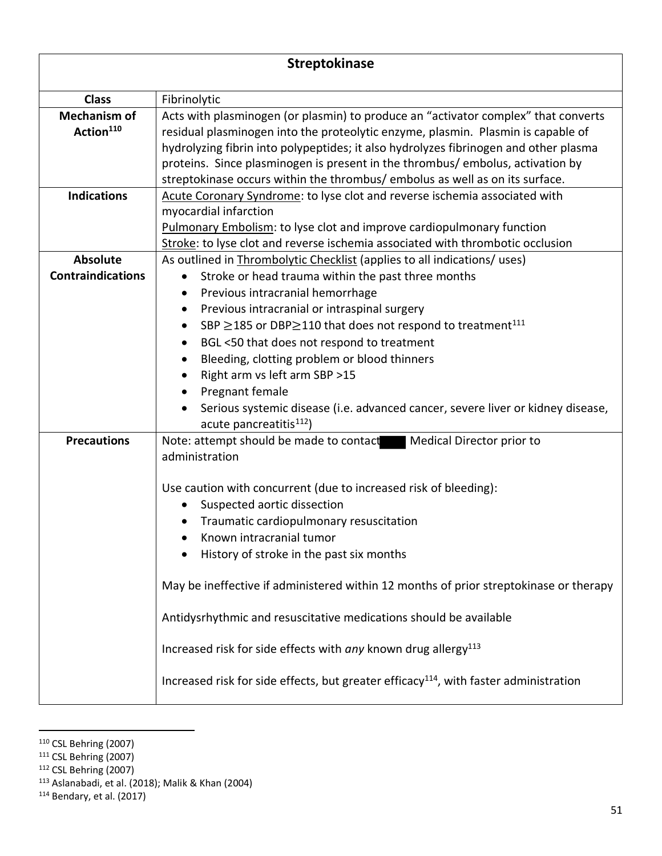| <b>Streptokinase</b>                         |                                                                                                                                                                                                                                                                                                                                                                                                                                                                                                                                                                                                                                                                                                                   |
|----------------------------------------------|-------------------------------------------------------------------------------------------------------------------------------------------------------------------------------------------------------------------------------------------------------------------------------------------------------------------------------------------------------------------------------------------------------------------------------------------------------------------------------------------------------------------------------------------------------------------------------------------------------------------------------------------------------------------------------------------------------------------|
| <b>Class</b>                                 | Fibrinolytic                                                                                                                                                                                                                                                                                                                                                                                                                                                                                                                                                                                                                                                                                                      |
| <b>Mechanism of</b><br>Action <sup>110</sup> | Acts with plasminogen (or plasmin) to produce an "activator complex" that converts<br>residual plasminogen into the proteolytic enzyme, plasmin. Plasmin is capable of<br>hydrolyzing fibrin into polypeptides; it also hydrolyzes fibrinogen and other plasma<br>proteins. Since plasminogen is present in the thrombus/ embolus, activation by<br>streptokinase occurs within the thrombus/ embolus as well as on its surface.                                                                                                                                                                                                                                                                                  |
| <b>Indications</b>                           | Acute Coronary Syndrome: to lyse clot and reverse ischemia associated with<br>myocardial infarction<br><b>Pulmonary Embolism: to lyse clot and improve cardiopulmonary function</b><br>Stroke: to lyse clot and reverse ischemia associated with thrombotic occlusion                                                                                                                                                                                                                                                                                                                                                                                                                                             |
| <b>Absolute</b><br><b>Contraindications</b>  | As outlined in Thrombolytic Checklist (applies to all indications/ uses)<br>Stroke or head trauma within the past three months<br>$\bullet$<br>Previous intracranial hemorrhage<br>٠<br>Previous intracranial or intraspinal surgery<br>٠<br>SBP ≥185 or DBP≥110 that does not respond to treatment <sup>111</sup><br>$\bullet$<br>BGL <50 that does not respond to treatment<br>٠<br>Bleeding, clotting problem or blood thinners<br>$\bullet$<br>Right arm vs left arm SBP >15<br>Pregnant female<br>Serious systemic disease (i.e. advanced cancer, severe liver or kidney disease,                                                                                                                            |
| <b>Precautions</b>                           | acute pancreatitis <sup>112</sup> )<br>Note: attempt should be made to contact<br>Medical Director prior to<br>administration<br>Use caution with concurrent (due to increased risk of bleeding):<br>Suspected aortic dissection<br>$\bullet$<br>Traumatic cardiopulmonary resuscitation<br>Known intracranial tumor<br>History of stroke in the past six months<br>May be ineffective if administered within 12 months of prior streptokinase or therapy<br>Antidysrhythmic and resuscitative medications should be available<br>Increased risk for side effects with any known drug allergy <sup>113</sup><br>Increased risk for side effects, but greater efficacy <sup>114</sup> , with faster administration |

<sup>110</sup> CSL Behring (2007)

- <sup>111</sup> CSL Behring (2007)
- <sup>112</sup> CSL Behring (2007)

 $114$  Bendary, et al. (2017)

<sup>113</sup> Aslanabadi, et al. (2018); Malik & Khan (2004)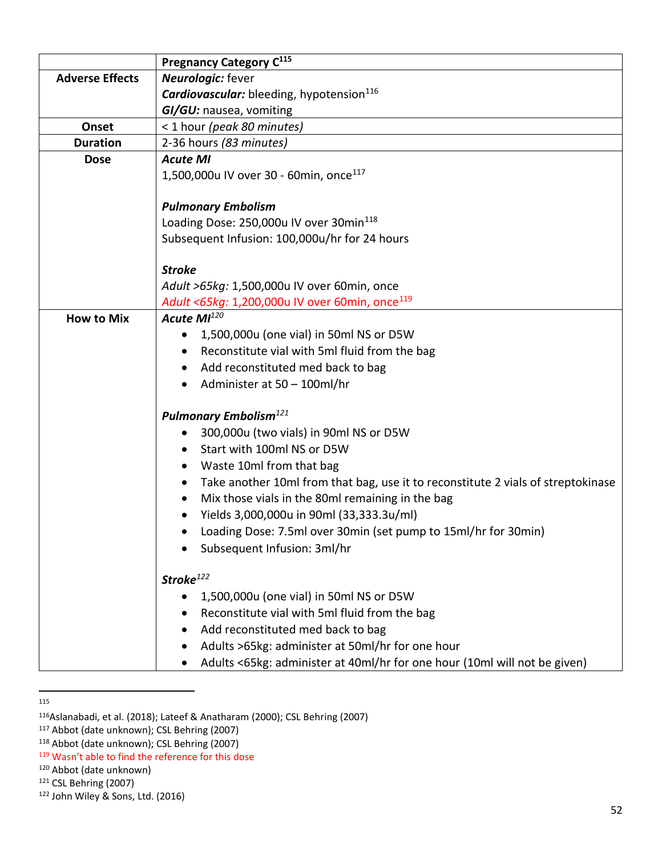|                                        | Pregnancy Category C <sup>115</sup>                                              |  |
|----------------------------------------|----------------------------------------------------------------------------------|--|
| <b>Adverse Effects</b>                 | <b>Neurologic:</b> fever                                                         |  |
|                                        | Cardiovascular: bleeding, hypotension <sup>116</sup>                             |  |
|                                        | GI/GU: nausea, vomiting                                                          |  |
| Onset                                  | < 1 hour (peak 80 minutes)                                                       |  |
| <b>Duration</b>                        | 2-36 hours (83 minutes)                                                          |  |
| <b>Dose</b>                            | <b>Acute MI</b>                                                                  |  |
|                                        | 1,500,000u IV over 30 - 60min, once <sup>117</sup>                               |  |
|                                        |                                                                                  |  |
|                                        | <b>Pulmonary Embolism</b>                                                        |  |
|                                        | Loading Dose: 250,000u IV over 30min <sup>118</sup>                              |  |
|                                        | Subsequent Infusion: 100,000u/hr for 24 hours                                    |  |
|                                        |                                                                                  |  |
|                                        | <b>Stroke</b>                                                                    |  |
|                                        | Adult >65kg: 1,500,000u IV over 60min, once                                      |  |
|                                        | Adult <65kg: 1,200,000u IV over 60min, once <sup>119</sup>                       |  |
| <b>How to Mix</b>                      | Acute MI <sup>120</sup>                                                          |  |
|                                        | 1,500,000u (one vial) in 50ml NS or D5W<br>$\bullet$                             |  |
|                                        | Reconstitute vial with 5ml fluid from the bag                                    |  |
|                                        | Add reconstituted med back to bag                                                |  |
|                                        | Administer at 50 - 100ml/hr<br>$\bullet$                                         |  |
|                                        | <b>Pulmonary Embolism</b> <sup>121</sup>                                         |  |
| 300,000u (two vials) in 90ml NS or D5W |                                                                                  |  |
|                                        | Start with 100ml NS or D5W                                                       |  |
|                                        | Waste 10ml from that bag                                                         |  |
|                                        | Take another 10ml from that bag, use it to reconstitute 2 vials of streptokinase |  |
|                                        | Mix those vials in the 80ml remaining in the bag                                 |  |
|                                        | Yields 3,000,000u in 90ml (33,333.3u/ml)                                         |  |
|                                        | Loading Dose: 7.5ml over 30min (set pump to 15ml/hr for 30min)                   |  |
|                                        | Subsequent Infusion: 3ml/hr                                                      |  |
|                                        |                                                                                  |  |
|                                        | Stroke <sup>122</sup>                                                            |  |
|                                        | 1,500,000u (one vial) in 50ml NS or D5W<br>$\bullet$                             |  |
|                                        | Reconstitute vial with 5ml fluid from the bag                                    |  |
|                                        | Add reconstituted med back to bag                                                |  |
|                                        | Adults >65kg: administer at 50ml/hr for one hour                                 |  |
|                                        | Adults <65kg: administer at 40ml/hr for one hour (10ml will not be given)        |  |

<sup>115</sup>

<sup>116</sup>Aslanabadi, et al. (2018); Lateef & Anatharam (2000); CSL Behring (2007)

<sup>117</sup> Abbot (date unknown); CSL Behring (2007)

<sup>118</sup> Abbot (date unknown); CSL Behring (2007)

<sup>119</sup> Wasn't able to find the reference for this dose

<sup>120</sup> Abbot (date unknown)

<sup>121</sup> CSL Behring (2007)

<sup>122</sup> John Wiley & Sons, Ltd. (2016)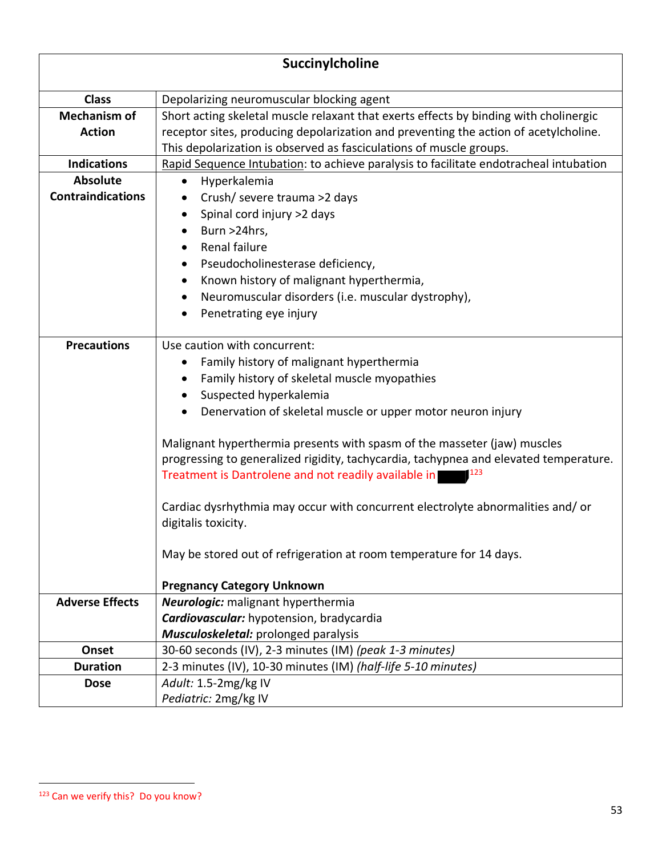|                          | Succinylcholine                                                                       |
|--------------------------|---------------------------------------------------------------------------------------|
| <b>Class</b>             | Depolarizing neuromuscular blocking agent                                             |
| <b>Mechanism of</b>      | Short acting skeletal muscle relaxant that exerts effects by binding with cholinergic |
| <b>Action</b>            | receptor sites, producing depolarization and preventing the action of acetylcholine.  |
|                          | This depolarization is observed as fasciculations of muscle groups.                   |
| <b>Indications</b>       | Rapid Sequence Intubation: to achieve paralysis to facilitate endotracheal intubation |
| <b>Absolute</b>          | Hyperkalemia<br>$\bullet$                                                             |
| <b>Contraindications</b> | Crush/ severe trauma >2 days                                                          |
|                          | Spinal cord injury >2 days                                                            |
|                          | Burn >24hrs,                                                                          |
|                          | Renal failure                                                                         |
|                          | Pseudocholinesterase deficiency,                                                      |
|                          | Known history of malignant hyperthermia,<br>٠                                         |
|                          | Neuromuscular disorders (i.e. muscular dystrophy),                                    |
|                          | Penetrating eye injury                                                                |
|                          |                                                                                       |
| <b>Precautions</b>       | Use caution with concurrent:                                                          |
|                          | Family history of malignant hyperthermia<br>٠                                         |
|                          | Family history of skeletal muscle myopathies                                          |
|                          | Suspected hyperkalemia                                                                |
|                          | Denervation of skeletal muscle or upper motor neuron injury                           |
|                          | Malignant hyperthermia presents with spasm of the masseter (jaw) muscles              |
|                          | progressing to generalized rigidity, tachycardia, tachypnea and elevated temperature. |
|                          | Treatment is Dantrolene and not readily available in                                  |
|                          | Cardiac dysrhythmia may occur with concurrent electrolyte abnormalities and/or        |
|                          | digitalis toxicity.                                                                   |
|                          |                                                                                       |
|                          | May be stored out of refrigeration at room temperature for 14 days.                   |
|                          |                                                                                       |
|                          | <b>Pregnancy Category Unknown</b>                                                     |
| <b>Adverse Effects</b>   | <b>Neurologic:</b> malignant hyperthermia                                             |
|                          | Cardiovascular: hypotension, bradycardia                                              |
|                          | Musculoskeletal: prolonged paralysis                                                  |
| Onset                    | 30-60 seconds (IV), 2-3 minutes (IM) (peak 1-3 minutes)                               |
| <b>Duration</b>          | 2-3 minutes (IV), 10-30 minutes (IM) (half-life 5-10 minutes)                         |
| <b>Dose</b>              | Adult: 1.5-2mg/kg IV                                                                  |
|                          | Pediatric: 2mg/kg IV                                                                  |

<sup>123</sup> Can we verify this? Do you know?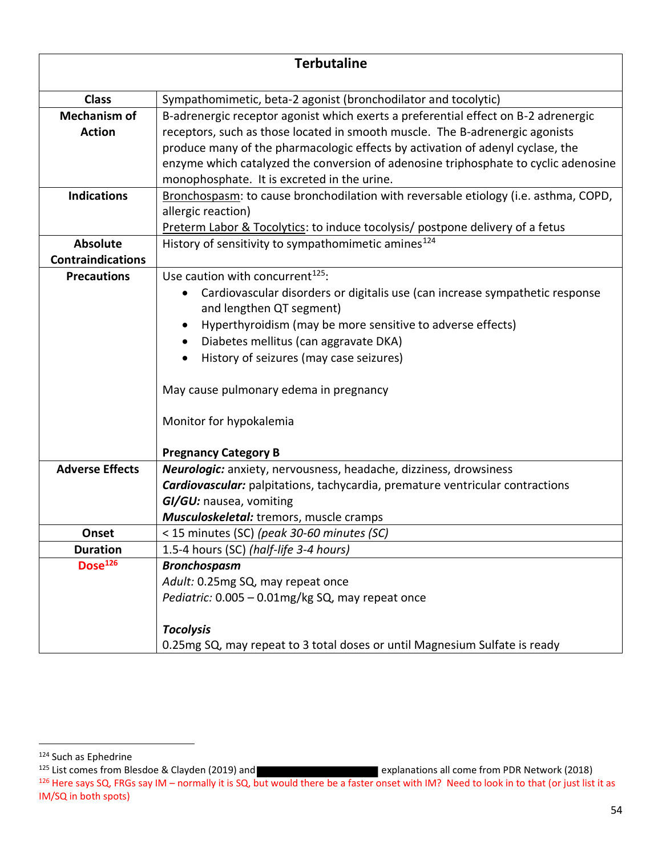| <b>Terbutaline</b>                   |                                                                                                                                                                                                                                                                                                                                                                                                                |
|--------------------------------------|----------------------------------------------------------------------------------------------------------------------------------------------------------------------------------------------------------------------------------------------------------------------------------------------------------------------------------------------------------------------------------------------------------------|
| <b>Class</b>                         | Sympathomimetic, beta-2 agonist (bronchodilator and tocolytic)                                                                                                                                                                                                                                                                                                                                                 |
| <b>Mechanism of</b><br><b>Action</b> | B-adrenergic receptor agonist which exerts a preferential effect on B-2 adrenergic<br>receptors, such as those located in smooth muscle. The B-adrenergic agonists<br>produce many of the pharmacologic effects by activation of adenyl cyclase, the<br>enzyme which catalyzed the conversion of adenosine triphosphate to cyclic adenosine<br>monophosphate. It is excreted in the urine.                     |
| <b>Indications</b>                   | Bronchospasm: to cause bronchodilation with reversable etiology (i.e. asthma, COPD,<br>allergic reaction)<br>Preterm Labor & Tocolytics: to induce tocolysis/ postpone delivery of a fetus                                                                                                                                                                                                                     |
| <b>Absolute</b>                      | History of sensitivity to sympathomimetic amines <sup>124</sup>                                                                                                                                                                                                                                                                                                                                                |
| <b>Contraindications</b>             |                                                                                                                                                                                                                                                                                                                                                                                                                |
| <b>Precautions</b>                   | Use caution with concurrent <sup>125</sup> :<br>Cardiovascular disorders or digitalis use (can increase sympathetic response<br>and lengthen QT segment)<br>Hyperthyroidism (may be more sensitive to adverse effects)<br>Diabetes mellitus (can aggravate DKA)<br>History of seizures (may case seizures)<br>May cause pulmonary edema in pregnancy<br>Monitor for hypokalemia<br><b>Pregnancy Category B</b> |
| <b>Adverse Effects</b>               | Neurologic: anxiety, nervousness, headache, dizziness, drowsiness<br><b>Cardiovascular:</b> palpitations, tachycardia, premature ventricular contractions<br>GI/GU: nausea, vomiting<br><b>Musculoskeletal:</b> tremors, muscle cramps                                                                                                                                                                         |
| Onset                                | < 15 minutes (SC) (peak 30-60 minutes (SC)                                                                                                                                                                                                                                                                                                                                                                     |
| <b>Duration</b>                      | 1.5-4 hours (SC) (half-life 3-4 hours)                                                                                                                                                                                                                                                                                                                                                                         |
| Dose <sup>126</sup>                  | <b>Bronchospasm</b><br>Adult: 0.25mg SQ, may repeat once<br>Pediatric: 0.005 - 0.01mg/kg SQ, may repeat once<br><b>Tocolysis</b><br>0.25mg SQ, may repeat to 3 total doses or until Magnesium Sulfate is ready                                                                                                                                                                                                 |

<sup>125</sup> List comes from Blesdoe & Clayden (2019) and **Explanations at a set of explanations all come from PDR Network (2018)** 

<sup>124</sup> Such as Ephedrine

 $^{126}$  Here says SQ, FRGs say IM – normally it is SQ, but would there be a faster onset with IM? Need to look in to that (or just list it as IM/SQ in both spots)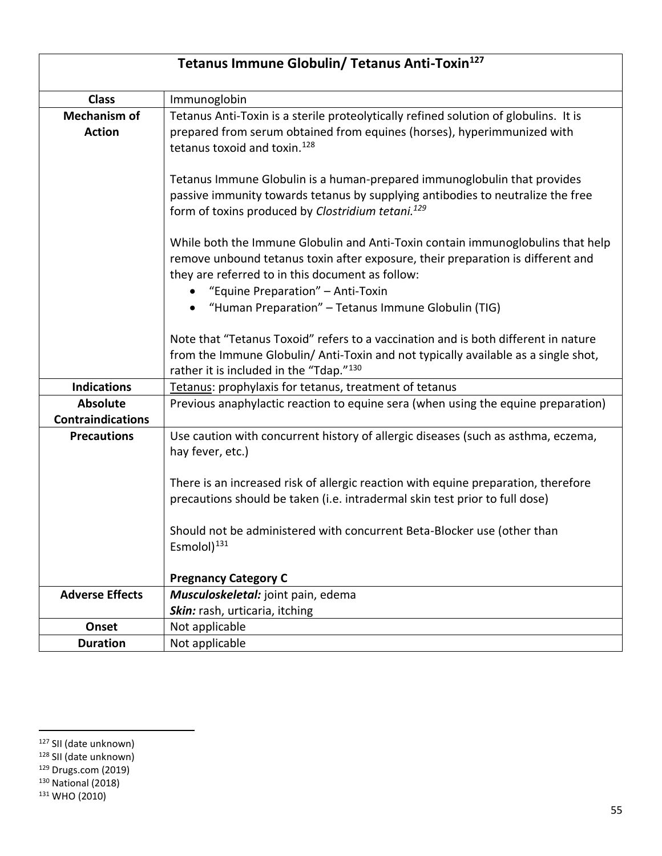| Tetanus Immune Globulin/ Tetanus Anti-Toxin <sup>127</sup> |                                                                                                                                                                                                                                                             |
|------------------------------------------------------------|-------------------------------------------------------------------------------------------------------------------------------------------------------------------------------------------------------------------------------------------------------------|
| <b>Class</b>                                               | Immunoglobin                                                                                                                                                                                                                                                |
| <b>Mechanism of</b><br><b>Action</b>                       | Tetanus Anti-Toxin is a sterile proteolytically refined solution of globulins. It is<br>prepared from serum obtained from equines (horses), hyperimmunized with<br>tetanus toxoid and toxin. <sup>128</sup>                                                 |
|                                                            | Tetanus Immune Globulin is a human-prepared immunoglobulin that provides<br>passive immunity towards tetanus by supplying antibodies to neutralize the free<br>form of toxins produced by Clostridium tetani. <sup>129</sup>                                |
|                                                            | While both the Immune Globulin and Anti-Toxin contain immunoglobulins that help<br>remove unbound tetanus toxin after exposure, their preparation is different and<br>they are referred to in this document as follow:<br>"Equine Preparation" - Anti-Toxin |
|                                                            | "Human Preparation" - Tetanus Immune Globulin (TIG)                                                                                                                                                                                                         |
|                                                            | Note that "Tetanus Toxoid" refers to a vaccination and is both different in nature<br>from the Immune Globulin/ Anti-Toxin and not typically available as a single shot,<br>rather it is included in the "Tdap."130                                         |
| <b>Indications</b>                                         | Tetanus: prophylaxis for tetanus, treatment of tetanus                                                                                                                                                                                                      |
| <b>Absolute</b><br><b>Contraindications</b>                | Previous anaphylactic reaction to equine sera (when using the equine preparation)                                                                                                                                                                           |
| <b>Precautions</b>                                         | Use caution with concurrent history of allergic diseases (such as asthma, eczema,<br>hay fever, etc.)                                                                                                                                                       |
|                                                            | There is an increased risk of allergic reaction with equine preparation, therefore<br>precautions should be taken (i.e. intradermal skin test prior to full dose)                                                                                           |
|                                                            | Should not be administered with concurrent Beta-Blocker use (other than<br>Esmolol) <sup>131</sup>                                                                                                                                                          |
|                                                            | <b>Pregnancy Category C</b>                                                                                                                                                                                                                                 |
| <b>Adverse Effects</b>                                     | Musculoskeletal: joint pain, edema<br>Skin: rash, urticaria, itching                                                                                                                                                                                        |
| Onset                                                      | Not applicable                                                                                                                                                                                                                                              |
| <b>Duration</b>                                            | Not applicable                                                                                                                                                                                                                                              |

<sup>130</sup> National (2018)

<sup>127</sup> SII (date unknown)

<sup>128</sup> SII (date unknown)

<sup>129</sup> Drugs.com (2019)

<sup>&</sup>lt;sup>131</sup> WHO (2010)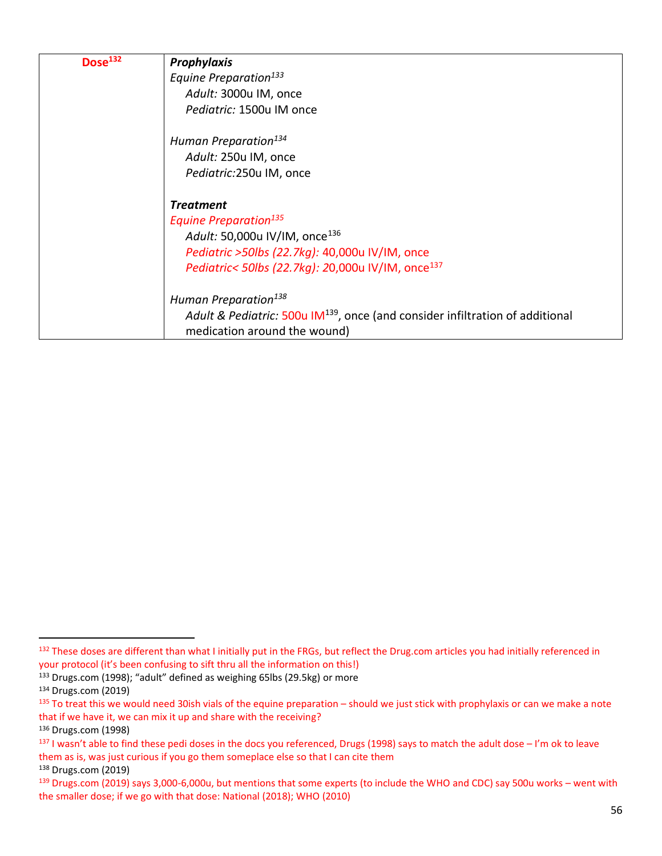| Dose <sup>132</sup> | Prophylaxis                                                                               |
|---------------------|-------------------------------------------------------------------------------------------|
|                     | Equine Preparation <sup>133</sup>                                                         |
|                     | Adult: 3000u IM, once                                                                     |
|                     | Pediatric: 1500u IM once                                                                  |
|                     | Human Preparation <sup>134</sup>                                                          |
|                     | Adult: 250u IM, once                                                                      |
|                     | Pediatric:250u IM, once                                                                   |
|                     | <b>Treatment</b>                                                                          |
|                     | <b>Equine Preparation</b> <sup>135</sup>                                                  |
|                     | Adult: 50,000u IV/IM, once <sup>136</sup>                                                 |
|                     | Pediatric >50lbs (22.7kg): 40,000u IV/IM, once                                            |
|                     | Pediatric< 50lbs (22.7kg): 20,000u IV/IM, once <sup>137</sup>                             |
|                     | Human Preparation <sup>138</sup>                                                          |
|                     | Adult & Pediatric: 500u IM <sup>139</sup> , once (and consider infiltration of additional |
|                     | medication around the wound)                                                              |

<sup>132</sup> These doses are different than what I initially put in the FRGs, but reflect the Drug.com articles you had initially referenced in your protocol (it's been confusing to sift thru all the information on this!)

<sup>133</sup> Drugs.com (1998); "adult" defined as weighing 65lbs (29.5kg) or more

<sup>134</sup> Drugs.com (2019)

<sup>&</sup>lt;sup>135</sup> To treat this we would need 30ish vials of the equine preparation – should we just stick with prophylaxis or can we make a note that if we have it, we can mix it up and share with the receiving?

<sup>136</sup> Drugs.com (1998)

<sup>137</sup> I wasn't able to find these pedi doses in the docs you referenced, Drugs (1998) says to match the adult dose – I'm ok to leave them as is, was just curious if you go them someplace else so that I can cite them <sup>138</sup> Drugs.com (2019)

<sup>139</sup> Drugs.com (2019) says 3,000-6,000u, but mentions that some experts (to include the WHO and CDC) say 500u works – went with the smaller dose; if we go with that dose: National (2018); WHO (2010)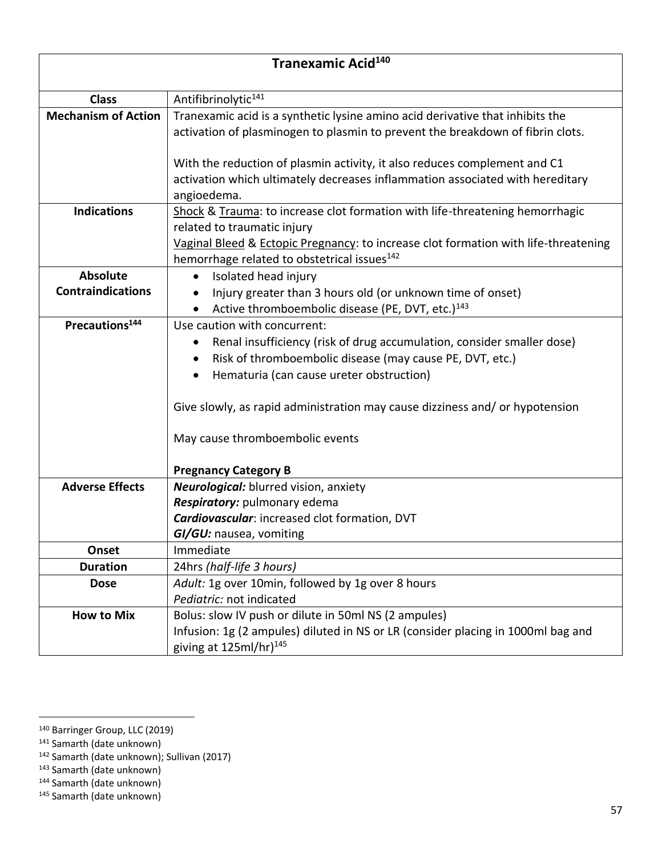| Tranexamic Acid <sup>140</sup> |                                                                                                                                                                                                                                                                                                                                                                       |
|--------------------------------|-----------------------------------------------------------------------------------------------------------------------------------------------------------------------------------------------------------------------------------------------------------------------------------------------------------------------------------------------------------------------|
| <b>Class</b>                   | Antifibrinolytic <sup>141</sup>                                                                                                                                                                                                                                                                                                                                       |
| <b>Mechanism of Action</b>     | Tranexamic acid is a synthetic lysine amino acid derivative that inhibits the<br>activation of plasminogen to plasmin to prevent the breakdown of fibrin clots.<br>With the reduction of plasmin activity, it also reduces complement and C1                                                                                                                          |
|                                | activation which ultimately decreases inflammation associated with hereditary<br>angioedema.                                                                                                                                                                                                                                                                          |
| <b>Indications</b>             | Shock & Trauma: to increase clot formation with life-threatening hemorrhagic<br>related to traumatic injury<br>Vaginal Bleed & Ectopic Pregnancy: to increase clot formation with life-threatening<br>hemorrhage related to obstetrical issues <sup>142</sup>                                                                                                         |
| <b>Absolute</b>                | Isolated head injury<br>$\bullet$                                                                                                                                                                                                                                                                                                                                     |
| <b>Contraindications</b>       | Injury greater than 3 hours old (or unknown time of onset)<br>Active thromboembolic disease (PE, DVT, etc.) <sup>143</sup>                                                                                                                                                                                                                                            |
| Precautions <sup>144</sup>     | Use caution with concurrent:<br>Renal insufficiency (risk of drug accumulation, consider smaller dose)<br>Risk of thromboembolic disease (may cause PE, DVT, etc.)<br>Hematuria (can cause ureter obstruction)<br>٠<br>Give slowly, as rapid administration may cause dizziness and/ or hypotension<br>May cause thromboembolic events<br><b>Pregnancy Category B</b> |
| <b>Adverse Effects</b>         | Neurological: blurred vision, anxiety<br>Respiratory: pulmonary edema<br>Cardiovascular: increased clot formation, DVT<br>GI/GU: nausea, vomiting                                                                                                                                                                                                                     |
| Onset                          | Immediate                                                                                                                                                                                                                                                                                                                                                             |
| <b>Duration</b>                | 24hrs (half-life 3 hours)                                                                                                                                                                                                                                                                                                                                             |
| <b>Dose</b>                    | Adult: 1g over 10min, followed by 1g over 8 hours<br>Pediatric: not indicated                                                                                                                                                                                                                                                                                         |
| <b>How to Mix</b>              | Bolus: slow IV push or dilute in 50ml NS (2 ampules)<br>Infusion: 1g (2 ampules) diluted in NS or LR (consider placing in 1000ml bag and<br>giving at 125ml/hr) <sup>145</sup>                                                                                                                                                                                        |

<sup>140</sup> Barringer Group, LLC (2019)

<sup>141</sup> Samarth (date unknown)

<sup>142</sup> Samarth (date unknown); Sullivan (2017)

<sup>143</sup> Samarth (date unknown)

<sup>144</sup> Samarth (date unknown)

<sup>145</sup> Samarth (date unknown)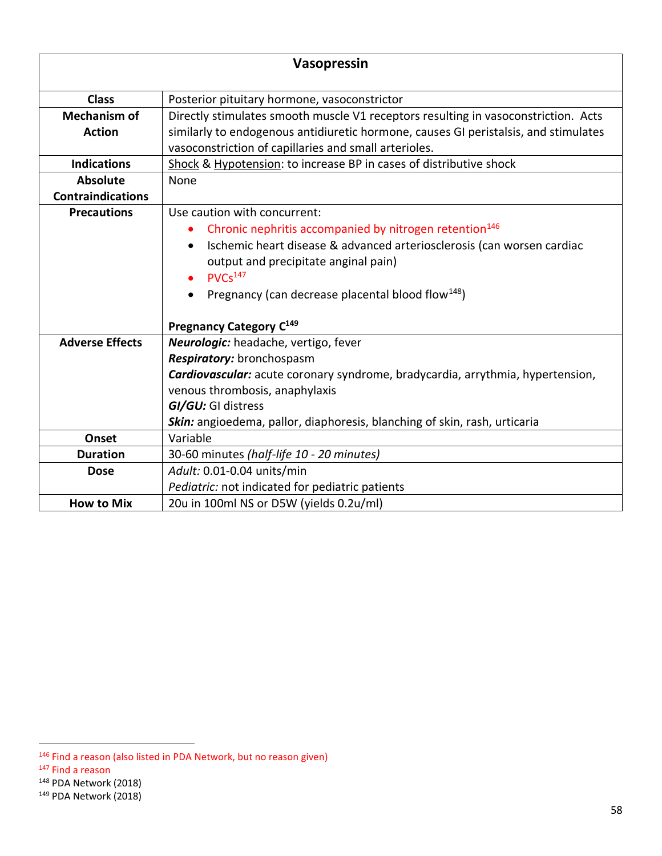| Vasopressin              |                                                                                     |  |
|--------------------------|-------------------------------------------------------------------------------------|--|
| <b>Class</b>             | Posterior pituitary hormone, vasoconstrictor                                        |  |
| <b>Mechanism of</b>      | Directly stimulates smooth muscle V1 receptors resulting in vasoconstriction. Acts  |  |
| <b>Action</b>            | similarly to endogenous antidiuretic hormone, causes GI peristalsis, and stimulates |  |
|                          | vasoconstriction of capillaries and small arterioles.                               |  |
| <b>Indications</b>       | Shock & Hypotension: to increase BP in cases of distributive shock                  |  |
| <b>Absolute</b>          | None                                                                                |  |
| <b>Contraindications</b> |                                                                                     |  |
| <b>Precautions</b>       | Use caution with concurrent:                                                        |  |
|                          | Chronic nephritis accompanied by nitrogen retention <sup>146</sup>                  |  |
|                          | Ischemic heart disease & advanced arteriosclerosis (can worsen cardiac<br>$\bullet$ |  |
|                          | output and precipitate anginal pain)                                                |  |
|                          | PVCs <sup>147</sup>                                                                 |  |
|                          | Pregnancy (can decrease placental blood flow <sup>148</sup> )                       |  |
|                          | Pregnancy Category C <sup>149</sup>                                                 |  |
| <b>Adverse Effects</b>   | Neurologic: headache, vertigo, fever                                                |  |
|                          | Respiratory: bronchospasm                                                           |  |
|                          | Cardiovascular: acute coronary syndrome, bradycardia, arrythmia, hypertension,      |  |
|                          | venous thrombosis, anaphylaxis                                                      |  |
|                          | GI/GU: GI distress                                                                  |  |
|                          | Skin: angioedema, pallor, diaphoresis, blanching of skin, rash, urticaria           |  |
| Onset                    | Variable                                                                            |  |
| <b>Duration</b>          | 30-60 minutes (half-life 10 - 20 minutes)                                           |  |
| <b>Dose</b>              | Adult: 0.01-0.04 units/min                                                          |  |
|                          | Pediatric: not indicated for pediatric patients                                     |  |
| <b>How to Mix</b>        | 20u in 100ml NS or D5W (yields 0.2u/ml)                                             |  |

<sup>148</sup> PDA Network (2018)

<sup>146</sup> Find a reason (also listed in PDA Network, but no reason given)

<sup>147</sup> Find a reason

<sup>149</sup> PDA Network (2018)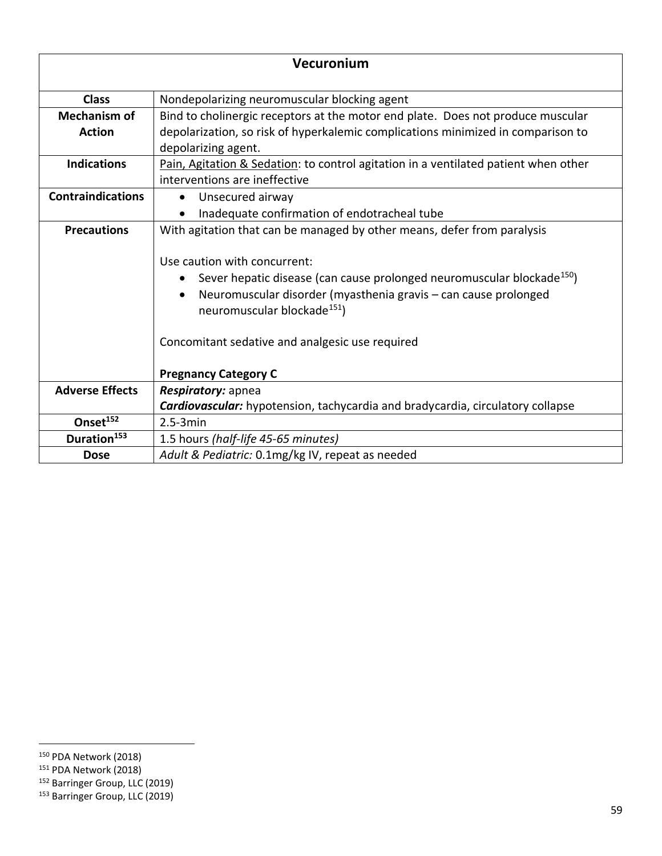| Vecuronium               |                                                                                     |  |
|--------------------------|-------------------------------------------------------------------------------------|--|
| <b>Class</b>             | Nondepolarizing neuromuscular blocking agent                                        |  |
| <b>Mechanism of</b>      | Bind to cholinergic receptors at the motor end plate. Does not produce muscular     |  |
| <b>Action</b>            | depolarization, so risk of hyperkalemic complications minimized in comparison to    |  |
|                          | depolarizing agent.                                                                 |  |
| <b>Indications</b>       | Pain, Agitation & Sedation: to control agitation in a ventilated patient when other |  |
|                          | interventions are ineffective                                                       |  |
| <b>Contraindications</b> | Unsecured airway<br>$\bullet$                                                       |  |
|                          | Inadequate confirmation of endotracheal tube                                        |  |
| <b>Precautions</b>       | With agitation that can be managed by other means, defer from paralysis             |  |
|                          |                                                                                     |  |
|                          | Use caution with concurrent:                                                        |  |
|                          | Sever hepatic disease (can cause prolonged neuromuscular blockade <sup>150</sup> )  |  |
|                          | Neuromuscular disorder (myasthenia gravis - can cause prolonged<br>$\bullet$        |  |
|                          | neuromuscular blockade <sup>151</sup> )                                             |  |
|                          |                                                                                     |  |
|                          | Concomitant sedative and analgesic use required                                     |  |
|                          |                                                                                     |  |
|                          | <b>Pregnancy Category C</b>                                                         |  |
| <b>Adverse Effects</b>   | Respiratory: apnea                                                                  |  |
|                          | Cardiovascular: hypotension, tachycardia and bradycardia, circulatory collapse      |  |
| Onset <sup>152</sup>     | $2.5 - 3min$                                                                        |  |
| Duration <sup>153</sup>  | 1.5 hours (half-life 45-65 minutes)                                                 |  |
| <b>Dose</b>              | Adult & Pediatric: 0.1mg/kg IV, repeat as needed                                    |  |

<sup>150</sup> PDA Network (2018)

<sup>151</sup> PDA Network (2018)

<sup>&</sup>lt;sup>152</sup> Barringer Group, LLC (2019)

<sup>153</sup> Barringer Group, LLC (2019)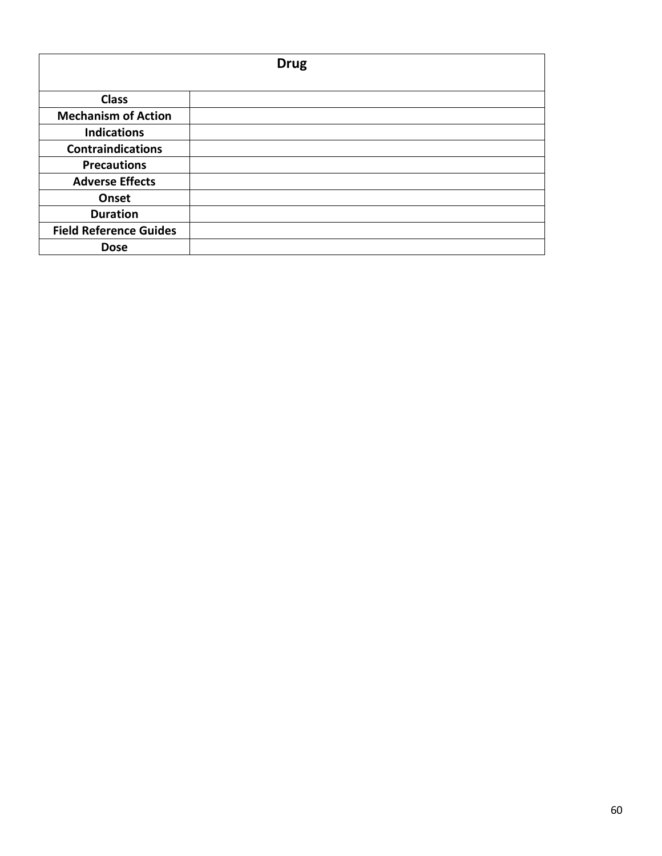| <b>Drug</b>                   |  |
|-------------------------------|--|
| <b>Class</b>                  |  |
| <b>Mechanism of Action</b>    |  |
| <b>Indications</b>            |  |
| <b>Contraindications</b>      |  |
| <b>Precautions</b>            |  |
| <b>Adverse Effects</b>        |  |
| Onset                         |  |
| <b>Duration</b>               |  |
| <b>Field Reference Guides</b> |  |
| <b>Dose</b>                   |  |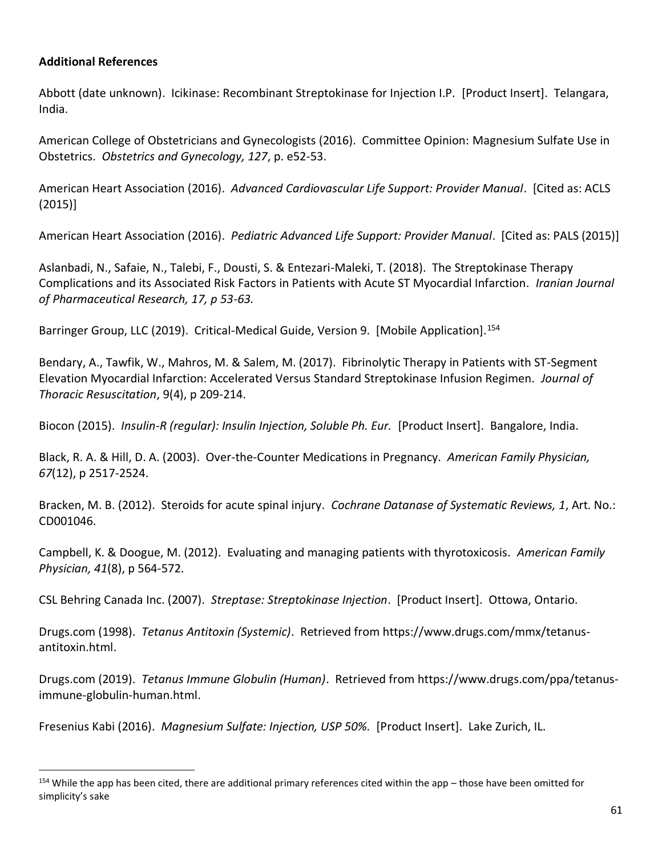## **Additional References**

Abbott (date unknown). Icikinase: Recombinant Streptokinase for Injection I.P. [Product Insert]. Telangara, India.

American College of Obstetricians and Gynecologists (2016). Committee Opinion: Magnesium Sulfate Use in Obstetrics. *Obstetrics and Gynecology, 127*, p. e52-53.

American Heart Association (2016). *Advanced Cardiovascular Life Support: Provider Manual*. [Cited as: ACLS (2015)]

American Heart Association (2016). *Pediatric Advanced Life Support: Provider Manual*. [Cited as: PALS (2015)]

Aslanbadi, N., Safaie, N., Talebi, F., Dousti, S. & Entezari-Maleki, T. (2018). The Streptokinase Therapy Complications and its Associated Risk Factors in Patients with Acute ST Myocardial Infarction. *Iranian Journal of Pharmaceutical Research, 17, p 53-63.*

Barringer Group, LLC (2019). Critical-Medical Guide, Version 9. [Mobile Application].<sup>154</sup>

Bendary, A., Tawfik, W., Mahros, M. & Salem, M. (2017). Fibrinolytic Therapy in Patients with ST-Segment Elevation Myocardial Infarction: Accelerated Versus Standard Streptokinase Infusion Regimen. *Journal of Thoracic Resuscitation*, 9(4), p 209-214.

Biocon (2015). *Insulin-R (regular): Insulin Injection, Soluble Ph. Eur.* [Product Insert]. Bangalore, India.

Black, R. A. & Hill, D. A. (2003). Over-the-Counter Medications in Pregnancy. *American Family Physician, 67*(12), p 2517-2524.

Bracken, M. B. (2012). Steroids for acute spinal injury. *Cochrane Datanase of Systematic Reviews, 1*, Art. No.: CD001046.

Campbell, K. & Doogue, M. (2012). Evaluating and managing patients with thyrotoxicosis. *American Family Physician, 41*(8), p 564-572.

CSL Behring Canada Inc. (2007). *Streptase: Streptokinase Injection*. [Product Insert]. Ottowa, Ontario.

Drugs.com (1998). *Tetanus Antitoxin (Systemic)*. Retrieved from https://www.drugs.com/mmx/tetanusantitoxin.html.

Drugs.com (2019). *Tetanus Immune Globulin (Human)*. Retrieved from https://www.drugs.com/ppa/tetanusimmune-globulin-human.html.

Fresenius Kabi (2016). *Magnesium Sulfate: Injection, USP 50%.* [Product Insert]. Lake Zurich, IL.

<sup>154</sup> While the app has been cited, there are additional primary references cited within the app – those have been omitted for simplicity's sake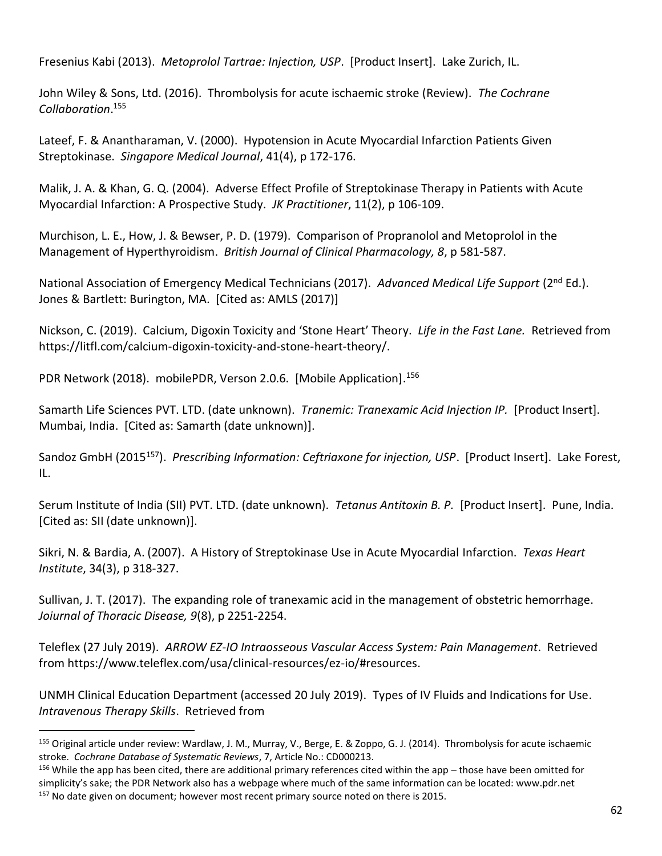Fresenius Kabi (2013). *Metoprolol Tartrae: Injection, USP*. [Product Insert]. Lake Zurich, IL.

John Wiley & Sons, Ltd. (2016). Thrombolysis for acute ischaemic stroke (Review). *The Cochrane Collaboration*. 155

Lateef, F. & Anantharaman, V. (2000). Hypotension in Acute Myocardial Infarction Patients Given Streptokinase. *Singapore Medical Journal*, 41(4), p 172-176.

Malik, J. A. & Khan, G. Q. (2004). Adverse Effect Profile of Streptokinase Therapy in Patients with Acute Myocardial Infarction: A Prospective Study. *JK Practitioner*, 11(2), p 106-109.

Murchison, L. E., How, J. & Bewser, P. D. (1979). Comparison of Propranolol and Metoprolol in the Management of Hyperthyroidism. *British Journal of Clinical Pharmacology, 8*, p 581-587.

National Association of Emergency Medical Technicians (2017). Advanced Medical Life Support (2<sup>nd</sup> Ed.). Jones & Bartlett: Burington, MA. [Cited as: AMLS (2017)]

Nickson, C. (2019). Calcium, Digoxin Toxicity and 'Stone Heart' Theory. *Life in the Fast Lane.* Retrieved from https://litfl.com/calcium-digoxin-toxicity-and-stone-heart-theory/.

PDR Network (2018). mobilePDR, Verson 2.0.6. [Mobile Application].<sup>156</sup>

Samarth Life Sciences PVT. LTD. (date unknown). *Tranemic: Tranexamic Acid Injection IP.* [Product Insert]. Mumbai, India. [Cited as: Samarth (date unknown)].

Sandoz GmbH (2015<sup>157</sup>). *Prescribing Information: Ceftriaxone for injection, USP*. [Product Insert]. Lake Forest, IL.

Serum Institute of India (SII) PVT. LTD. (date unknown). *Tetanus Antitoxin B. P.* [Product Insert]. Pune, India. [Cited as: SII (date unknown)].

Sikri, N. & Bardia, A. (2007). A History of Streptokinase Use in Acute Myocardial Infarction. *Texas Heart Institute*, 34(3), p 318-327.

Sullivan, J. T. (2017). The expanding role of tranexamic acid in the management of obstetric hemorrhage. *Joiurnal of Thoracic Disease, 9*(8), p 2251-2254.

Teleflex (27 July 2019). *ARROW EZ-IO Intraosseous Vascular Access System: Pain Management*. Retrieved from https://www.teleflex.com/usa/clinical-resources/ez-io/#resources.

UNMH Clinical Education Department (accessed 20 July 2019). Types of IV Fluids and Indications for Use. *Intravenous Therapy Skills*. Retrieved from

<sup>155</sup> Original article under review: Wardlaw, J. M., Murray, V., Berge, E. & Zoppo, G. J. (2014). Thrombolysis for acute ischaemic stroke. *Cochrane Database of Systematic Reviews*, 7, Article No.: CD000213.

<sup>156</sup> While the app has been cited, there are additional primary references cited within the app – those have been omitted for simplicity's sake; the PDR Network also has a webpage where much of the same information can be located: www.pdr.net <sup>157</sup> No date given on document; however most recent primary source noted on there is 2015.